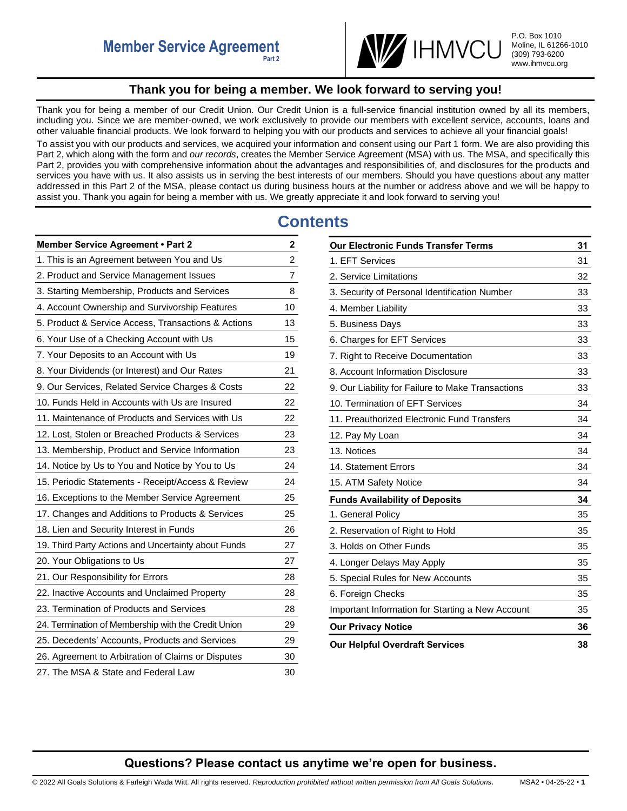

# **Thank you for being a member. We look forward to serving you!**

<span id="page-0-0"></span>Thank you for being a member of our Credit Union. Our Credit Union is a full-service financial institution owned by all its members, including you. Since we are member-owned, we work exclusively to provide our members with excellent service, accounts, loans and other valuable financial products. We look forward to helping you with our products and services to achieve all your financial goals!

To assist you with our products and services, we acquired your information and consent using our Part 1 form. We are also providing this Part 2, which along with the form and *our records*, creates the Member Service Agreement (MSA) with us. The MSA, and specifically this Part 2, provides you with comprehensive information about the advantages and responsibilities of, and disclosures for the products and services you have with us. It also assists us in serving the best interests of our members. Should you have questions about any matter addressed in this Part 2 of the MSA, please contact us during business hours at the number or address above and we will be happy to assist you. Thank you again for being a member with us. We greatly appreciate it and look forward to serving you!

# **Contents**

| <b>Member Service Agreement • Part 2</b>            | 2              |
|-----------------------------------------------------|----------------|
| 1. This is an Agreement between You and Us          | $\overline{c}$ |
| 2. Product and Service Management Issues            | $\overline{7}$ |
| 3. Starting Membership, Products and Services       | 8              |
| 4. Account Ownership and Survivorship Features      | 10             |
| 5. Product & Service Access, Transactions & Actions | 13             |
| 6. Your Use of a Checking Account with Us           | 15             |
| 7. Your Deposits to an Account with Us              | 19             |
| 8. Your Dividends (or Interest) and Our Rates       | 21             |
| 9. Our Services, Related Service Charges & Costs    | 22             |
| 10. Funds Held in Accounts with Us are Insured      | 22             |
| 11. Maintenance of Products and Services with Us    | 22             |
| 12. Lost, Stolen or Breached Products & Services    | 23             |
| 13. Membership, Product and Service Information     | 23             |
| 14. Notice by Us to You and Notice by You to Us     | 24             |
| 15. Periodic Statements - Receipt/Access & Review   | 24             |
| 16. Exceptions to the Member Service Agreement      | 25             |
| 17. Changes and Additions to Products & Services    | 25             |
| 18. Lien and Security Interest in Funds             | 26             |
| 19. Third Party Actions and Uncertainty about Funds | 27             |
| 20. Your Obligations to Us                          | 27             |
| 21. Our Responsibility for Errors                   | 28             |
| 22. Inactive Accounts and Unclaimed Property        | 28             |
| 23. Termination of Products and Services            | 28             |
| 24. Termination of Membership with the Credit Union | 29             |
| 25. Decedents' Accounts, Products and Services      | 29             |
| 26. Agreement to Arbitration of Claims or Disputes  | 30             |
| 27. The MSA & State and Federal Law                 | 30             |

| <b>Our Electronic Funds Transfer Terms</b>        | 31 |
|---------------------------------------------------|----|
| 1. EFT Services                                   | 31 |
| 2. Service Limitations                            | 32 |
| 3. Security of Personal Identification Number     | 33 |
| 4. Member Liability                               | 33 |
| 5. Business Days                                  | 33 |
| 6. Charges for EFT Services                       | 33 |
| 7. Right to Receive Documentation                 | 33 |
| 8. Account Information Disclosure                 | 33 |
| 9. Our Liability for Failure to Make Transactions | 33 |
| 10. Termination of EFT Services                   | 34 |
| 11. Preauthorized Electronic Fund Transfers       | 34 |
| 12. Pay My Loan                                   | 34 |
| 13. Notices                                       | 34 |
| 14. Statement Errors                              | 34 |
| 15. ATM Safety Notice                             | 34 |
| <b>Funds Availability of Deposits</b>             | 34 |
| 1. General Policy                                 | 35 |
| 2. Reservation of Right to Hold                   | 35 |
| 3. Holds on Other Funds                           | 35 |
| 4. Longer Delays May Apply                        | 35 |
| 5. Special Rules for New Accounts                 | 35 |
| 6. Foreign Checks                                 | 35 |
| Important Information for Starting a New Account  | 35 |
| <b>Our Privacy Notice</b>                         | 36 |
| <b>Our Helpful Overdraft Services</b>             | 38 |

# **Questions? Please contact us anytime we're open for business.**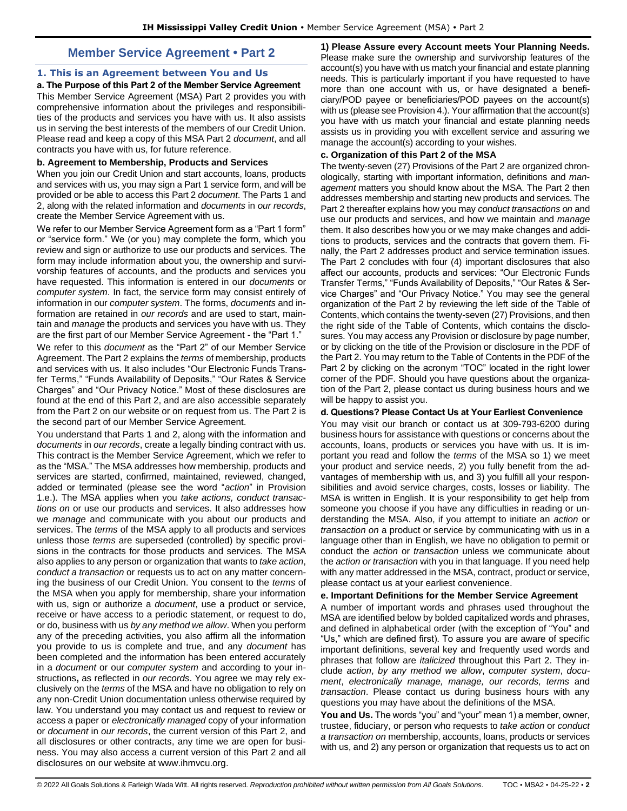# **Member Service Agreement • Part 2**

# <span id="page-1-1"></span><span id="page-1-0"></span>**1. This is an Agreement between You and Us**

**a. The Purpose of this Part 2 of the Member Service Agreement**  This Member Service Agreement (MSA) Part 2 provides you with comprehensive information about the privileges and responsibilities of the products and services you have with us. It also assists us in serving the best interests of the members of our Credit Union. Please read and keep a copy of this MSA Part 2 *document*, and all contracts you have with us, for future reference.

### **b. Agreement to Membership, Products and Services**

When you join our Credit Union and start accounts, loans, products and services with us, you may sign a Part 1 service form, and will be provided or be able to access this Part 2 *document*. The Parts 1 and 2, along with the related information and *documents* in *our records*, create the Member Service Agreement with us.

We refer to our Member Service Agreement form as a "Part 1 form" or "service form." We (or you) may complete the form, which you review and sign or authorize to use our products and services. The form may include information about you, the ownership and survivorship features of accounts, and the products and services you have requested. This information is entered in our *documents* or *computer system*. In fact, the service form may consist entirely of information in our *computer system*. The forms, *documents* and information are retained in *our records* and are used to start, maintain and *manage* the products and services you have with us. They are the first part of our Member Service Agreement - the "Part 1."

We refer to this *document* as the "Part 2" of our Member Service Agreement. The Part 2 explains the *terms* of membership, products and services with us. It also includes "Our Electronic Funds Transfer Terms," "Funds Availability of Deposits," "Our Rates & Service Charges" and "Our Privacy Notice." Most of these disclosures are found at the end of this Part 2, and are also accessible separately from the Part 2 on our website or on request from us. The Part 2 is the second part of our Member Service Agreement.

You understand that Parts 1 and 2, along with the information and *documents* in *our records*, create a legally binding contract with us. This contract is the Member Service Agreement, which we refer to as the "MSA." The MSA addresses how membership, products and services are started, confirmed, maintained, reviewed, changed, added or terminated (please see the word "*action*" in Provision 1.e.). The MSA applies when you *take actions, conduct transactions on* or use our products and services. It also addresses how we *manage* and communicate with you about our products and services. The *terms* of the MSA apply to all products and services unless those *terms* are superseded (controlled) by specific provisions in the contracts for those products and services. The MSA also applies to any person or organization that wants to *take action*, *conduct a transaction* or requests us to act on any matter concerning the business of our Credit Union. You consent to the *terms* of the MSA when you apply for membership, share your information with us, sign or authorize a *document*, use a product or service, receive or have access to a periodic statement, or request to do, or do, business with us *by any method we allow*. When you perform any of the preceding activities, you also affirm all the information you provide to us is complete and true, and any *document* has been completed and the information has been entered accurately in a *document* or our *computer system* and according to your instructions**,** as reflected in *our records*. You agree we may rely exclusively on the *terms* of the MSA and have no obligation to rely on any non-Credit Union documentation unless otherwise required by law. You understand you may contact us and request to review or access a paper or *electronically managed* copy of your information or *document* in *our records*, the current version of this Part 2, and all disclosures or other contracts, any time we are open for business. You may also access a current version of this Part 2 and all disclosures on our website at www.ihmvcu.org.

**1) Please Assure every Account meets Your Planning Needs.**  Please make sure the ownership and survivorship features of the account(s) you have with us match your financial and estate planning needs. This is particularly important if you have requested to have more than one account with us, or have designated a beneficiary/POD payee or beneficiaries/POD payees on the account(s) with us (please see Provision 4.). Your affirmation that the account(s) you have with us match your financial and estate planning needs assists us in providing you with excellent service and assuring we manage the account(s) according to your wishes.

### **c. Organization of this Part 2 of the MSA**

The twenty-seven (27) Provisions of the Part 2 are organized chronologically, starting with important information, definitions and *management* matters you should know about the MSA. The Part 2 then addresses membership and starting new products and services. The Part 2 thereafter explains how you may *conduct transactions on* and use our products and services, and how we maintain and *manage*  them. It also describes how you or we may make changes and additions to products, services and the contracts that govern them. Finally, the Part 2 addresses product and service termination issues. The Part 2 concludes with four (4) important disclosures that also affect our accounts, products and services: "Our Electronic Funds Transfer Terms," "Funds Availability of Deposits," "Our Rates & Service Charges" and "Our Privacy Notice." You may see the general organization of the Part 2 by reviewing the left side of the Table of Contents, which contains the twenty-seven (27) Provisions, and then the right side of the Table of Contents, which contains the disclosures. You may access any Provision or disclosure by page number, or by clicking on the title of the Provision or disclosure in the PDF of the Part 2. You may return to the Table of Contents in the PDF of the Part 2 by clicking on the acronym "TOC" located in the right lower corner of the PDF. Should you have questions about the organization of the Part 2, please contact us during business hours and we will be happy to assist you.

# **d. Questions? Please Contact Us at Your Earliest Convenience**

You may visit our branch or contact us at 309-793-6200 during business hours for assistance with questions or concerns about the accounts, loans, products or services you have with us. It is important you read and follow the *terms* of the MSA so 1) we meet your product and service needs, 2) you fully benefit from the advantages of membership with us, and 3) you fulfill all your responsibilities and avoid service charges, costs, losses or liability. The MSA is written in English. It is your responsibility to get help from someone you choose if you have any difficulties in reading or understanding the MSA. Also, if you attempt to initiate an *action* or *transaction on* a product or service by communicating with us in a language other than in English, we have no obligation to permit or conduct the *action* or *transaction* unless we communicate about the *action or transaction* with you in that language. If you need help with any matter addressed in the MSA, contract, product or service, please contact us at your earliest convenience.

# **e. Important Definitions for the Member Service Agreement**

A number of important words and phrases used throughout the MSA are identified below by bolded capitalized words and phrases, and defined in alphabetical order (with the exception of "You" and "Us," which are defined first). To assure you are aware of specific important definitions, several key and frequently used words and phrases that follow are *italicized* throughout this Part 2. They include *action*, *by any method we allow*, *computer system*, *document*, *electronically manage, manage, our records, terms* and *transaction*. Please contact us during business hours with any questions you may have about the definitions of the MSA.

**You and Us.** The words "you" and "your" mean 1) a member, owner, trustee, fiduciary, or person who requests to *take action* or *conduct a transaction on* membership, accounts, loans, products or services with us, and 2) any person or organization that requests us to act on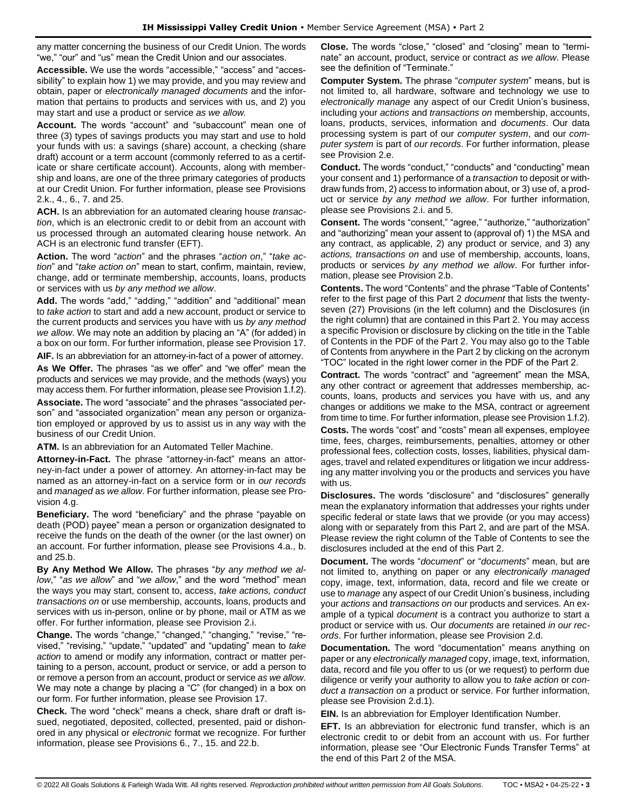any matter concerning the business of our Credit Union. The words "we," "our" and "us" mean the Credit Union and our associates.

**Accessible.** We use the words "accessible," "access" and "accessibility" to explain how 1) we may provide, and you may review and obtain, paper or *electronically managed documents* and the information that pertains to products and services with us, and 2) you may start and use a product or service *as we allow.* 

**Account.** The words "account" and "subaccount" mean one of three (3) types of savings products you may start and use to hold your funds with us: a savings (share) account, a checking (share draft) account or a term account (commonly referred to as a certificate or share certificate account). Accounts, along with membership and loans, are one of the three primary categories of products at our Credit Union. For further information, please see Provisions 2.k., 4., 6., 7. and 25.

**ACH.** Is an abbreviation for an automated clearing house *transaction*, which is an electronic credit to or debit from an account with us processed through an automated clearing house network. An ACH is an electronic fund transfer (EFT).

**Action.** The word "*action*" and the phrases "*action on*," "*take action*" and "*take action on*" mean to start, confirm, maintain, review, change, add or terminate membership, accounts, loans, products or services with us *by any method we allow*.

**Add.** The words "add," "adding," "addition" and "additional" mean to *take action* to start and add a new account, product or service to the current products and services you have with us *by any method we allow*. We may note an addition by placing an "A" (for added) in a box on our form. For further information, please see Provision 17.

**AIF.** Is an abbreviation for an attorney-in-fact of a power of attorney. **As We Offer.** The phrases "as we offer" and "we offer" mean the products and services we may provide, and the methods (ways) you may access them. For further information, please see Provision 1.f.2).

**Associate.** The word "associate" and the phrases "associated person" and "associated organization" mean any person or organization employed or approved by us to assist us in any way with the business of our Credit Union.

**ATM.** Is an abbreviation for an Automated Teller Machine.

**Attorney-in-Fact.** The phrase "attorney-in-fact" means an attorney-in-fact under a power of attorney. An attorney-in-fact may be named as an attorney-in-fact on a service form or in *our records* and *managed* as *we allow*. For further information, please see Provision 4.g.

**Beneficiary.** The word "beneficiary" and the phrase "payable on death (POD) payee" mean a person or organization designated to receive the funds on the death of the owner (or the last owner) on an account. For further information, please see Provisions 4.a., b. and 25.b.

**By Any Method We Allow.** The phrases "*by any method we allow*," "*as we allow*" and "*we allow*," and the word "method" mean the ways you may start, consent to, access, *take actions, conduct transactions on* or use membership, accounts, loans, products and services with us in-person, online or by phone, mail or ATM as we offer. For further information, please see Provision 2.i.

**Change.** The words "change," "changed," "changing," "revise," "revised," "revising," "update," "updated" and "updating" mean to *take action* to amend or modify any information, contract or matter pertaining to a person, account, product or service, or add a person to or remove a person from an account, product or service *as we allow*. We may note a change by placing a "C" (for changed) in a box on our form. For further information, please see Provision 17.

**Check.** The word "check" means a check, share draft or draft issued, negotiated, deposited, collected, presented, paid or dishonored in any physical or *electronic* format we recognize. For further information, please see Provisions 6., 7., 15. and 22.b.

**Close.** The words "close," "closed" and "closing" mean to "terminate" an account, product, service or contract *as we allow*. Please see the definition of "Terminate."

**Computer System.** The phrase "*computer system*" means, but is not limited to, all hardware, software and technology we use to *electronically manage* any aspect of our Credit Union's business, including your *actions* and *transactions on* membership, accounts, loans, products, services, information and *documents*. Our data processing system is part of our *computer system*, and our *computer system* is part of *our records*. For further information, please see Provision 2.e.

**Conduct.** The words "conduct," "conducts" and "conducting" mean your consent and 1) performance of a *transaction* to deposit or withdraw funds from, 2) access to information about, or 3) use of, a product or service *by any method we allow*. For further information, please see Provisions 2.i. and 5.

**Consent.** The words "consent," "agree," "authorize," "authorization" and "authorizing" mean your assent to (approval of) 1) the MSA and any contract, as applicable, 2) any product or service, and 3) any *actions, transactions on* and use of membership, accounts, loans, products or services *by any method we allow*. For further information, please see Provision 2.b.

**Contents.** The word "Contents" and the phrase "Table of Contents" refer to the first page of this Part 2 *document* that lists the twentyseven (27) Provisions (in the left column) and the Disclosures (in the right column) that are contained in this Part 2. You may access a specific Provision or disclosure by clicking on the title in the Table of Contents in the PDF of the Part 2. You may also go to the Table of Contents from anywhere in the Part 2 by clicking on the acronym "TOC" located in the right lower corner in the PDF of the Part 2.

**Contract.** The words "contract" and "agreement" mean the MSA, any other contract or agreement that addresses membership, accounts, loans, products and services you have with us, and any changes or additions we make to the MSA, contract or agreement from time to time. For further information, please see Provision 1.f.2).

**Costs.** The words "cost" and "costs" mean all expenses, employee time, fees, charges, reimbursements, penalties, attorney or other professional fees, collection costs, losses, liabilities, physical damages, travel and related expenditures or litigation we incur addressing any matter involving you or the products and services you have with us.

**Disclosures.** The words "disclosure" and "disclosures" generally mean the explanatory information that addresses your rights under specific federal or state laws that we provide (or you may access) along with or separately from this Part 2, and are part of the MSA. Please review the right column of the Table of Contents to see the disclosures included at the end of this Part 2.

**Document.** The words "*document*" or "*documents*" mean, but are not limited to, anything on paper or any *electronically managed* copy, image, text, information, data, record and file we create or use to *manage* any aspect of our Credit Union's business, including your *actions* and *transactions on* our products and services. An example of a typical *document* is a contract you authorize to start a product or service with us. Our *documents* are retained *in our records*. For further information, please see Provision 2.d.

**Documentation.** The word "documentation" means anything on paper or any *electronically managed* copy, image, text, information, data, record and file you offer to us (or we request) to perform due diligence or verify your authority to allow you to *take action* or *conduct a transaction on* a product or service. For further information, please see Provision 2.d.1).

**EIN.** Is an abbreviation for Employer Identification Number.

**EFT.** Is an abbreviation for electronic fund transfer, which is an electronic credit to or debit from an account with us. For further information, please see "Our Electronic Funds Transfer Terms" at the end of this Part 2 of the MSA.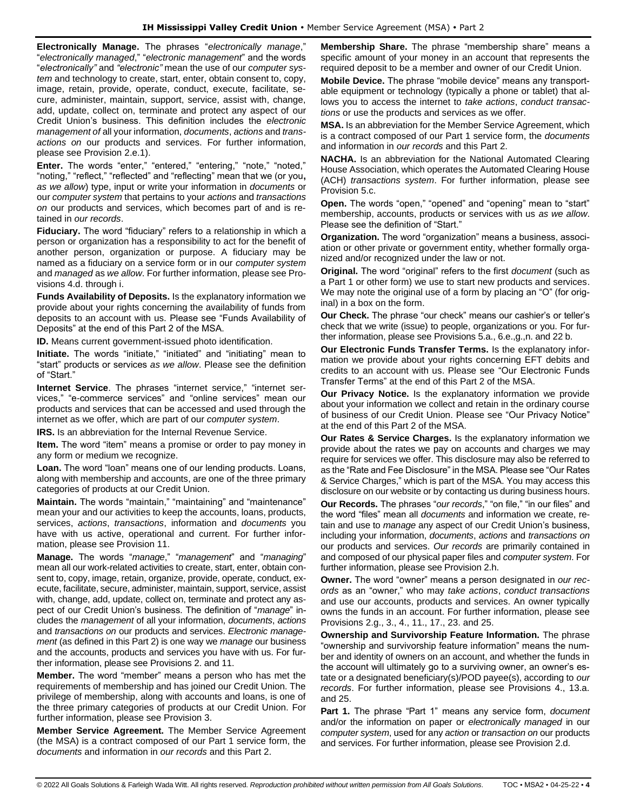**Electronically Manage.** The phrases "*electronically manage*," "*electronically managed*," "*electronic management*" and the words "*electronically"* and *"electronic"* mean the use of our *computer system* and technology to create, start, enter, obtain consent to, copy, image, retain, provide, operate, conduct, execute, facilitate, secure, administer, maintain, support, service, assist with, change, add, update, collect on, terminate and protect any aspect of our Credit Union's business. This definition includes the *electronic management of* all your information, *documents*, *actions* and *transactions on* our products and services. For further information, please see Provision 2.e.1).

**Enter.** The words "enter," "entered," "entering," "note," "noted," "noting," "reflect," "reflected" and "reflecting" mean that we (or you**,** *as we allow*) type, input or write your information in *documents* or our *computer system* that pertains to your *actions* and *transactions on* our products and services, which becomes part of and is retained in *our records*.

**Fiduciary.** The word "fiduciary" refers to a relationship in which a person or organization has a responsibility to act for the benefit of another person, organization or purpose. A fiduciary may be named as a fiduciary on a service form or in our *computer system* and *managed* as *we allow*. For further information, please see Provisions 4.d. through i.

**Funds Availability of Deposits.** Is the explanatory information we provide about your rights concerning the availability of funds from deposits to an account with us. Please see "Funds Availability of Deposits" at the end of this Part 2 of the MSA.

**ID.** Means current government-issued photo identification.

**Initiate.** The words "initiate," "initiated" and "initiating" mean to "start" products or services *as we allow*. Please see the definition of "Start."

**Internet Service**. The phrases "internet service," "internet services," "e-commerce services" and "online services" mean our products and services that can be accessed and used through the internet as we offer, which are part of our *computer system*.

**IRS.** Is an abbreviation for the Internal Revenue Service.

**Item.** The word "item" means a promise or order to pay money in any form or medium we recognize.

**Loan.** The word "loan" means one of our lending products. Loans, along with membership and accounts, are one of the three primary categories of products at our Credit Union.

**Maintain.** The words "maintain," "maintaining" and "maintenance" mean your and our activities to keep the accounts, loans, products, services, *actions*, *transactions*, information and *documents* you have with us active, operational and current. For further information, please see Provision 11.

**Manage.** The words "*manage*," "*management*" and "*managing*" mean all our work-related activities to create, start, enter, obtain consent to, copy, image, retain, organize, provide, operate, conduct, execute, facilitate, secure, administer, maintain, support, service, assist with, change, add, update, collect on, terminate and protect any aspect of our Credit Union's business. The definition of "*manage*" includes the *management* of all your information, *documents*, *actions* and *transactions on* our products and services. *Electronic management* (as defined in this Part 2) is one way we *manage* our business and the accounts, products and services you have with us. For further information, please see Provisions 2. and 11.

**Member.** The word "member" means a person who has met the requirements of membership and has joined our Credit Union. The privilege of membership, along with accounts and loans, is one of the three primary categories of products at our Credit Union. For further information, please see Provision 3.

**Member Service Agreement.** The Member Service Agreement (the MSA) is a contract composed of our Part 1 service form, the *documents* and information in *our records* and this Part 2.

**Membership Share.** The phrase "membership share" means a specific amount of your money in an account that represents the required deposit to be a member and owner of our Credit Union.

**Mobile Device.** The phrase "mobile device" means any transportable equipment or technology (typically a phone or tablet) that allows you to access the internet to *take actions*, *conduct transactions* or use the products and services as we offer.

**MSA.** Is an abbreviation for the Member Service Agreement, which is a contract composed of our Part 1 service form, the *documents* and information in *our records* and this Part 2.

**NACHA.** Is an abbreviation for the National Automated Clearing House Association, which operates the Automated Clearing House (ACH) *transactions system*. For further information, please see Provision 5.c.

**Open.** The words "open," "opened" and "opening" mean to "start" membership, accounts, products or services with us *as we allow*. Please see the definition of "Start."

**Organization.** The word "organization" means a business, association or other private or government entity, whether formally organized and/or recognized under the law or not.

**Original.** The word "original" refers to the first *document* (such as a Part 1 or other form) we use to start new products and services. We may note the original use of a form by placing an "O" (for original) in a box on the form.

**Our Check.** The phrase "our check" means our cashier's or teller's check that we write (issue) to people, organizations or you. For further information, please see Provisions 5.a., 6.e.,g.,n. and 22 b.

**Our Electronic Funds Transfer Terms.** Is the explanatory information we provide about your rights concerning EFT debits and credits to an account with us. Please see "Our Electronic Funds Transfer Terms" at the end of this Part 2 of the MSA.

**Our Privacy Notice.** Is the explanatory information we provide about your information we collect and retain in the ordinary course of business of our Credit Union. Please see "Our Privacy Notice" at the end of this Part 2 of the MSA.

**Our Rates & Service Charges.** Is the explanatory information we provide about the rates we pay on accounts and charges we may require for services we offer. This disclosure may also be referred to as the "Rate and Fee Disclosure" in the MSA. Please see "Our Rates & Service Charges," which is part of the MSA. You may access this disclosure on our website or by contacting us during business hours.

**Our Records.** The phrases "*our records*," "on file," "in our files" and the word "files" mean all *documents* and information we create, retain and use to *manage* any aspect of our Credit Union's business, including your information, *documents*, *actions* and *transactions on* our products and services. *Our records* are primarily contained in and composed of our physical paper files and *computer system*. For further information, please see Provision 2.h.

**Owner.** The word "owner" means a person designated in *our records* as an "owner," who may *take actions*, *conduct transactions*  and use our accounts, products and services. An owner typically owns the funds in an account. For further information, please see Provisions 2.g., 3., 4., 11., 17., 23. and 25.

**Ownership and Survivorship Feature Information.** The phrase "ownership and survivorship feature information" means the number and identity of owners on an account, and whether the funds in the account will ultimately go to a surviving owner, an owner's estate or a designated beneficiary(s)/POD payee(s), according to *our records*. For further information, please see Provisions 4., 13.a. and 25.

**Part 1.** The phrase "Part 1" means any service form, *document* and/or the information on paper or *electronically managed* in our *computer system*, used for any *action* or *transaction on* our products and services. For further information, please see Provision 2.d.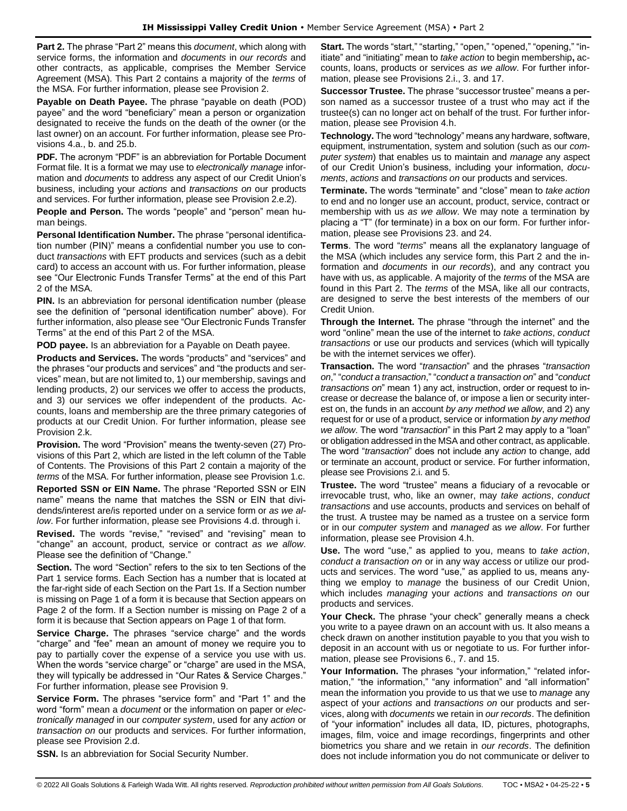**Part 2.** The phrase "Part 2" means this *document*, which along with service forms, the information and *documents* in *our records* and other contracts, as applicable, comprises the Member Service Agreement (MSA). This Part 2 contains a majority of the *terms* of the MSA. For further information, please see Provision 2.

**Payable on Death Payee.** The phrase "payable on death (POD) payee" and the word "beneficiary" mean a person or organization designated to receive the funds on the death of the owner (or the last owner) on an account. For further information, please see Provisions 4.a., b. and 25.b.

**PDF.** The acronym "PDF" is an abbreviation for Portable Document Format file. It is a format we may use to *electronically manage* information and *documents* to address any aspect of our Credit Union's business, including your *actions* and *transactions on* our products and services. For further information, please see Provision 2.e.2).

**People and Person.** The words "people" and "person" mean human beings.

**Personal Identification Number.** The phrase "personal identification number (PIN)" means a confidential number you use to conduct *transactions* with EFT products and services (such as a debit card) to access an account with us. For further information, please see "Our Electronic Funds Transfer Terms" at the end of this Part 2 of the MSA.

**PIN.** Is an abbreviation for personal identification number (please see the definition of "personal identification number" above). For further information, also please see "Our Electronic Funds Transfer Terms" at the end of this Part 2 of the MSA.

**POD payee.** Is an abbreviation for a Payable on Death payee.

**Products and Services.** The words "products" and "services" and the phrases "our products and services" and "the products and services" mean, but are not limited to, 1) our membership, savings and lending products, 2) our services we offer to access the products, and 3) our services we offer independent of the products. Accounts, loans and membership are the three primary categories of products at our Credit Union. For further information, please see Provision 2.k.

**Provision.** The word "Provision" means the twenty-seven (27) Provisions of this Part 2, which are listed in the left column of the Table of Contents. The Provisions of this Part 2 contain a majority of the *terms* of the MSA. For further information, please see Provision 1.c.

**Reported SSN or EIN Name.** The phrase "Reported SSN or EIN name" means the name that matches the SSN or EIN that dividends/interest are/is reported under on a service form or *as we allow*. For further information, please see Provisions 4.d. through i.

**Revised.** The words "revise," "revised" and "revising" mean to "change" an account, product, service or contract *as we allow*. Please see the definition of "Change."

**Section.** The word "Section" refers to the six to ten Sections of the Part 1 service forms. Each Section has a number that is located at the far-right side of each Section on the Part 1s. If a Section number is missing on Page 1 of a form it is because that Section appears on Page 2 of the form. If a Section number is missing on Page 2 of a form it is because that Section appears on Page 1 of that form.

**Service Charge.** The phrases "service charge" and the words "charge" and "fee" mean an amount of money we require you to pay to partially cover the expense of a service you use with us. When the words "service charge" or "charge" are used in the MSA, they will typically be addressed in "Our Rates & Service Charges." For further information, please see Provision 9.

**Service Form.** The phrases "service form" and "Part 1" and the word "form" mean a *document* or the information on paper or *electronically managed* in our *computer system*, used for any *action* or *transaction on* our products and services. For further information, please see Provision 2.d.

**Start.** The words "start," "starting," "open," "opened," "opening," "initiate" and "initiating" mean to *take action* to begin membership**,** accounts, loans, products or services *as we allow*. For further information, please see Provisions 2.i., 3. and 17.

**Successor Trustee.** The phrase "successor trustee" means a person named as a successor trustee of a trust who may act if the trustee(s) can no longer act on behalf of the trust. For further information, please see Provision 4.h.

**Technology.** The word "technology" means any hardware, software, equipment, instrumentation, system and solution (such as our *computer system*) that enables us to maintain and *manage* any aspect of our Credit Union's business, including your information, *documents*, *actions* and *transactions on* our products and services.

**Terminate.** The words "terminate" and "close" mean to *take action* to end and no longer use an account, product, service, contract or membership with us *as we allow*. We may note a termination by placing a "T" (for terminate) in a box on our form. For further information, please see Provisions 23. and 24.

**Terms**. The word "*terms*" means all the explanatory language of the MSA (which includes any service form, this Part 2 and the information and *documents* in *our records*), and any contract you have with us, as applicable. A majority of the *terms* of the MSA are found in this Part 2. The *terms* of the MSA, like all our contracts, are designed to serve the best interests of the members of our Credit Union.

**Through the Internet.** The phrase "through the internet" and the word "online" mean the use of the internet to *take actions*, *conduct transactions* or use our products and services (which will typically be with the internet services we offer).

**Transaction.** The word "*transaction*" and the phrases "*transaction on*," "*conduct a transaction*," "*conduct a transaction on*" and "*conduct transactions on*" mean 1) any act, instruction, order or request to increase or decrease the balance of, or impose a lien or security interest on, the funds in an account *by any method we allow*, and 2) any request for or use of a product, service or information *by any method we allow*. The word "*transaction*" in this Part 2 may apply to a "loan" or obligation addressed in the MSA and other contract, as applicable. The word "*transaction*" does not include any *action* to change, add or terminate an account, product or service. For further information, please see Provisions 2.i. and 5.

**Trustee.** The word "trustee" means a fiduciary of a revocable or irrevocable trust, who, like an owner, may *take actions*, *conduct transactions* and use accounts, products and services on behalf of the trust. A trustee may be named as a trustee on a service form or in our *computer system* and *managed* as *we allow*. For further information, please see Provision 4.h.

**Use.** The word "use," as applied to you, means to *take action*, *conduct a transaction on* or in any way access or utilize our products and services. The word "use," as applied to us, means anything we employ to *manage* the business of our Credit Union, which includes *managing* your *actions* and *transactions on* our products and services.

**Your Check.** The phrase "your check" generally means a check you write to a payee drawn on an account with us. It also means a check drawn on another institution payable to you that you wish to deposit in an account with us or negotiate to us. For further information, please see Provisions 6., 7. and 15.

**Your Information.** The phrases "your information," "related information," "the information," "any information" and "all information" mean the information you provide to us that we use to *manage* any aspect of your *actions* and *transactions on* our products and services, along with *documents* we retain in *our records*. The definition of "your information" includes all data, ID, pictures, photographs, images, film, voice and image recordings, fingerprints and other biometrics you share and we retain in *our records*. The definition does not include information you do not communicate or deliver to

**SSN.** Is an abbreviation for Social Security Number.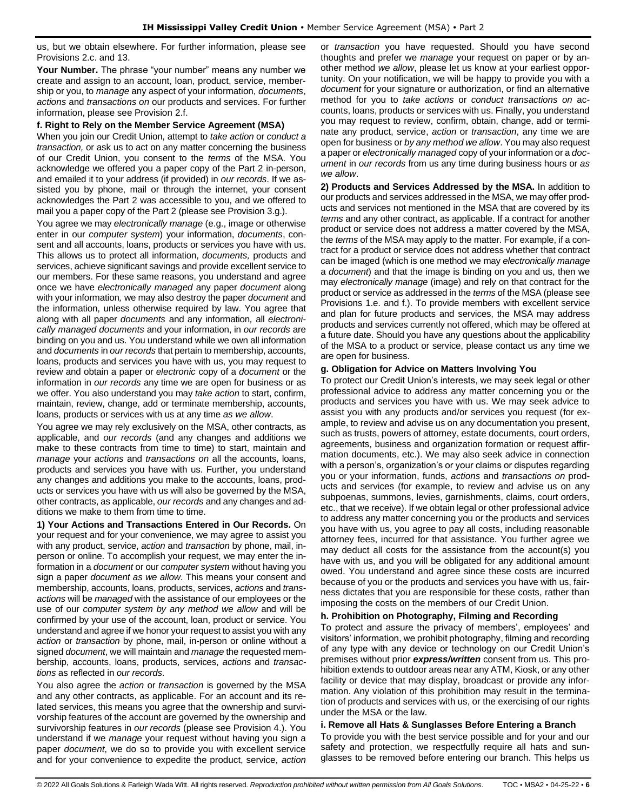us, but we obtain elsewhere. For further information, please see Provisions 2.c. and 13.

**Your Number.** The phrase "your number" means any number we create and assign to an account, loan, product, service, membership or you, to *manage* any aspect of your information, *documents*, *actions* and *transactions on* our products and services. For further information, please see Provision 2.f.

#### **f. Right to Rely on the Member Service Agreement (MSA)**

When you join our Credit Union, attempt to *take action* or *conduct a transaction,* or ask us to act on any matter concerning the business of our Credit Union, you consent to the *terms* of the MSA. You acknowledge we offered you a paper copy of the Part 2 in-person, and emailed it to your address (if provided) in *our records*. If we assisted you by phone, mail or through the internet, your consent acknowledges the Part 2 was accessible to you, and we offered to mail you a paper copy of the Part 2 (please see Provision 3.g.).

You agree we may *electronically manage* (e.g., image or otherwise enter in our *computer system*) your information, *documents*, consent and all accounts, loans, products or services you have with us. This allows us to protect all information, *documents,* products and services, achieve significant savings and provide excellent service to our members. For these same reasons, you understand and agree once we have *electronically managed* any paper *document* along with your information*,* we may also destroy the paper *document* and the information, unless otherwise required by law. You agree that along with all paper *documents* and any information*,* all *electronically managed documents* and your information, in *our records* are binding on you and us. You understand while we own all information and *documents* in *our records* that pertain to membership, accounts, loans, products and services you have with us, you may request to review and obtain a paper or *electronic* copy of a *document* or the information in *our records* any time we are open for business or as we offer. You also understand you may *take action* to start, confirm, maintain, review, change, add or terminate membership, accounts, loans, products or services with us at any time *as we allow*.

You agree we may rely exclusively on the MSA, other contracts, as applicable, and *our records* (and any changes and additions we make to these contracts from time to time) to start, maintain and *manage* your *actions* and *transactions on* all the accounts, loans, products and services you have with us. Further, you understand any changes and additions you make to the accounts, loans, products or services you have with us will also be governed by the MSA, other contracts, as applicable, *our records* and any changes and additions we make to them from time to time.

**1) Your Actions and Transactions Entered in Our Records.** On your request and for your convenience, we may agree to assist you with any product, service, *action* and *transaction* by phone, mail, inperson or online. To accomplish your request, we may enter the information in a *document* or our *computer system* without having you sign a paper *document as we allow*. This means your consent and membership, accounts, loans, products, services, *actions* and *transactions* will be *managed* with the assistance of our employees or the use of our *computer system by any method we allow* and will be confirmed by your use of the account, loan, product or service. You understand and agree if we honor your request to assist you with any *action* or *transaction* by phone, mail, in-person or online without a signed *document*, we will maintain and *manage* the requested membership, accounts, loans, products, services, *actions* and *transactions* as reflected in *our records*.

You also agree the *action* or *transaction* is governed by the MSA and any other contracts, as applicable. For an account and its related services, this means you agree that the ownership and survivorship features of the account are governed by the ownership and survivorship features in *our records* (please see Provision 4.). You understand if we *manage* your request without having you sign a paper *document*, we do so to provide you with excellent service and for your convenience to expedite the product, service, *action*  or *transaction* you have requested. Should you have second thoughts and prefer we *manage* your request on paper or by another method *we allow*, please let us know at your earliest opportunity. On your notification, we will be happy to provide you with a *document* for your signature or authorization, or find an alternative method for you to *take actions* or *conduct transactions on* accounts, loans, products or services with us. Finally, you understand you may request to review, confirm, obtain, change, add or terminate any product, service, *action* or *transaction*, any time we are open for business or *by any method we allow*. You may also request a paper or *electronically managed* copy of your information or a *document* in *our records* from us any time during business hours or *as we allow*.

**2) Products and Services Addressed by the MSA.** In addition to our products and services addressed in the MSA, we may offer products and services not mentioned in the MSA that are covered by its *terms* and any other contract, as applicable. If a contract for another product or service does not address a matter covered by the MSA, the *terms* of the MSA may apply to the matter. For example, if a contract for a product or service does not address whether that contract can be imaged (which is one method we may *electronically manage*  a *document*) and that the image is binding on you and us, then we may *electronically manage* (image) and rely on that contract for the product or service as addressed in the *terms* of the MSA (please see Provisions 1.e. and f.). To provide members with excellent service and plan for future products and services, the MSA may address products and services currently not offered, which may be offered at a future date. Should you have any questions about the applicability of the MSA to a product or service, please contact us any time we are open for business.

### **g. Obligation for Advice on Matters Involving You**

To protect our Credit Union's interests, we may seek legal or other professional advice to address any matter concerning you or the products and services you have with us. We may seek advice to assist you with any products and/or services you request (for example, to review and advise us on any documentation you present, such as trusts, powers of attorney, estate documents, court orders, agreements, business and organization formation or request affirmation documents, etc.). We may also seek advice in connection with a person's, organization's or your claims or disputes regarding you or your information, funds, *actions* and *transactions on* products and services (for example, to review and advise us on any subpoenas, summons, levies, garnishments, claims, court orders, etc., that we receive). If we obtain legal or other professional advice to address any matter concerning you or the products and services you have with us, you agree to pay all costs, including reasonable attorney fees, incurred for that assistance. You further agree we may deduct all costs for the assistance from the account(s) you have with us, and you will be obligated for any additional amount owed. You understand and agree since these costs are incurred because of you or the products and services you have with us, fairness dictates that you are responsible for these costs, rather than imposing the costs on the members of our Credit Union.

#### **h. Prohibition on Photography, Filming and Recording**

To protect and assure the privacy of members', employees' and visitors' information, we prohibit photography, filming and recording of any type with any device or technology on our Credit Union's premises without prior *express/written* consent from us. This prohibition extends to outdoor areas near any ATM, Kiosk, or any other facility or device that may display, broadcast or provide any information. Any violation of this prohibition may result in the termination of products and services with us, or the exercising of our rights under the MSA or the law.

# **i. Remove all Hats & Sunglasses Before Entering a Branch**

To provide you with the best service possible and for your and our safety and protection, we respectfully require all hats and sunglasses to be removed before entering our branch. This helps us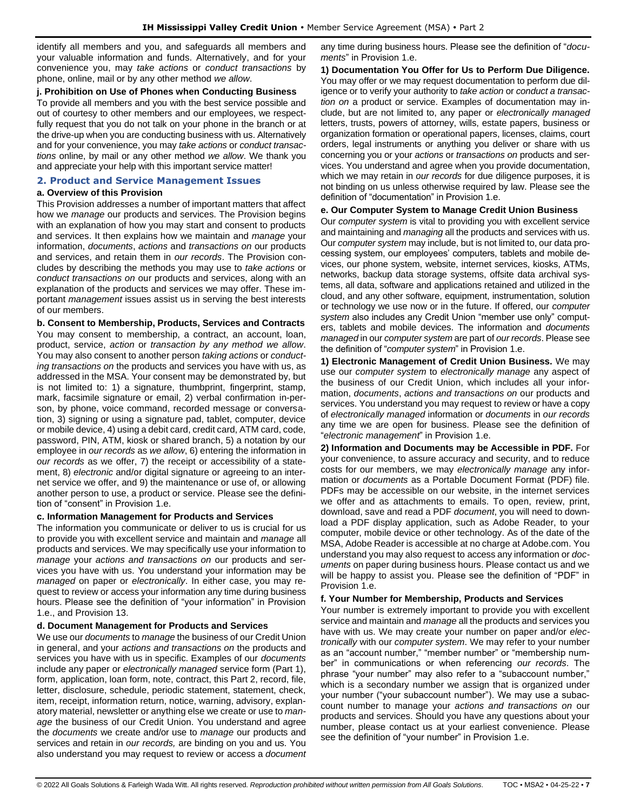identify all members and you, and safeguards all members and your valuable information and funds. Alternatively, and for your convenience you, may *take actions* or *conduct transactions* by phone, online, mail or by any other method *we allow*.

### **j. Prohibition on Use of Phones when Conducting Business**

To provide all members and you with the best service possible and out of courtesy to other members and our employees, we respectfully request that you do not talk on your phone in the branch or at the drive-up when you are conducting business with us. Alternatively and for your convenience, you may *take actions* or *conduct transactions* online, by mail or any other method *we allow*. We thank you and appreciate your help with this important service matter!

# <span id="page-6-0"></span>**2. Product and Service Management Issues**

# **a. Overview of this Provision**

This Provision addresses a number of important matters that affect how we *manage* our products and services. The Provision begins with an explanation of how you may start and consent to products and services. It then explains how we maintain and *manage* your information, *documents*, *actions* and *transactions on* our products and services, and retain them in *our records*. The Provision concludes by describing the methods you may use to *take actions* or *conduct transactions on* our products and services, along with an explanation of the products and services we may offer. These important *management* issues assist us in serving the best interests of our members.

**b. Consent to Membership, Products, Services and Contracts** You may consent to membership, a contract, an account, loan, product, service, *action* or *transaction by any method we allow*. You may also consent to another person *taking actions* or *conducting transactions on* the products and services you have with us, as addressed in the MSA. Your consent may be demonstrated by, but is not limited to: 1) a signature, thumbprint, fingerprint, stamp, mark, facsimile signature or email, 2) verbal confirmation in-person, by phone, voice command, recorded message or conversation, 3) signing or using a signature pad, tablet, computer, device or mobile device, 4) using a debit card, credit card, ATM card, code, password, PIN, ATM, kiosk or shared branch, 5) a notation by our employee in *our records* as *we allow*, 6) entering the information in *our records* as we offer, 7) the receipt or accessibility of a statement, 8) *electronic* and/or digital signature or agreeing to an internet service we offer, and 9) the maintenance or use of, or allowing another person to use, a product or service. Please see the definition of "consent" in Provision 1.e.

# **c. Information Management for Products and Services**

The information you communicate or deliver to us is crucial for us to provide you with excellent service and maintain and *manage* all products and services. We may specifically use your information to *manage* your *actions and transactions on* our products and services you have with us. You understand your information may be *managed* on paper or *electronically*. In either case, you may request to review or access your information any time during business hours. Please see the definition of "your information" in Provision 1.e., and Provision 13.

# **d. Document Management for Products and Services**

We use our *documents* to *manage* the business of our Credit Union in general, and your *actions and transactions on* the products and services you have with us in specific. Examples of our *documents* include any paper or *electronically managed* service form (Part 1), form, application, loan form, note, contract, this Part 2, record, file, letter, disclosure, schedule, periodic statement, statement, check, item, receipt, information return, notice, warning, advisory, explanatory material, newsletter or anything else we create or use to *manage* the business of our Credit Union. You understand and agree the *documents* we create and/or use to *manage* our products and services and retain in *our records,* are binding on you and us. You also understand you may request to review or access a *document*  any time during business hours. Please see the definition of "*documents*" in Provision 1.e.

**1) Documentation You Offer for Us to Perform Due Diligence.** You may offer or we may request documentation to perform due diligence or to verify your authority to *take action* or *conduct a transaction on* a product or service. Examples of documentation may include, but are not limited to, any paper or *electronically managed* letters, trusts, powers of attorney, wills, estate papers, business or organization formation or operational papers, licenses, claims, court orders, legal instruments or anything you deliver or share with us concerning you or your *actions* or *transactions on* products and services. You understand and agree when you provide documentation, which we may retain in *our records* for due diligence purposes, it is not binding on us unless otherwise required by law. Please see the definition of "documentation" in Provision 1.e.

### **e. Our Computer System to Manage Credit Union Business**

Our *computer system* is vital to providing you with excellent service and maintaining and *managing* all the products and services with us. Our *computer system* may include, but is not limited to, our data processing system, our employees' computers, tablets and mobile devices, our phone system, website, internet services, kiosks, ATMs, networks, backup data storage systems, offsite data archival systems, all data, software and applications retained and utilized in the cloud, and any other software, equipment, instrumentation, solution or technology we use now or in the future. If offered, our *computer system* also includes any Credit Union "member use only" computers, tablets and mobile devices. The information and *documents managed* in our *computer system* are part of *our records*. Please see the definition of "*computer system*" in Provision 1.e.

**1) Electronic Management of Credit Union Business.** We may use our *computer system* to *electronically manage* any aspect of the business of our Credit Union, which includes all your information, *documents*, *actions and transactions on* our products and services. You understand you may request to review or have a copy of *electronically managed* information or *documents* in *our records* any time we are open for business. Please see the definition of "*electronic management*" in Provision 1.e.

**2) Information and Documents may be Accessible in PDF.** For your convenience, to assure accuracy and security, and to reduce costs for our members, we may *electronically manage* any information or *documents* as a Portable Document Format (PDF) file. PDFs may be accessible on our website, in the internet services we offer and as attachments to emails. To open, review, print, download, save and read a PDF *document*, you will need to download a PDF display application, such as Adobe Reader, to your computer, mobile device or other technology. As of the date of the MSA, Adobe Reader is accessible at no charge at Adobe.com. You understand you may also request to access any information or *documents* on paper during business hours. Please contact us and we will be happy to assist you. Please see the definition of "PDF" in Provision 1.e.

# **f. Your Number for Membership, Products and Services**

Your number is extremely important to provide you with excellent service and maintain and *manage* all the products and services you have with us. We may create your number on paper and/or *electronically* with our *computer system*. We may refer to your number as an "account number," "member number" or "membership number" in communications or when referencing *our records*. The phrase "your number" may also refer to a "subaccount number," which is a secondary number we assign that is organized under your number ("your subaccount number"). We may use a subaccount number to manage your *actions and transactions on* our products and services. Should you have any questions about your number, please contact us at your earliest convenience. Please see the definition of "your number" in Provision 1.e.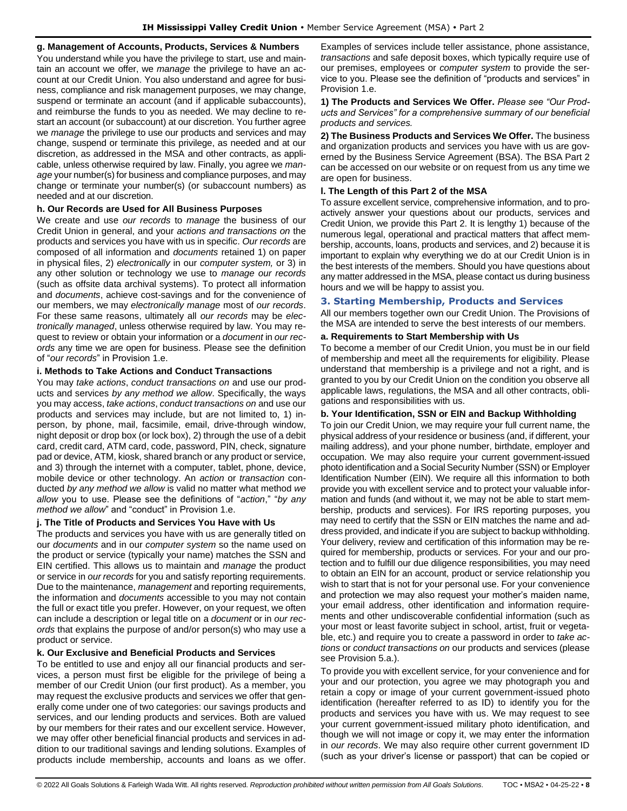# **g. Management of Accounts, Products, Services & Numbers**

You understand while you have the privilege to start, use and maintain an account we offer, we *manage* the privilege to have an account at our Credit Union. You also understand and agree for business, compliance and risk management purposes, we may change, suspend or terminate an account (and if applicable subaccounts), and reimburse the funds to you as needed. We may decline to restart an account (or subaccount) at our discretion. You further agree we *manage* the privilege to use our products and services and may change, suspend or terminate this privilege, as needed and at our discretion, as addressed in the MSA and other contracts, as applicable, unless otherwise required by law. Finally, you agree we *manage* your number(s) for business and compliance purposes, and may change or terminate your number(s) (or subaccount numbers) as needed and at our discretion.

### **h. Our Records are Used for All Business Purposes**

We create and use *our records* to *manage* the business of our Credit Union in general, and your *actions and transactions on* the products and services you have with us in specific. *Our records* are composed of all information and *documents* retained 1) on paper in physical files, 2) *electronically* in our *computer system,* or 3) in any other solution or technology we use to *manage our records* (such as offsite data archival systems). To protect all information and *documents*, achieve cost-savings and for the convenience of our members, we may *electronically manage* most of *our records*. For these same reasons, ultimately all *our records* may be *electronically managed*, unless otherwise required by law. You may request to review or obtain your information or a *document* in *our records* any time we are open for business. Please see the definition of "*our records*" in Provision 1.e.

#### **i. Methods to Take Actions and Conduct Transactions**

You may *take actions*, *conduct transactions on* and use our products and services *by any method we allow*. Specifically, the ways you may access, *take actions*, *conduct transactions on* and use our products and services may include, but are not limited to, 1) inperson, by phone, mail, facsimile, email, drive-through window, night deposit or drop box (or lock box), 2) through the use of a debit card, credit card, ATM card, code, password, PIN, check, signature pad or device, ATM, kiosk, shared branch or any product or service, and 3) through the internet with a computer, tablet, phone, device, mobile device or other technology. An *action* or *transaction* conducted *by any method we allow* is valid no matter what method *we allow* you to use. Please see the definitions of "*action*," "*by any method we allow*" and "conduct" in Provision 1.e.

#### **j. The Title of Products and Services You Have with Us**

The products and services you have with us are generally titled on our *documents* and in our *computer system* so the name used on the product or service (typically your name) matches the SSN and EIN certified. This allows us to maintain and *manage* the product or service in *our records* for you and satisfy reporting requirements. Due to the maintenance, *management* and reporting requirements, the information and *documents* accessible to you may not contain the full or exact title you prefer. However, on your request, we often can include a description or legal title on a *document* or in *our records* that explains the purpose of and/or person(s) who may use a product or service.

# **k. Our Exclusive and Beneficial Products and Services**

To be entitled to use and enjoy all our financial products and services, a person must first be eligible for the privilege of being a member of our Credit Union (our first product). As a member, you may request the exclusive products and services we offer that generally come under one of two categories: our savings products and services, and our lending products and services. Both are valued by our members for their rates and our excellent service. However, we may offer other beneficial financial products and services in addition to our traditional savings and lending solutions. Examples of products include membership, accounts and loans as we offer. Examples of services include teller assistance, phone assistance, *transactions* and safe deposit boxes, which typically require use of our premises, employees or *computer system* to provide the service to you. Please see the definition of "products and services" in Provision 1.e.

**1) The Products and Services We Offer.** *Please see "Our Products and Services" for a comprehensive summary of our beneficial products and services.*

**2) The Business Products and Services We Offer.** The business and organization products and services you have with us are governed by the Business Service Agreement (BSA). The BSA Part 2 can be accessed on our website or on request from us any time we are open for business.

### **l. The Length of this Part 2 of the MSA**

To assure excellent service, comprehensive information, and to proactively answer your questions about our products, services and Credit Union, we provide this Part 2. It is lengthy 1) because of the numerous legal, operational and practical matters that affect membership, accounts, loans, products and services, and 2) because it is important to explain why everything we do at our Credit Union is in the best interests of the members. Should you have questions about any matter addressed in the MSA, please contact us during business hours and we will be happy to assist you.

# <span id="page-7-0"></span>**3. Starting Membership, Products and Services**

All our members together own our Credit Union. The Provisions of the MSA are intended to serve the best interests of our members.

# **a. Requirements to Start Membership with Us**

To become a member of our Credit Union, you must be in our field of membership and meet all the requirements for eligibility. Please understand that membership is a privilege and not a right, and is granted to you by our Credit Union on the condition you observe all applicable laws, regulations, the MSA and all other contracts, obligations and responsibilities with us.

#### **b. Your Identification, SSN or EIN and Backup Withholding**

To join our Credit Union, we may require your full current name, the physical address of your residence or business (and, if different, your mailing address), and your phone number, birthdate, employer and occupation. We may also require your current government-issued photo identification and a Social Security Number (SSN) or Employer Identification Number (EIN). We require all this information to both provide you with excellent service and to protect your valuable information and funds (and without it, we may not be able to start membership, products and services). For IRS reporting purposes, you may need to certify that the SSN or EIN matches the name and address provided, and indicate if you are subject to backup withholding. Your delivery, review and certification of this information may be required for membership, products or services. For your and our protection and to fulfill our due diligence responsibilities, you may need to obtain an EIN for an account, product or service relationship you wish to start that is not for your personal use. For your convenience and protection we may also request your mother's maiden name, your email address, other identification and information requirements and other undiscoverable confidential information (such as your most or least favorite subject in school, artist, fruit or vegetable, etc.) and require you to create a password in order to *take actions* or *conduct transactions on* our products and services (please see Provision 5.a.).

To provide you with excellent service, for your convenience and for your and our protection, you agree we may photograph you and retain a copy or image of your current government-issued photo identification (hereafter referred to as ID) to identify you for the products and services you have with us. We may request to see your current government-issued military photo identification, and though we will not image or copy it, we may enter the information in *our records*. We may also require other current government ID (such as your driver's license or passport) that can be copied or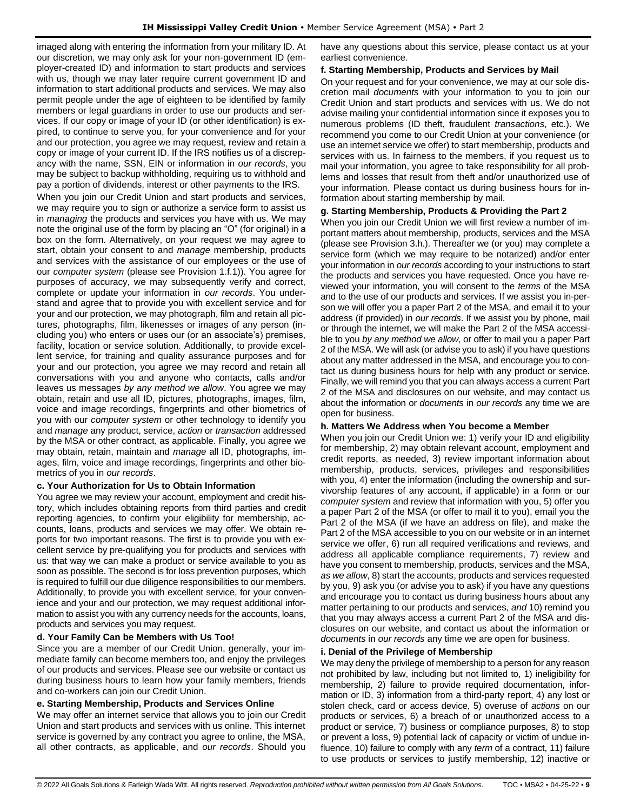imaged along with entering the information from your military ID. At our discretion, we may only ask for your non-government ID (employer-created ID) and information to start products and services with us, though we may later require current government ID and information to start additional products and services. We may also permit people under the age of eighteen to be identified by family members or legal guardians in order to use our products and services. If our copy or image of your ID (or other identification) is expired, to continue to serve you, for your convenience and for your and our protection, you agree we may request, review and retain a copy or image of your current ID. If the IRS notifies us of a discrepancy with the name, SSN, EIN or information in *our records*, you may be subject to backup withholding, requiring us to withhold and pay a portion of dividends, interest or other payments to the IRS.

When you join our Credit Union and start products and services, we may require you to sign or authorize a service form to assist us in *managing* the products and services you have with us. We may note the original use of the form by placing an "O" (for original) in a box on the form. Alternatively, on your request we may agree to start, obtain your consent to and *manage* membership, products and services with the assistance of our employees or the use of our *computer system* (please see Provision 1.f.1)). You agree for purposes of accuracy, we may subsequently verify and correct, complete or update your information in *our records*. You understand and agree that to provide you with excellent service and for your and our protection, we may photograph, film and retain all pictures, photographs, film, likenesses or images of any person (including you) who enters or uses our (or an associate's) premises, facility, location or service solution. Additionally, to provide excellent service, for training and quality assurance purposes and for your and our protection, you agree we may record and retain all conversations with you and anyone who contacts, calls and/or leaves us messages *by any method we allow*. You agree we may obtain, retain and use all ID, pictures, photographs, images, film, voice and image recordings, fingerprints and other biometrics of you with our *computer system* or other technology to identify you and *manage* any product, service, *action* or *transaction* addressed by the MSA or other contract, as applicable. Finally, you agree we may obtain, retain, maintain and *manage* all ID, photographs, images, film, voice and image recordings, fingerprints and other biometrics of you in *our records*.

# **c. Your Authorization for Us to Obtain Information**

You agree we may review your account, employment and credit history, which includes obtaining reports from third parties and credit reporting agencies, to confirm your eligibility for membership, accounts, loans, products and services we may offer. We obtain reports for two important reasons. The first is to provide you with excellent service by pre-qualifying you for products and services with us: that way we can make a product or service available to you as soon as possible. The second is for loss prevention purposes, which is required to fulfill our due diligence responsibilities to our members. Additionally, to provide you with excellent service, for your convenience and your and our protection, we may request additional information to assist you with any currency needs for the accounts, loans, products and services you may request.

# **d. Your Family Can be Members with Us Too!**

Since you are a member of our Credit Union, generally, your immediate family can become members too, and enjoy the privileges of our products and services. Please see our website or contact us during business hours to learn how your family members, friends and co-workers can join our Credit Union.

# **e. Starting Membership, Products and Services Online**

We may offer an internet service that allows you to join our Credit Union and start products and services with us online. This internet service is governed by any contract you agree to online, the MSA, all other contracts, as applicable, and *our records*. Should you

have any questions about this service, please contact us at your earliest convenience.

# **f. Starting Membership, Products and Services by Mail**

On your request and for your convenience, we may at our sole discretion mail *documents* with your information to you to join our Credit Union and start products and services with us. We do not advise mailing your confidential information since it exposes you to numerous problems (ID theft, fraudulent *transactions*, etc.). We recommend you come to our Credit Union at your convenience (or use an internet service we offer) to start membership, products and services with us. In fairness to the members, if you request us to mail your information, you agree to take responsibility for all problems and losses that result from theft and/or unauthorized use of your information. Please contact us during business hours for information about starting membership by mail.

# **g. Starting Membership, Products & Providing the Part 2**

When you join our Credit Union we will first review a number of important matters about membership, products, services and the MSA (please see Provision 3.h.). Thereafter we (or you) may complete a service form (which we may require to be notarized) and/or enter your information in *our records* according to your instructions to start the products and services you have requested. Once you have reviewed your information, you will consent to the *terms* of the MSA and to the use of our products and services. If we assist you in-person we will offer you a paper Part 2 of the MSA, and email it to your address (if provided) in *our records*. If we assist you by phone, mail or through the internet, we will make the Part 2 of the MSA accessible to you *by any method we allow*, or offer to mail you a paper Part 2 of the MSA. We will ask (or advise you to ask) if you have questions about any matter addressed in the MSA, and encourage you to contact us during business hours for help with any product or service. Finally, we will remind you that you can always access a current Part 2 of the MSA and disclosures on our website, and may contact us about the information or *documents* in *our records* any time we are open for business.

# **h. Matters We Address when You become a Member**

When you join our Credit Union we: 1) verify your ID and eligibility for membership, 2) may obtain relevant account, employment and credit reports, as needed, 3) review important information about membership, products, services, privileges and responsibilities with you, 4) enter the information (including the ownership and survivorship features of any account, if applicable) in a form or our *computer system* and review that information with you, 5) offer you a paper Part 2 of the MSA (or offer to mail it to you), email you the Part 2 of the MSA (if we have an address on file), and make the Part 2 of the MSA accessible to you on our website or in an internet service we offer, 6) run all required verifications and reviews, and address all applicable compliance requirements, 7) review and have you consent to membership, products, services and the MSA, *as we allow*, 8) start the accounts, products and services requested by you, 9) ask you (or advise you to ask) if you have any questions and encourage you to contact us during business hours about any matter pertaining to our products and services, *and* 10) remind you that you may always access a current Part 2 of the MSA and disclosures on our website, and contact us about the information or *documents* in *our records* any time we are open for business.

# **i. Denial of the Privilege of Membership**

We may deny the privilege of membership to a person for any reason not prohibited by law, including but not limited to, 1) ineligibility for membership, 2) failure to provide required documentation, information or ID, 3) information from a third-party report, 4) any lost or stolen check, card or access device, 5) overuse of *actions* on our products or services, 6) a breach of or unauthorized access to a product or service, 7) business or compliance purposes, 8) to stop or prevent a loss, 9) potential lack of capacity or victim of undue influence, 10) failure to comply with any *term* of a contract, 11) failure to use products or services to justify membership, 12) inactive or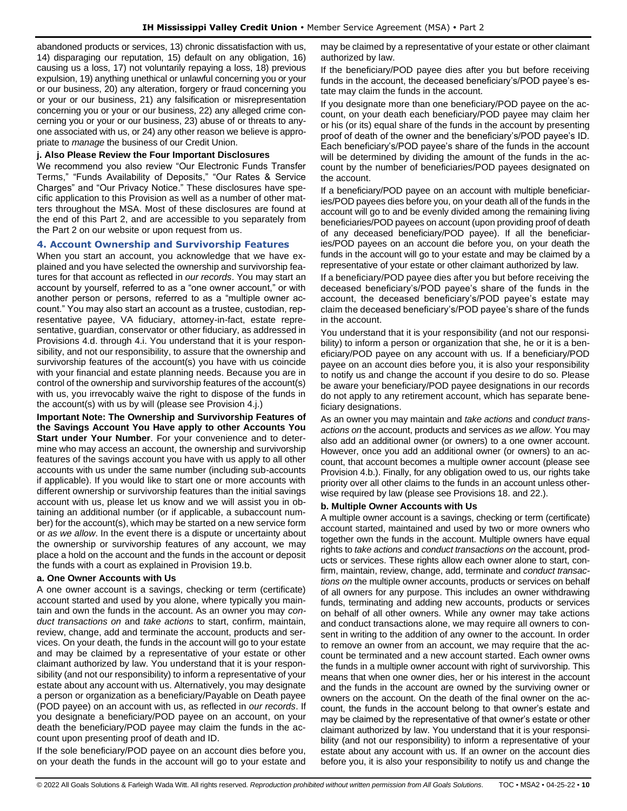abandoned products or services, 13) chronic dissatisfaction with us, 14) disparaging our reputation, 15) default on any obligation, 16) causing us a loss, 17) not voluntarily repaying a loss, 18) previous expulsion, 19) anything unethical or unlawful concerning you or your or our business, 20) any alteration, forgery or fraud concerning you or your or our business, 21) any falsification or misrepresentation concerning you or your or our business, 22) any alleged crime concerning you or your or our business, 23) abuse of or threats to anyone associated with us, or 24) any other reason we believe is appropriate to *manage* the business of our Credit Union.

### **j. Also Please Review the Four Important Disclosures**

We recommend you also review "Our Electronic Funds Transfer Terms," "Funds Availability of Deposits," "Our Rates & Service Charges" and "Our Privacy Notice." These disclosures have specific application to this Provision as well as a number of other matters throughout the MSA. Most of these disclosures are found at the end of this Part 2, and are accessible to you separately from the Part 2 on our website or upon request from us.

### <span id="page-9-0"></span>**4. Account Ownership and Survivorship Features**

When you start an account, you acknowledge that we have explained and you have selected the ownership and survivorship features for that account as reflected in *our records*. You may start an account by yourself, referred to as a "one owner account," or with another person or persons, referred to as a "multiple owner account." You may also start an account as a trustee, custodian, representative payee, VA fiduciary, attorney-in-fact, estate representative, guardian, conservator or other fiduciary, as addressed in Provisions 4.d. through 4.i. You understand that it is your responsibility, and not our responsibility, to assure that the ownership and survivorship features of the account(s) you have with us coincide with your financial and estate planning needs. Because you are in control of the ownership and survivorship features of the account(s) with us, you irrevocably waive the right to dispose of the funds in the account(s) with us by will (please see Provision 4.j.)

**Important Note: The Ownership and Survivorship Features of the Savings Account You Have apply to other Accounts You Start under Your Number**. For your convenience and to determine who may access an account, the ownership and survivorship features of the savings account you have with us apply to all other accounts with us under the same number (including sub-accounts if applicable). If you would like to start one or more accounts with different ownership or survivorship features than the initial savings account with us, please let us know and we will assist you in obtaining an additional number (or if applicable, a subaccount number) for the account(s), which may be started on a new service form or *as we allow*. In the event there is a dispute or uncertainty about the ownership or survivorship features of any account, we may place a hold on the account and the funds in the account or deposit the funds with a court as explained in Provision 19.b.

#### **a. One Owner Accounts with Us**

A one owner account is a savings, checking or term (certificate) account started and used by you alone, where typically you maintain and own the funds in the account. As an owner you may *conduct transactions on* and *take actions* to start, confirm, maintain, review, change, add and terminate the account, products and services. On your death, the funds in the account will go to your estate and may be claimed by a representative of your estate or other claimant authorized by law. You understand that it is your responsibility (and not our responsibility) to inform a representative of your estate about any account with us. Alternatively, you may designate a person or organization as a beneficiary/Payable on Death payee (POD payee) on an account with us, as reflected in *our records*. If you designate a beneficiary/POD payee on an account, on your death the beneficiary/POD payee may claim the funds in the account upon presenting proof of death and ID.

If the sole beneficiary/POD payee on an account dies before you, on your death the funds in the account will go to your estate and may be claimed by a representative of your estate or other claimant authorized by law.

If the beneficiary/POD payee dies after you but before receiving funds in the account, the deceased beneficiary's/POD payee's estate may claim the funds in the account.

If you designate more than one beneficiary/POD payee on the account, on your death each beneficiary/POD payee may claim her or his (or its) equal share of the funds in the account by presenting proof of death of the owner and the beneficiary's/POD payee's ID. Each beneficiary's/POD payee's share of the funds in the account will be determined by dividing the amount of the funds in the account by the number of beneficiaries/POD payees designated on the account.

If a beneficiary/POD payee on an account with multiple beneficiaries/POD payees dies before you, on your death all of the funds in the account will go to and be evenly divided among the remaining living beneficiaries/POD payees on account (upon providing proof of death of any deceased beneficiary/POD payee). If all the beneficiaries/POD payees on an account die before you, on your death the funds in the account will go to your estate and may be claimed by a representative of your estate or other claimant authorized by law.

If a beneficiary/POD payee dies after you but before receiving the deceased beneficiary's/POD payee's share of the funds in the account, the deceased beneficiary's/POD payee's estate may claim the deceased beneficiary's/POD payee's share of the funds in the account.

You understand that it is your responsibility (and not our responsibility) to inform a person or organization that she, he or it is a beneficiary/POD payee on any account with us. If a beneficiary/POD payee on an account dies before you, it is also your responsibility to notify us and change the account if you desire to do so. Please be aware your beneficiary/POD payee designations in our records do not apply to any retirement account, which has separate beneficiary designations.

As an owner you may maintain and *take actions* and *conduct transactions on* the account, products and services *as we allow*. You may also add an additional owner (or owners) to a one owner account. However, once you add an additional owner (or owners) to an account, that account becomes a multiple owner account (please see Provision 4.b.). Finally, for any obligation owed to us, our rights take priority over all other claims to the funds in an account unless otherwise required by law (please see Provisions 18. and 22.).

# **b. Multiple Owner Accounts with Us**

A multiple owner account is a savings, checking or term (certificate) account started, maintained and used by two or more owners who together own the funds in the account. Multiple owners have equal rights to *take actions* and *conduct transactions on* the account, products or services. These rights allow each owner alone to start, confirm, maintain, review, change, add, terminate and *conduct transactions on* the multiple owner accounts, products or services on behalf of all owners for any purpose. This includes an owner withdrawing funds, terminating and adding new accounts, products or services on behalf of all other owners. While any owner may take actions and conduct transactions alone, we may require all owners to consent in writing to the addition of any owner to the account. In order to remove an owner from an account, we may require that the account be terminated and a new account started. Each owner owns the funds in a multiple owner account with right of survivorship. This means that when one owner dies, her or his interest in the account and the funds in the account are owned by the surviving owner or owners on the account. On the death of the final owner on the account, the funds in the account belong to that owner's estate and may be claimed by the representative of that owner's estate or other claimant authorized by law. You understand that it is your responsibility (and not our responsibility) to inform a representative of your estate about any account with us. If an owner on the account dies before you, it is also your responsibility to notify us and change the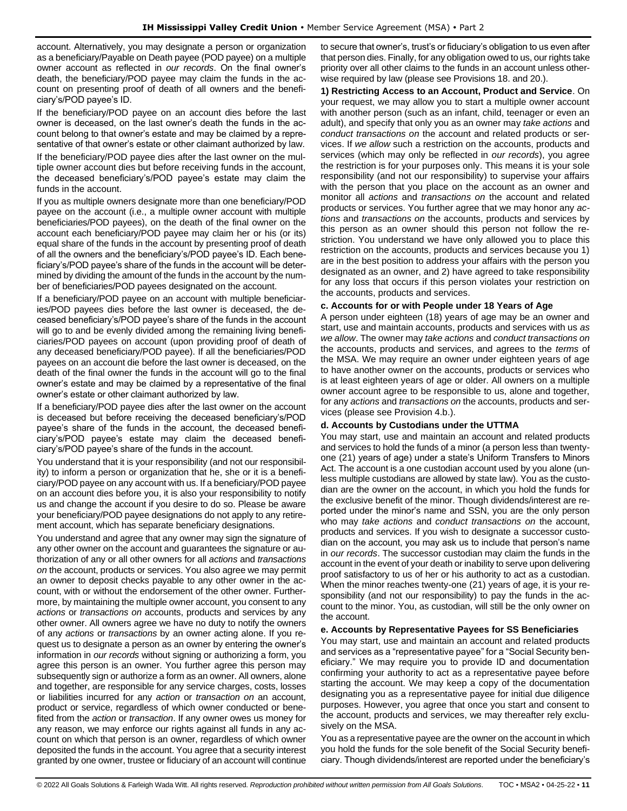account. Alternatively, you may designate a person or organization as a beneficiary/Payable on Death payee (POD payee) on a multiple owner account as reflected in *our records*. On the final owner's death, the beneficiary/POD payee may claim the funds in the account on presenting proof of death of all owners and the beneficiary's/POD payee's ID.

If the beneficiary/POD payee on an account dies before the last owner is deceased, on the last owner's death the funds in the account belong to that owner's estate and may be claimed by a representative of that owner's estate or other claimant authorized by law.

If the beneficiary/POD payee dies after the last owner on the multiple owner account dies but before receiving funds in the account, the deceased beneficiary's/POD payee's estate may claim the funds in the account.

If you as multiple owners designate more than one beneficiary/POD payee on the account (i.e., a multiple owner account with multiple beneficiaries/POD payees), on the death of the final owner on the account each beneficiary/POD payee may claim her or his (or its) equal share of the funds in the account by presenting proof of death of all the owners and the beneficiary's/POD payee's ID. Each beneficiary's/POD payee's share of the funds in the account will be determined by dividing the amount of the funds in the account by the number of beneficiaries/POD payees designated on the account.

If a beneficiary/POD payee on an account with multiple beneficiaries/POD payees dies before the last owner is deceased, the deceased beneficiary's/POD payee's share of the funds in the account will go to and be evenly divided among the remaining living beneficiaries/POD payees on account (upon providing proof of death of any deceased beneficiary/POD payee). If all the beneficiaries/POD payees on an account die before the last owner is deceased, on the death of the final owner the funds in the account will go to the final owner's estate and may be claimed by a representative of the final owner's estate or other claimant authorized by law.

If a beneficiary/POD payee dies after the last owner on the account is deceased but before receiving the deceased beneficiary's/POD payee's share of the funds in the account, the deceased beneficiary's/POD payee's estate may claim the deceased beneficiary's/POD payee's share of the funds in the account.

You understand that it is your responsibility (and not our responsibility) to inform a person or organization that he, she or it is a beneficiary/POD payee on any account with us. If a beneficiary/POD payee on an account dies before you, it is also your responsibility to notify us and change the account if you desire to do so. Please be aware your beneficiary/POD payee designations do not apply to any retirement account, which has separate beneficiary designations.

You understand and agree that any owner may sign the signature of any other owner on the account and guarantees the signature or authorization of any or all other owners for all *actions* and *transactions on* the account, products or services. You also agree we may permit an owner to deposit checks payable to any other owner in the account, with or without the endorsement of the other owner. Furthermore, by maintaining the multiple owner account, you consent to any *actions* or *transactions on* accounts, products and services by any other owner. All owners agree we have no duty to notify the owners of any *actions* or *transactions* by an owner acting alone. If you request us to designate a person as an owner by entering the owner's information in *our records* without signing or authorizing a form, you agree this person is an owner. You further agree this person may subsequently sign or authorize a form as an owner. All owners, alone and together, are responsible for any service charges, costs, losses or liabilities incurred for any *action* or *transaction on* an account, product or service, regardless of which owner conducted or benefited from the *action* or *transaction*. If any owner owes us money for any reason, we may enforce our rights against all funds in any account on which that person is an owner, regardless of which owner deposited the funds in the account. You agree that a security interest granted by one owner, trustee or fiduciary of an account will continue

to secure that owner's, trust's or fiduciary's obligation to us even after that person dies. Finally, for any obligation owed to us, our rights take priority over all other claims to the funds in an account unless otherwise required by law (please see Provisions 18. and 20.).

**1) Restricting Access to an Account, Product and Service**. On your request, we may allow you to start a multiple owner account with another person (such as an infant, child, teenager or even an adult), and specify that only you as an owner may *take actions* and *conduct transactions on* the account and related products or services. If *we allow* such a restriction on the accounts, products and services (which may only be reflected in *our records*), you agree the restriction is for your purposes only. This means it is your sole responsibility (and not our responsibility) to supervise your affairs with the person that you place on the account as an owner and monitor all *actions* and *transactions on* the account and related products or services. You further agree that we may honor any *actions* and *transactions on* the accounts, products and services by this person as an owner should this person not follow the restriction. You understand we have only allowed you to place this restriction on the accounts, products and services because you 1) are in the best position to address your affairs with the person you designated as an owner, and 2) have agreed to take responsibility for any loss that occurs if this person violates your restriction on the accounts, products and services.

# **c. Accounts for or with People under 18 Years of Age**

A person under eighteen (18) years of age may be an owner and start, use and maintain accounts, products and services with us *as we allow*. The owner may *take actions* and *conduct transactions on*  the accounts, products and services, and agrees to the *terms* of the MSA. We may require an owner under eighteen years of age to have another owner on the accounts, products or services who is at least eighteen years of age or older. All owners on a multiple owner account agree to be responsible to us, alone and together, for any *actions* and *transactions on* the accounts, products and services (please see Provision 4.b.).

# **d. Accounts by Custodians under the UTTMA**

You may start, use and maintain an account and related products and services to hold the funds of a minor (a person less than twentyone (21) years of age) under a state's Uniform Transfers to Minors Act. The account is a one custodian account used by you alone (unless multiple custodians are allowed by state law). You as the custodian are the owner on the account, in which you hold the funds for the exclusive benefit of the minor. Though dividends/interest are reported under the minor's name and SSN, you are the only person who may *take actions* and *conduct transactions on* the account, products and services. If you wish to designate a successor custodian on the account, you may ask us to include that person's name in *our records*. The successor custodian may claim the funds in the account in the event of your death or inability to serve upon delivering proof satisfactory to us of her or his authority to act as a custodian. When the minor reaches twenty-one (21) years of age, it is your responsibility (and not our responsibility) to pay the funds in the account to the minor. You, as custodian, will still be the only owner on the account.

# **e. Accounts by Representative Payees for SS Beneficiaries**

You may start, use and maintain an account and related products and services as a "representative payee" for a "Social Security beneficiary." We may require you to provide ID and documentation confirming your authority to act as a representative payee before starting the account. We may keep a copy of the documentation designating you as a representative payee for initial due diligence purposes. However, you agree that once you start and consent to the account, products and services, we may thereafter rely exclusively on the MSA.

You as a representative payee are the owner on the account in which you hold the funds for the sole benefit of the Social Security beneficiary. Though dividends/interest are reported under the beneficiary's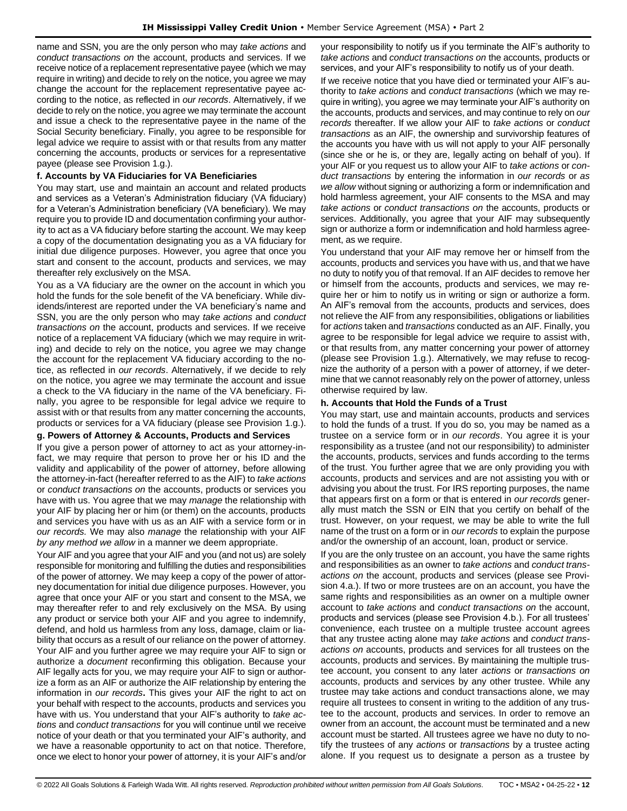name and SSN, you are the only person who may *take actions* and *conduct transactions on* the account, products and services. If we receive notice of a replacement representative payee (which we may require in writing) and decide to rely on the notice, you agree we may change the account for the replacement representative payee according to the notice, as reflected in *our records*. Alternatively, if we decide to rely on the notice, you agree we may terminate the account and issue a check to the representative payee in the name of the Social Security beneficiary. Finally, you agree to be responsible for legal advice we require to assist with or that results from any matter concerning the accounts, products or services for a representative payee (please see Provision 1.g.).

#### **f. Accounts by VA Fiduciaries for VA Beneficiaries**

You may start, use and maintain an account and related products and services as a Veteran's Administration fiduciary (VA fiduciary) for a Veteran's Administration beneficiary (VA beneficiary). We may require you to provide ID and documentation confirming your authority to act as a VA fiduciary before starting the account. We may keep a copy of the documentation designating you as a VA fiduciary for initial due diligence purposes. However, you agree that once you start and consent to the account, products and services, we may thereafter rely exclusively on the MSA.

You as a VA fiduciary are the owner on the account in which you hold the funds for the sole benefit of the VA beneficiary. While dividends/interest are reported under the VA beneficiary's name and SSN, you are the only person who may *take actions* and *conduct transactions on* the account, products and services. If we receive notice of a replacement VA fiduciary (which we may require in writing) and decide to rely on the notice, you agree we may change the account for the replacement VA fiduciary according to the notice, as reflected in *our records*. Alternatively, if we decide to rely on the notice, you agree we may terminate the account and issue a check to the VA fiduciary in the name of the VA beneficiary. Finally, you agree to be responsible for legal advice we require to assist with or that results from any matter concerning the accounts, products or services for a VA fiduciary (please see Provision 1.g.).

#### **g. Powers of Attorney & Accounts, Products and Services**

If you give a person power of attorney to act as your attorney-infact, we may require that person to prove her or his ID and the validity and applicability of the power of attorney, before allowing the attorney-in-fact (hereafter referred to as the AIF) to *take actions* or *conduct transactions on* the accounts, products or services you have with us. You agree that we may *manage* the relationship with your AIF by placing her or him (or them) on the accounts, products and services you have with us as an AIF with a service form or in *our records.* We may also *manage* the relationship with your AIF *by any method we allow* in a manner we deem appropriate.

Your AIF and you agree that your AIF and you (and not us) are solely responsible for monitoring and fulfilling the duties and responsibilities of the power of attorney. We may keep a copy of the power of attorney documentation for initial due diligence purposes. However, you agree that once your AIF or you start and consent to the MSA, we may thereafter refer to and rely exclusively on the MSA. By using any product or service both your AIF and you agree to indemnify, defend, and hold us harmless from any loss, damage, claim or liability that occurs as a result of our reliance on the power of attorney. Your AIF and you further agree we may require your AIF to sign or authorize a *document* reconfirming this obligation. Because your AIF legally acts for you, we may require your AIF to sign or authorize a form as an AIF or authorize the AIF relationship by entering the information in *our records***.** This gives your AIF the right to act on your behalf with respect to the accounts, products and services you have with us. You understand that your AIF's authority to *take actions* and *conduct transactions* for you will continue until we receive notice of your death or that you terminated your AIF's authority, and we have a reasonable opportunity to act on that notice. Therefore, once we elect to honor your power of attorney, it is your AIF's and/or

your responsibility to notify us if you terminate the AIF's authority to *take actions* and *conduct transactions on* the accounts, products or services, and your AIF's responsibility to notify us of your death.

If we receive notice that you have died or terminated your AIF's authority to *take actions* and *conduct transactions* (which we may require in writing), you agree we may terminate your AIF's authority on the accounts, products and services, and may continue to rely on *our records* thereafter. If we allow your AIF to *take actions* or *conduct transactions* as an AIF, the ownership and survivorship features of the accounts you have with us will not apply to your AIF personally (since she or he is, or they are, legally acting on behalf of you). If your AIF or you request us to allow your AIF to *take actions* or *conduct transactions* by entering the information in *our records* or *as we allow* without signing or authorizing a form or indemnification and hold harmless agreement, your AIF consents to the MSA and may *take actions* or *conduct transactions on* the accounts, products or services. Additionally, you agree that your AIF may subsequently sign or authorize a form or indemnification and hold harmless agreement, as we require.

You understand that your AIF may remove her or himself from the accounts, products and services you have with us, and that we have no duty to notify you of that removal. If an AIF decides to remove her or himself from the accounts, products and services, we may require her or him to notify us in writing or sign or authorize a form. An AIF's removal from the accounts, products and services, does not relieve the AIF from any responsibilities, obligations or liabilities for *actions* taken and *transactions* conducted as an AIF. Finally, you agree to be responsible for legal advice we require to assist with, or that results from, any matter concerning your power of attorney (please see Provision 1.g.). Alternatively, we may refuse to recognize the authority of a person with a power of attorney, if we determine that we cannot reasonably rely on the power of attorney, unless otherwise required by law.

#### **h. Accounts that Hold the Funds of a Trust**

You may start, use and maintain accounts, products and services to hold the funds of a trust. If you do so, you may be named as a trustee on a service form or in *our records*. You agree it is your responsibility as a trustee (and not our responsibility) to administer the accounts, products, services and funds according to the terms of the trust. You further agree that we are only providing you with accounts, products and services and are not assisting you with or advising you about the trust. For IRS reporting purposes, the name that appears first on a form or that is entered in *our records* generally must match the SSN or EIN that you certify on behalf of the trust. However, on your request, we may be able to write the full name of the trust on a form or in *our records* to explain the purpose and/or the ownership of an account, loan, product or service.

If you are the only trustee on an account, you have the same rights and responsibilities as an owner to *take actions* and *conduct transactions on* the account, products and services (please see Provision 4.a.). If two or more trustees are on an account, you have the same rights and responsibilities as an owner on a multiple owner account to *take actions* and *conduct transactions on* the account, products and services (please see Provision 4.b.). For all trustees' convenience, each trustee on a multiple trustee account agrees that any trustee acting alone may *take actions* and *conduct transactions on* accounts, products and services for all trustees on the accounts, products and services. By maintaining the multiple trustee account, you consent to any later *actions* or *transactions on*  accounts, products and services by any other trustee. While any trustee may take actions and conduct transactions alone, we may require all trustees to consent in writing to the addition of any trustee to the account, products and services. In order to remove an owner from an account, the account must be terminated and a new account must be started. All trustees agree we have no duty to notify the trustees of any *actions* or *transactions* by a trustee acting alone. If you request us to designate a person as a trustee by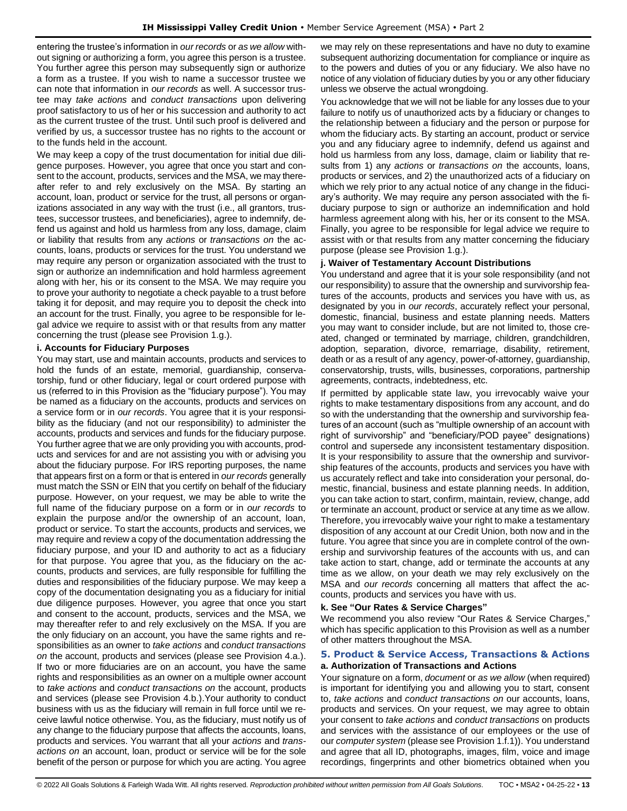entering the trustee's information in *our records* or *as we allow* without signing or authorizing a form, you agree this person is a trustee. You further agree this person may subsequently sign or authorize a form as a trustee. If you wish to name a successor trustee we can note that information in *our records* as well. A successor trustee may *take actions* and *conduct transactions* upon delivering proof satisfactory to us of her or his succession and authority to act as the current trustee of the trust. Until such proof is delivered and verified by us, a successor trustee has no rights to the account or to the funds held in the account.

We may keep a copy of the trust documentation for initial due diligence purposes. However, you agree that once you start and consent to the account, products, services and the MSA, we may thereafter refer to and rely exclusively on the MSA. By starting an account, loan, product or service for the trust, all persons or organizations associated in any way with the trust (i.e., all grantors, trustees, successor trustees, and beneficiaries), agree to indemnify, defend us against and hold us harmless from any loss, damage, claim or liability that results from any *actions* or *transactions on* the accounts, loans, products or services for the trust. You understand we may require any person or organization associated with the trust to sign or authorize an indemnification and hold harmless agreement along with her, his or its consent to the MSA. We may require you to prove your authority to negotiate a check payable to a trust before taking it for deposit, and may require you to deposit the check into an account for the trust. Finally, you agree to be responsible for legal advice we require to assist with or that results from any matter concerning the trust (please see Provision 1.g.).

#### **i. Accounts for Fiduciary Purposes**

You may start, use and maintain accounts, products and services to hold the funds of an estate, memorial, guardianship, conservatorship, fund or other fiduciary, legal or court ordered purpose with us (referred to in this Provision as the "fiduciary purpose"). You may be named as a fiduciary on the accounts, products and services on a service form or in *our records*. You agree that it is your responsibility as the fiduciary (and not our responsibility) to administer the accounts, products and services and funds for the fiduciary purpose. You further agree that we are only providing you with accounts, products and services for and are not assisting you with or advising you about the fiduciary purpose. For IRS reporting purposes, the name that appears first on a form or that is entered in *our records* generally must match the SSN or EIN that you certify on behalf of the fiduciary purpose. However, on your request, we may be able to write the full name of the fiduciary purpose on a form or in *our records* to explain the purpose and/or the ownership of an account, loan, product or service. To start the accounts, products and services, we may require and review a copy of the documentation addressing the fiduciary purpose, and your ID and authority to act as a fiduciary for that purpose. You agree that you, as the fiduciary on the accounts, products and services, are fully responsible for fulfilling the duties and responsibilities of the fiduciary purpose. We may keep a copy of the documentation designating you as a fiduciary for initial due diligence purposes. However, you agree that once you start and consent to the account, products, services and the MSA, we may thereafter refer to and rely exclusively on the MSA. If you are the only fiduciary on an account, you have the same rights and responsibilities as an owner to *take actions* and *conduct transactions on* the account, products and services (please see Provision 4.a.). If two or more fiduciaries are on an account, you have the same rights and responsibilities as an owner on a multiple owner account to *take actions* and *conduct transactions on* the account, products and services (please see Provision 4.b.).Your authority to conduct business with us as the fiduciary will remain in full force until we receive lawful notice otherwise. You, as the fiduciary, must notify us of any change to the fiduciary purpose that affects the accounts, loans, products and services. You warrant that all your *actions* and *transactions on* an account, loan, product or service will be for the sole benefit of the person or purpose for which you are acting. You agree

we may rely on these representations and have no duty to examine subsequent authorizing documentation for compliance or inquire as to the powers and duties of you or any fiduciary. We also have no notice of any violation of fiduciary duties by you or any other fiduciary unless we observe the actual wrongdoing.

You acknowledge that we will not be liable for any losses due to your failure to notify us of unauthorized acts by a fiduciary or changes to the relationship between a fiduciary and the person or purpose for whom the fiduciary acts. By starting an account, product or service you and any fiduciary agree to indemnify, defend us against and hold us harmless from any loss, damage, claim or liability that results from 1) any *actions* or *transactions on* the accounts, loans, products or services, and 2) the unauthorized acts of a fiduciary on which we rely prior to any actual notice of any change in the fiduciary's authority. We may require any person associated with the fiduciary purpose to sign or authorize an indemnification and hold harmless agreement along with his, her or its consent to the MSA. Finally, you agree to be responsible for legal advice we require to assist with or that results from any matter concerning the fiduciary purpose (please see Provision 1.g.).

#### **j. Waiver of Testamentary Account Distributions**

You understand and agree that it is your sole responsibility (and not our responsibility) to assure that the ownership and survivorship features of the accounts, products and services you have with us, as designated by you in *our records*, accurately reflect your personal, domestic, financial, business and estate planning needs. Matters you may want to consider include, but are not limited to, those created, changed or terminated by marriage, children, grandchildren, adoption, separation, divorce, remarriage, disability, retirement, death or as a result of any agency, power-of-attorney, guardianship, conservatorship, trusts, wills, businesses, corporations, partnership agreements, contracts, indebtedness, etc.

If permitted by applicable state law, you irrevocably waive your rights to make testamentary dispositions from any account, and do so with the understanding that the ownership and survivorship features of an account (such as "multiple ownership of an account with right of survivorship" and "beneficiary/POD payee" designations) control and supersede any inconsistent testamentary disposition. It is your responsibility to assure that the ownership and survivorship features of the accounts, products and services you have with us accurately reflect and take into consideration your personal, domestic, financial, business and estate planning needs. In addition, you can take action to start, confirm, maintain, review, change, add or terminate an account, product or service at any time as we allow. Therefore, you irrevocably waive your right to make a testamentary disposition of any account at our Credit Union, both now and in the future. You agree that since you are in complete control of the ownership and survivorship features of the accounts with us, and can take action to start, change, add or terminate the accounts at any time as we allow, on your death we may rely exclusively on the MSA and *our records* concerning all matters that affect the accounts, products and services you have with us.

#### **k. See "Our Rates & Service Charges"**

We recommend you also review "Our Rates & Service Charges," which has specific application to this Provision as well as a number of other matters throughout the MSA.

### <span id="page-12-0"></span>**5. Product & Service Access, Transactions & Actions a. Authorization of Transactions and Actions**

Your signature on a form, *document* or *as we allow* (when required) is important for identifying you and allowing you to start, consent to, *take actions* and *conduct transactions on* our accounts, loans, products and services. On your request, we may agree to obtain your consent to *take actions* and *conduct transactions* on products and services with the assistance of our employees or the use of our *computer system* (please see Provision 1.f.1)). You understand and agree that all ID, photographs, images, film, voice and image recordings, fingerprints and other biometrics obtained when you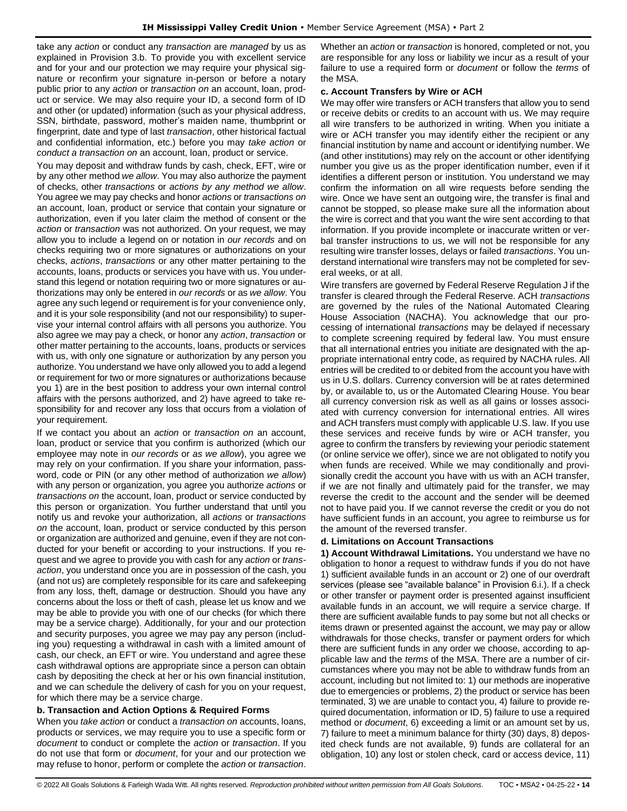take any *action* or conduct any *transaction* are *managed* by us as explained in Provision 3.b. To provide you with excellent service and for your and our protection we may require your physical signature or reconfirm your signature in-person or before a notary public prior to any *action* or *transaction on* an account, loan, product or service. We may also require your ID, a second form of ID and other (or updated) information (such as your physical address, SSN, birthdate, password, mother's maiden name, thumbprint or fingerprint, date and type of last *transaction*, other historical factual and confidential information, etc.) before you may *take action* or *conduct a transaction on* an account, loan, product or service.

You may deposit and withdraw funds by cash, check, EFT, wire or by any other method *we allow*. You may also authorize the payment of checks, other *transactions* or *actions by any method we allow*. You agree we may pay checks and honor *actions* or *transactions on*  an account, loan, product or service that contain your signature or authorization, even if you later claim the method of consent or the *action* or *transaction* was not authorized. On your request, we may allow you to include a legend on or notation in *our records* and on checks requiring two or more signatures or authorizations on your checks, *actions*, *transactions* or any other matter pertaining to the accounts, loans, products or services you have with us. You understand this legend or notation requiring two or more signatures or authorizations may only be entered in *our records* or as *we allow*. You agree any such legend or requirement is for your convenience only, and it is your sole responsibility (and not our responsibility) to supervise your internal control affairs with all persons you authorize. You also agree we may pay a check, or honor any *action*, *transaction* or other matter pertaining to the accounts, loans, products or services with us, with only one signature or authorization by any person you authorize. You understand we have only allowed you to add a legend or requirement for two or more signatures or authorizations because you 1) are in the best position to address your own internal control affairs with the persons authorized, and 2) have agreed to take responsibility for and recover any loss that occurs from a violation of your requirement.

If we contact you about an *action* or *transaction on* an account, loan, product or service that you confirm is authorized (which our employee may note in *our records* or *as we allow*), you agree we may rely on your confirmation. If you share your information, password, code or PIN (or any other method of authorization *we allow*) with any person or organization, you agree you authorize *actions* or *transactions on* the account, loan, product or service conducted by this person or organization. You further understand that until you notify us and revoke your authorization, all *actions* or *transactions on* the account, loan, product or service conducted by this person or organization are authorized and genuine, even if they are not conducted for your benefit or according to your instructions. If you request and we agree to provide you with cash for any *action* or *transaction*, you understand once you are in possession of the cash, you (and not us) are completely responsible for its care and safekeeping from any loss, theft, damage or destruction. Should you have any concerns about the loss or theft of cash, please let us know and we may be able to provide you with one of our checks (for which there may be a service charge). Additionally, for your and our protection and security purposes, you agree we may pay any person (including you) requesting a withdrawal in cash with a limited amount of cash, our check, an EFT or wire. You understand and agree these cash withdrawal options are appropriate since a person can obtain cash by depositing the check at her or his own financial institution, and we can schedule the delivery of cash for you on your request, for which there may be a service charge.

#### **b. Transaction and Action Options & Required Forms**

When you *take action* or conduct a *transaction on* accounts, loans, products or services, we may require you to use a specific form or *document* to conduct or complete the *action* or *transaction*. If you do not use that form or *document*, for your and our protection we may refuse to honor, perform or complete the *action* or *transaction*.

Whether an *action* or *transaction* is honored, completed or not, you are responsible for any loss or liability we incur as a result of your failure to use a required form or *document* or follow the *terms* of the MSA.

#### **c. Account Transfers by Wire or ACH**

We may offer wire transfers or ACH transfers that allow you to send or receive debits or credits to an account with us. We may require all wire transfers to be authorized in writing. When you initiate a wire or ACH transfer you may identify either the recipient or any financial institution by name and account or identifying number. We (and other institutions) may rely on the account or other identifying number you give us as the proper identification number, even if it identifies a different person or institution. You understand we may confirm the information on all wire requests before sending the wire. Once we have sent an outgoing wire, the transfer is final and cannot be stopped, so please make sure all the information about the wire is correct and that you want the wire sent according to that information. If you provide incomplete or inaccurate written or verbal transfer instructions to us, we will not be responsible for any resulting wire transfer losses, delays or failed *transactions*. You understand international wire transfers may not be completed for several weeks, or at all.

Wire transfers are governed by Federal Reserve Regulation J if the transfer is cleared through the Federal Reserve. ACH *transactions* are governed by the rules of the National Automated Clearing House Association (NACHA). You acknowledge that our processing of international *transactions* may be delayed if necessary to complete screening required by federal law. You must ensure that all international entries you initiate are designated with the appropriate international entry code, as required by NACHA rules. All entries will be credited to or debited from the account you have with us in U.S. dollars. Currency conversion will be at rates determined by, or available to, us or the Automated Clearing House. You bear all currency conversion risk as well as all gains or losses associated with currency conversion for international entries. All wires and ACH transfers must comply with applicable U.S. law. If you use these services and receive funds by wire or ACH transfer, you agree to confirm the transfers by reviewing your periodic statement (or online service we offer), since we are not obligated to notify you when funds are received. While we may conditionally and provisionally credit the account you have with us with an ACH transfer, if we are not finally and ultimately paid for the transfer, we may reverse the credit to the account and the sender will be deemed not to have paid you. If we cannot reverse the credit or you do not have sufficient funds in an account, you agree to reimburse us for the amount of the reversed transfer.

# **d. Limitations on Account Transactions**

**1) Account Withdrawal Limitations.** You understand we have no obligation to honor a request to withdraw funds if you do not have 1) sufficient available funds in an account or 2) one of our overdraft services (please see "available balance" in Provision 6.i.). If a check or other transfer or payment order is presented against insufficient available funds in an account, we will require a service charge. If there are sufficient available funds to pay some but not all checks or items drawn or presented against the account, we may pay or allow withdrawals for those checks, transfer or payment orders for which there are sufficient funds in any order we choose, according to applicable law and the *terms* of the MSA. There are a number of circumstances where you may not be able to withdraw funds from an account, including but not limited to: 1) our methods are inoperative due to emergencies or problems, 2) the product or service has been terminated, 3) we are unable to contact you, 4) failure to provide required documentation, information or ID, 5) failure to use a required method or *document*, 6) exceeding a limit or an amount set by us, 7) failure to meet a minimum balance for thirty (30) days, 8) deposited check funds are not available, 9) funds are collateral for an obligation, 10) any lost or stolen check, card or access device, 11)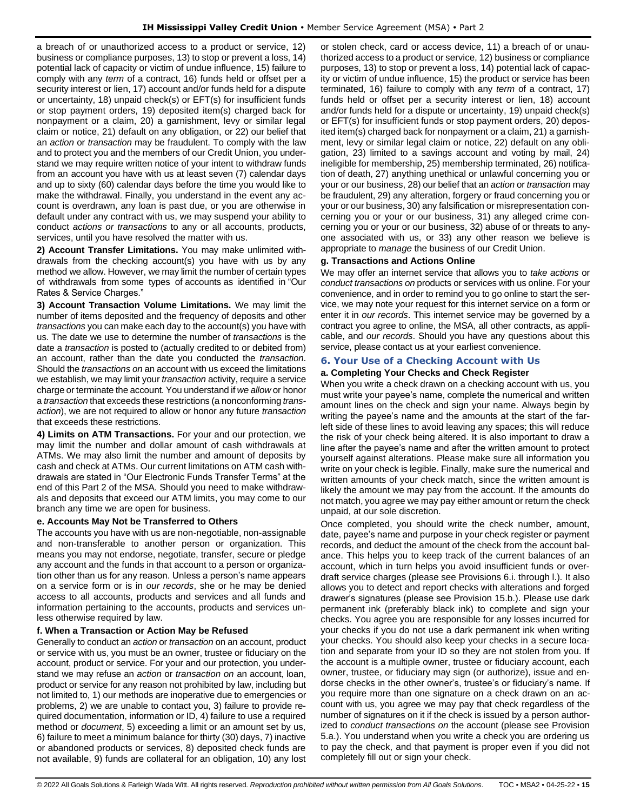a breach of or unauthorized access to a product or service, 12) business or compliance purposes, 13) to stop or prevent a loss, 14) potential lack of capacity or victim of undue influence, 15) failure to comply with any *term* of a contract, 16) funds held or offset per a security interest or lien, 17) account and/or funds held for a dispute or uncertainty, 18) unpaid check(s) or EFT(s) for insufficient funds or stop payment orders, 19) deposited item(s) charged back for nonpayment or a claim, 20) a garnishment, levy or similar legal claim or notice, 21) default on any obligation, or 22) our belief that an *action* or *transaction* may be fraudulent. To comply with the law and to protect you and the members of our Credit Union, you understand we may require written notice of your intent to withdraw funds from an account you have with us at least seven (7) calendar days and up to sixty (60) calendar days before the time you would like to make the withdrawal. Finally, you understand in the event any account is overdrawn, any loan is past due, or you are otherwise in default under any contract with us, we may suspend your ability to conduct *actions or transactions* to any or all accounts, products, services, until you have resolved the matter with us.

**2) Account Transfer Limitations.** You may make unlimited withdrawals from the checking account(s) you have with us by any method we allow. However, we may limit the number of certain types of withdrawals from some types of accounts as identified in "Our Rates & Service Charges."

**3) Account Transaction Volume Limitations.** We may limit the number of items deposited and the frequency of deposits and other *transactions* you can make each day to the account(s) you have with us. The date we use to determine the number of *transactions* is the date a *transaction* is posted to (actually credited to or debited from) an account, rather than the date you conducted the *transaction*. Should the *transactions on* an account with us exceed the limitations we establish, we may limit your *transaction* activity, require a service charge or terminate the account. You understand if *we allow* or honor a *transaction* that exceeds these restrictions (a nonconforming *transaction*), we are not required to allow or honor any future *transaction* that exceeds these restrictions.

**4) Limits on ATM Transactions.** For your and our protection, we may limit the number and dollar amount of cash withdrawals at ATMs. We may also limit the number and amount of deposits by cash and check at ATMs. Our current limitations on ATM cash withdrawals are stated in "Our Electronic Funds Transfer Terms" at the end of this Part 2 of the MSA. Should you need to make withdrawals and deposits that exceed our ATM limits, you may come to our branch any time we are open for business.

# **e. Accounts May Not be Transferred to Others**

The accounts you have with us are non-negotiable, non-assignable and non-transferable to another person or organization. This means you may not endorse, negotiate, transfer, secure or pledge any account and the funds in that account to a person or organization other than us for any reason. Unless a person's name appears on a service form or is in *our records*, she or he may be denied access to all accounts, products and services and all funds and information pertaining to the accounts, products and services unless otherwise required by law.

# **f. When a Transaction or Action May be Refused**

Generally to conduct an *action* or *transaction* on an account, product or service with us, you must be an owner, trustee or fiduciary on the account, product or service. For your and our protection, you understand we may refuse an *action* or *transaction on* an account, loan, product or service for any reason not prohibited by law, including but not limited to, 1) our methods are inoperative due to emergencies or problems, 2) we are unable to contact you, 3) failure to provide required documentation, information or ID, 4) failure to use a required method or *document*, 5) exceeding a limit or an amount set by us, 6) failure to meet a minimum balance for thirty (30) days, 7) inactive or abandoned products or services, 8) deposited check funds are not available, 9) funds are collateral for an obligation, 10) any lost

or stolen check, card or access device, 11) a breach of or unauthorized access to a product or service, 12) business or compliance purposes, 13) to stop or prevent a loss, 14) potential lack of capacity or victim of undue influence, 15) the product or service has been terminated, 16) failure to comply with any *term* of a contract, 17) funds held or offset per a security interest or lien, 18) account and/or funds held for a dispute or uncertainty, 19) unpaid check(s) or EFT(s) for insufficient funds or stop payment orders, 20) deposited item(s) charged back for nonpayment or a claim, 21) a garnishment, levy or similar legal claim or notice, 22) default on any obligation, 23) limited to a savings account and voting by mail, 24) ineligible for membership, 25) membership terminated, 26) notification of death, 27) anything unethical or unlawful concerning you or your or our business, 28) our belief that an *action* or *transaction* may be fraudulent, 29) any alteration, forgery or fraud concerning you or your or our business, 30) any falsification or misrepresentation concerning you or your or our business, 31) any alleged crime concerning you or your or our business, 32) abuse of or threats to anyone associated with us, or 33) any other reason we believe is appropriate to *manage* the business of our Credit Union.

### **g. Transactions and Actions Online**

We may offer an internet service that allows you to *take actions* or *conduct transactions on* products or services with us online. For your convenience, and in order to remind you to go online to start the service, we may note your request for this internet service on a form or enter it in *our records*. This internet service may be governed by a contract you agree to online, the MSA, all other contracts, as applicable, and *our records*. Should you have any questions about this service, please contact us at your earliest convenience.

# <span id="page-14-0"></span>**6. Your Use of a Checking Account with Us**

### **a. Completing Your Checks and Check Register**

When you write a check drawn on a checking account with us, you must write your payee's name, complete the numerical and written amount lines on the check and sign your name. Always begin by writing the payee's name and the amounts at the start of the farleft side of these lines to avoid leaving any spaces; this will reduce the risk of your check being altered. It is also important to draw a line after the payee's name and after the written amount to protect yourself against alterations. Please make sure all information you write on your check is legible. Finally, make sure the numerical and written amounts of your check match, since the written amount is likely the amount we may pay from the account. If the amounts do not match, you agree we may pay either amount or return the check unpaid, at our sole discretion.

Once completed, you should write the check number, amount, date, payee's name and purpose in your check register or payment records, and deduct the amount of the check from the account balance. This helps you to keep track of the current balances of an account, which in turn helps you avoid insufficient funds or overdraft service charges (please see Provisions 6.i. through l.). It also allows you to detect and report checks with alterations and forged drawer's signatures (please see Provision 15.b.). Please use dark permanent ink (preferably black ink) to complete and sign your checks. You agree you are responsible for any losses incurred for your checks if you do not use a dark permanent ink when writing your checks. You should also keep your checks in a secure location and separate from your ID so they are not stolen from you. If the account is a multiple owner, trustee or fiduciary account, each owner, trustee, or fiduciary may sign (or authorize), issue and endorse checks in the other owner's, trustee's or fiduciary's name. If you require more than one signature on a check drawn on an account with us, you agree we may pay that check regardless of the number of signatures on it if the check is issued by a person authorized to *conduct transactions on* the account (please see Provision 5.a.). You understand when you write a check you are ordering us to pay the check, and that payment is proper even if you did not completely fill out or sign your check.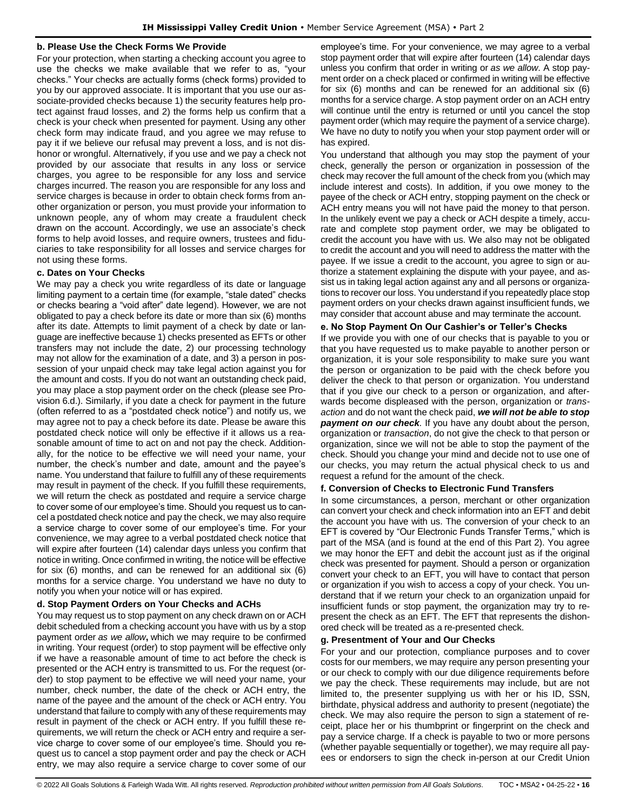### **b. Please Use the Check Forms We Provide**

For your protection, when starting a checking account you agree to use the checks we make available that we refer to as, "your checks." Your checks are actually forms (check forms) provided to you by our approved associate. It is important that you use our associate-provided checks because 1) the security features help protect against fraud losses, and 2) the forms help us confirm that a check is your check when presented for payment. Using any other check form may indicate fraud, and you agree we may refuse to pay it if we believe our refusal may prevent a loss, and is not dishonor or wrongful. Alternatively, if you use and we pay a check not provided by our associate that results in any loss or service charges, you agree to be responsible for any loss and service charges incurred. The reason you are responsible for any loss and service charges is because in order to obtain check forms from another organization or person, you must provide your information to unknown people, any of whom may create a fraudulent check drawn on the account. Accordingly, we use an associate's check forms to help avoid losses, and require owners, trustees and fiduciaries to take responsibility for all losses and service charges for not using these forms.

### **c. Dates on Your Checks**

We may pay a check you write regardless of its date or language limiting payment to a certain time (for example, "stale dated" checks or checks bearing a "void after" date legend). However, we are not obligated to pay a check before its date or more than six (6) months after its date. Attempts to limit payment of a check by date or language are ineffective because 1) checks presented as EFTs or other transfers may not include the date, 2) our processing technology may not allow for the examination of a date, and 3) a person in possession of your unpaid check may take legal action against you for the amount and costs. If you do not want an outstanding check paid, you may place a stop payment order on the check (please see Provision 6.d.). Similarly, if you date a check for payment in the future (often referred to as a "postdated check notice") and notify us, we may agree not to pay a check before its date. Please be aware this postdated check notice will only be effective if it allows us a reasonable amount of time to act on and not pay the check. Additionally, for the notice to be effective we will need your name, your number, the check's number and date, amount and the payee's name. You understand that failure to fulfill any of these requirements may result in payment of the check. If you fulfill these requirements, we will return the check as postdated and require a service charge to cover some of our employee's time. Should you request us to cancel a postdated check notice and pay the check, we may also require a service charge to cover some of our employee's time. For your convenience, we may agree to a verbal postdated check notice that will expire after fourteen (14) calendar days unless you confirm that notice in writing. Once confirmed in writing, the notice will be effective for six (6) months, and can be renewed for an additional six (6) months for a service charge. You understand we have no duty to notify you when your notice will or has expired.

# **d. Stop Payment Orders on Your Checks and ACHs**

You may request us to stop payment on any check drawn on or ACH debit scheduled from a checking account you have with us by a stop payment order *as we allow***,** which we may require to be confirmed in writing. Your request (order) to stop payment will be effective only if we have a reasonable amount of time to act before the check is presented or the ACH entry is transmitted to us. For the request (order) to stop payment to be effective we will need your name, your number, check number, the date of the check or ACH entry, the name of the payee and the amount of the check or ACH entry. You understand that failure to comply with any of these requirements may result in payment of the check or ACH entry. If you fulfill these requirements, we will return the check or ACH entry and require a service charge to cover some of our employee's time. Should you request us to cancel a stop payment order and pay the check or ACH entry, we may also require a service charge to cover some of our employee's time. For your convenience, we may agree to a verbal stop payment order that will expire after fourteen (14) calendar days unless you confirm that order in writing or *as we allow*. A stop payment order on a check placed or confirmed in writing will be effective for six (6) months and can be renewed for an additional six (6) months for a service charge. A stop payment order on an ACH entry will continue until the entry is returned or until you cancel the stop payment order (which may require the payment of a service charge). We have no duty to notify you when your stop payment order will or has expired.

You understand that although you may stop the payment of your check, generally the person or organization in possession of the check may recover the full amount of the check from you (which may include interest and costs). In addition, if you owe money to the payee of the check or ACH entry, stopping payment on the check or ACH entry means you will not have paid the money to that person. In the unlikely event we pay a check or ACH despite a timely, accurate and complete stop payment order, we may be obligated to credit the account you have with us. We also may not be obligated to credit the account and you will need to address the matter with the payee. If we issue a credit to the account, you agree to sign or authorize a statement explaining the dispute with your payee, and assist us in taking legal action against any and all persons or organizations to recover our loss. You understand if you repeatedly place stop payment orders on your checks drawn against insufficient funds, we may consider that account abuse and may terminate the account.

# **e. No Stop Payment On Our Cashier's or Teller's Checks**

If we provide you with one of our checks that is payable to you or that you have requested us to make payable to another person or organization, it is your sole responsibility to make sure you want the person or organization to be paid with the check before you deliver the check to that person or organization. You understand that if you give our check to a person or organization, and afterwards become displeased with the person, organization or *transaction* and do not want the check paid, *we will not be able to stop payment on our check.* If you have any doubt about the person, organization or *transaction*, do not give the check to that person or organization, since we will not be able to stop the payment of the check. Should you change your mind and decide not to use one of our checks, you may return the actual physical check to us and request a refund for the amount of the check.

#### **f. Conversion of Checks to Electronic Fund Transfers**

In some circumstances, a person, merchant or other organization can convert your check and check information into an EFT and debit the account you have with us. The conversion of your check to an EFT is covered by "Our Electronic Funds Transfer Terms," which is part of the MSA (and is found at the end of this Part 2). You agree we may honor the EFT and debit the account just as if the original check was presented for payment. Should a person or organization convert your check to an EFT, you will have to contact that person or organization if you wish to access a copy of your check. You understand that if we return your check to an organization unpaid for insufficient funds or stop payment, the organization may try to represent the check as an EFT. The EFT that represents the dishonored check will be treated as a re-presented check.

### **g. Presentment of Your and Our Checks**

For your and our protection, compliance purposes and to cover costs for our members, we may require any person presenting your or our check to comply with our due diligence requirements before we pay the check. These requirements may include, but are not limited to, the presenter supplying us with her or his ID, SSN, birthdate, physical address and authority to present (negotiate) the check. We may also require the person to sign a statement of receipt, place her or his thumbprint or fingerprint on the check and pay a service charge. If a check is payable to two or more persons (whether payable sequentially or together), we may require all payees or endorsers to sign the check in-person at our Credit Union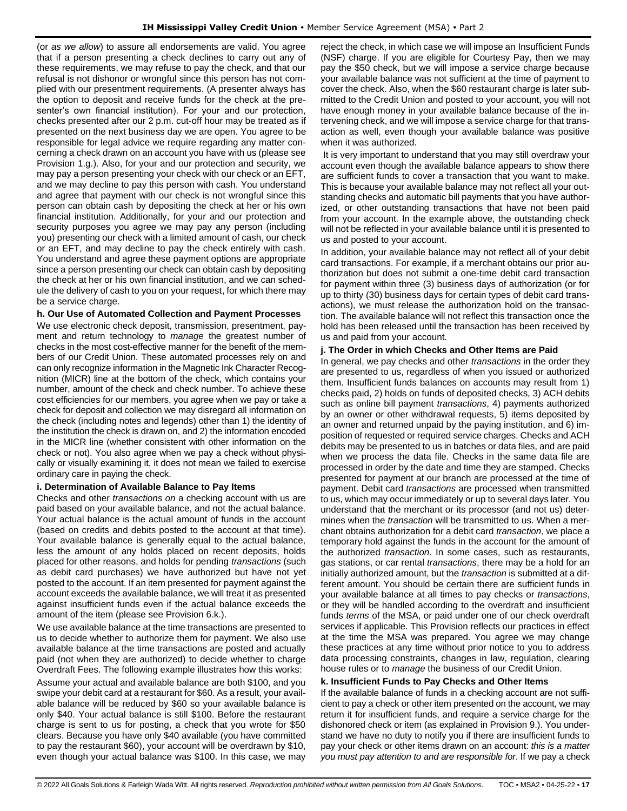(or *as we allow*) to assure all endorsements are valid. You agree that if a person presenting a check declines to carry out any of these requirements, we may refuse to pay the check, and that our refusal is not dishonor or wrongful since this person has not complied with our presentment requirements. (A presenter always has the option to deposit and receive funds for the check at the presenter's own financial institution). For your and our protection, checks presented after our 2 p.m. cut-off hour may be treated as if presented on the next business day we are open. You agree to be responsible for legal advice we require regarding any matter concerning a check drawn on an account you have with us (please see Provision 1.g.). Also, for your and our protection and security, we may pay a person presenting your check with our check or an EFT, and we may decline to pay this person with cash. You understand and agree that payment with our check is not wrongful since this person can obtain cash by depositing the check at her or his own financial institution. Additionally, for your and our protection and security purposes you agree we may pay any person (including you) presenting our check with a limited amount of cash, our check or an EFT, and may decline to pay the check entirely with cash. You understand and agree these payment options are appropriate since a person presenting our check can obtain cash by depositing the check at her or his own financial institution, and we can schedule the delivery of cash to you on your request, for which there may be a service charge.

### **h. Our Use of Automated Collection and Payment Processes**

We use electronic check deposit, transmission, presentment, payment and return technology to *manage* the greatest number of checks in the most cost-effective manner for the benefit of the members of our Credit Union. These automated processes rely on and can only recognize information in the Magnetic Ink Character Recognition (MICR) line at the bottom of the check, which contains your number, amount of the check and check number. To achieve these cost efficiencies for our members, you agree when we pay or take a check for deposit and collection we may disregard all information on the check (including notes and legends) other than 1) the identity of the institution the check is drawn on, and 2) the information encoded in the MICR line (whether consistent with other information on the check or not). You also agree when we pay a check without physically or visually examining it, it does not mean we failed to exercise ordinary care in paying the check.

#### **i. Determination of Available Balance to Pay Items**

Checks and other *transactions on* a checking account with us are paid based on your available balance, and not the actual balance. Your actual balance is the actual amount of funds in the account (based on credits and debits posted to the account at that time). Your available balance is generally equal to the actual balance, less the amount of any holds placed on recent deposits, holds placed for other reasons, and holds for pending *transactions* (such as debit card purchases) we have authorized but have not yet posted to the account. If an item presented for payment against the account exceeds the available balance, we will treat it as presented against insufficient funds even if the actual balance exceeds the amount of the item (please see Provision 6.k.).

We use available balance at the time transactions are presented to us to decide whether to authorize them for payment. We also use available balance at the time transactions are posted and actually paid (not when they are authorized) to decide whether to charge Overdraft Fees. The following example illustrates how this works:

Assume your actual and available balance are both \$100, and you swipe your debit card at a restaurant for \$60. As a result, your available balance will be reduced by \$60 so your available balance is only \$40. Your actual balance is still \$100. Before the restaurant charge is sent to us for posting, a check that you wrote for \$50 clears. Because you have only \$40 available (you have committed to pay the restaurant \$60), your account will be overdrawn by \$10, even though your actual balance was \$100. In this case, we may

reject the check, in which case we will impose an Insufficient Funds (NSF) charge. If you are eligible for Courtesy Pay, then we may pay the \$50 check, but we will impose a service charge because your available balance was not sufficient at the time of payment to cover the check. Also, when the \$60 restaurant charge is later submitted to the Credit Union and posted to your account, you will not have enough money in your available balance because of the intervening check, and we will impose a service charge for that transaction as well, even though your available balance was positive when it was authorized.

It is very important to understand that you may still overdraw your account even though the available balance appears to show there are sufficient funds to cover a transaction that you want to make. This is because your available balance may not reflect all your outstanding checks and automatic bill payments that you have authorized, or other outstanding transactions that have not been paid from your account. In the example above, the outstanding check will not be reflected in your available balance until it is presented to us and posted to your account.

In addition, your available balance may not reflect all of your debit card transactions. For example, if a merchant obtains our prior authorization but does not submit a one-time debit card transaction for payment within three (3) business days of authorization (or for up to thirty (30) business days for certain types of debit card transactions), we must release the authorization hold on the transaction. The available balance will not reflect this transaction once the hold has been released until the transaction has been received by us and paid from your account.

# **j. The Order in which Checks and Other Items are Paid**

In general, we pay checks and other *transactions* in the order they are presented to us, regardless of when you issued or authorized them. Insufficient funds balances on accounts may result from 1) checks paid, 2) holds on funds of deposited checks, 3) ACH debits such as online bill payment *transactions*, 4) payments authorized by an owner or other withdrawal requests, 5) items deposited by an owner and returned unpaid by the paying institution, and 6) imposition of requested or required service charges. Checks and ACH debits may be presented to us in batches or data files, and are paid when we process the data file. Checks in the same data file are processed in order by the date and time they are stamped. Checks presented for payment at our branch are processed at the time of payment. Debit card *transactions* are processed when transmitted to us, which may occur immediately or up to several days later. You understand that the merchant or its processor (and not us) determines when the *transaction* will be transmitted to us. When a merchant obtains authorization for a debit card *transaction*, we place a temporary hold against the funds in the account for the amount of the authorized *transaction*. In some cases, such as restaurants, gas stations, or car rental *transactions*, there may be a hold for an initially authorized amount, but the *transaction* is submitted at a different amount. You should be certain there are sufficient funds in your available balance at all times to pay checks or *transactions*, or they will be handled according to the overdraft and insufficient funds *terms* of the MSA, or paid under one of our check overdraft services if applicable. This Provision reflects our practices in effect at the time the MSA was prepared. You agree we may change these practices at any time without prior notice to you to address data processing constraints, changes in law, regulation, clearing house rules or to *manage* the business of our Credit Union.

# **k. Insufficient Funds to Pay Checks and Other Items**

If the available balance of funds in a checking account are not sufficient to pay a check or other item presented on the account, we may return it for insufficient funds, and require a service charge for the dishonored check or item (as explained in Provision 9.). You understand we have no duty to notify you if there are insufficient funds to pay your check or other items drawn on an account: *this is a matter you must pay attention to and are responsible for*. If we pay a check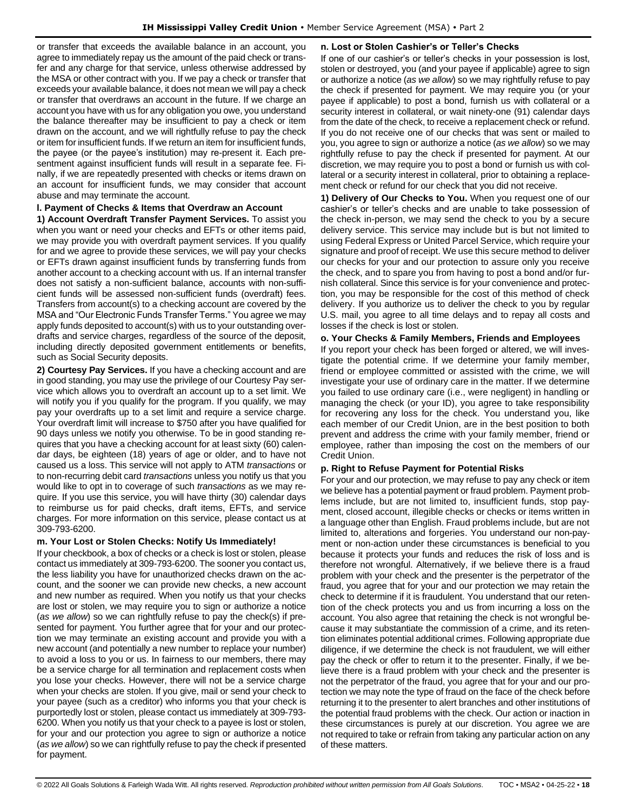or transfer that exceeds the available balance in an account, you agree to immediately repay us the amount of the paid check or transfer and any charge for that service, unless otherwise addressed by the MSA or other contract with you. If we pay a check or transfer that exceeds your available balance, it does not mean we will pay a check or transfer that overdraws an account in the future. If we charge an account you have with us for any obligation you owe, you understand the balance thereafter may be insufficient to pay a check or item drawn on the account, and we will rightfully refuse to pay the check or item for insufficient funds. If we return an item for insufficient funds, the payee (or the payee's institution) may re-present it. Each presentment against insufficient funds will result in a separate fee. Finally, if we are repeatedly presented with checks or items drawn on an account for insufficient funds, we may consider that account abuse and may terminate the account.

# **l. Payment of Checks & Items that Overdraw an Account**

**1) Account Overdraft Transfer Payment Services.** To assist you when you want or need your checks and EFTs or other items paid, we may provide you with overdraft payment services. If you qualify for and we agree to provide these services, we will pay your checks or EFTs drawn against insufficient funds by transferring funds from another account to a checking account with us. If an internal transfer does not satisfy a non-sufficient balance, accounts with non-sufficient funds will be assessed non-sufficient funds (overdraft) fees. Transfers from account(s) to a checking account are covered by the MSA and "Our Electronic Funds Transfer Terms." You agree we may apply funds deposited to account(s) with us to your outstanding overdrafts and service charges, regardless of the source of the deposit, including directly deposited government entitlements or benefits, such as Social Security deposits.

**2) Courtesy Pay Services.** If you have a checking account and are in good standing, you may use the privilege of our Courtesy Pay service which allows you to overdraft an account up to a set limit. We will notify you if you qualify for the program. If you qualify, we may pay your overdrafts up to a set limit and require a service charge. Your overdraft limit will increase to \$750 after you have qualified for 90 days unless we notify you otherwise. To be in good standing requires that you have a checking account for at least sixty (60) calendar days, be eighteen (18) years of age or older, and to have not caused us a loss. This service will not apply to ATM *transactions* or to non-recurring debit card *transactions* unless you notify us that you would like to opt in to coverage of such *transactions* as we may require. If you use this service, you will have thirty (30) calendar days to reimburse us for paid checks, draft items, EFTs, and service charges. For more information on this service, please contact us at 309-793-6200.

# **m. Your Lost or Stolen Checks: Notify Us Immediately!**

If your checkbook, a box of checks or a check is lost or stolen, please contact us immediately at 309-793-6200. The sooner you contact us, the less liability you have for unauthorized checks drawn on the account, and the sooner we can provide new checks, a new account and new number as required. When you notify us that your checks are lost or stolen, we may require you to sign or authorize a notice (*as we allow*) so we can rightfully refuse to pay the check(s) if presented for payment. You further agree that for your and our protection we may terminate an existing account and provide you with a new account (and potentially a new number to replace your number) to avoid a loss to you or us. In fairness to our members, there may be a service charge for all termination and replacement costs when you lose your checks. However, there will not be a service charge when your checks are stolen. If you give, mail or send your check to your payee (such as a creditor) who informs you that your check is purportedly lost or stolen, please contact us immediately at 309-793- 6200. When you notify us that your check to a payee is lost or stolen, for your and our protection you agree to sign or authorize a notice (*as we allow*) so we can rightfully refuse to pay the check if presented for payment.

# **n. Lost or Stolen Cashier's or Teller's Checks**

If one of our cashier's or teller's checks in your possession is lost, stolen or destroyed, you (and your payee if applicable) agree to sign or authorize a notice (*as we allow*) so we may rightfully refuse to pay the check if presented for payment. We may require you (or your payee if applicable) to post a bond, furnish us with collateral or a security interest in collateral, or wait ninety-one (91) calendar days from the date of the check, to receive a replacement check or refund. If you do not receive one of our checks that was sent or mailed to you, you agree to sign or authorize a notice (*as we allow*) so we may rightfully refuse to pay the check if presented for payment. At our discretion, we may require you to post a bond or furnish us with collateral or a security interest in collateral, prior to obtaining a replacement check or refund for our check that you did not receive.

**1) Delivery of Our Checks to You.** When you request one of our cashier's or teller's checks and are unable to take possession of the check in-person, we may send the check to you by a secure delivery service. This service may include but is but not limited to using Federal Express or United Parcel Service, which require your signature and proof of receipt. We use this secure method to deliver our checks for your and our protection to assure only you receive the check, and to spare you from having to post a bond and/or furnish collateral. Since this service is for your convenience and protection, you may be responsible for the cost of this method of check delivery. If you authorize us to deliver the check to you by regular U.S. mail, you agree to all time delays and to repay all costs and losses if the check is lost or stolen.

# **o. Your Checks & Family Members, Friends and Employees**

If you report your check has been forged or altered, we will investigate the potential crime. If we determine your family member, friend or employee committed or assisted with the crime, we will investigate your use of ordinary care in the matter. If we determine you failed to use ordinary care (i.e., were negligent) in handling or managing the check (or your ID), you agree to take responsibility for recovering any loss for the check. You understand you, like each member of our Credit Union, are in the best position to both prevent and address the crime with your family member, friend or employee, rather than imposing the cost on the members of our Credit Union.

# **p. Right to Refuse Payment for Potential Risks**

For your and our protection, we may refuse to pay any check or item we believe has a potential payment or fraud problem. Payment problems include, but are not limited to, insufficient funds, stop payment, closed account, illegible checks or checks or items written in a language other than English. Fraud problems include, but are not limited to, alterations and forgeries. You understand our non-payment or non-action under these circumstances is beneficial to you because it protects your funds and reduces the risk of loss and is therefore not wrongful. Alternatively, if we believe there is a fraud problem with your check and the presenter is the perpetrator of the fraud, you agree that for your and our protection we may retain the check to determine if it is fraudulent. You understand that our retention of the check protects you and us from incurring a loss on the account. You also agree that retaining the check is not wrongful because it may substantiate the commission of a crime, and its retention eliminates potential additional crimes. Following appropriate due diligence, if we determine the check is not fraudulent, we will either pay the check or offer to return it to the presenter. Finally, if we believe there is a fraud problem with your check and the presenter is not the perpetrator of the fraud, you agree that for your and our protection we may note the type of fraud on the face of the check before returning it to the presenter to alert branches and other institutions of the potential fraud problems with the check. Our action or inaction in these circumstances is purely at our discretion. You agree we are not required to take or refrain from taking any particular action on any of these matters.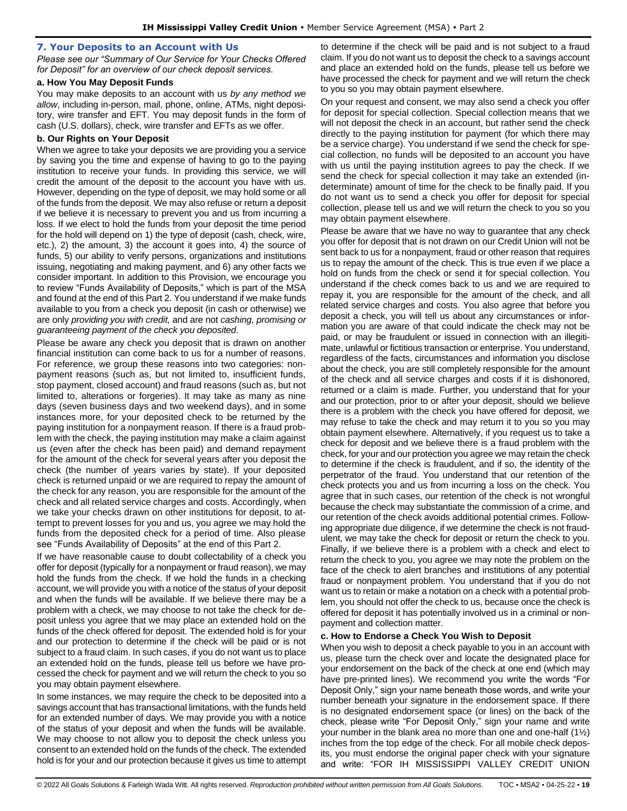#### <span id="page-18-0"></span>**7. Your Deposits to an Account with Us**

*Please see our "Summary of Our Service for Your Checks Offered for Deposit" for an overview of our check deposit services.*

#### **a. How You May Deposit Funds**

You may make deposits to an account with us *by any method we allow*, including in-person, mail, phone, online, ATMs, night depository, wire transfer and EFT. You may deposit funds in the form of cash (U.S. dollars), check, wire transfer and EFTs as we offer.

# **b. Our Rights on Your Deposit**

When we agree to take your deposits we are providing you a service by saving you the time and expense of having to go to the paying institution to receive your funds. In providing this service, we will credit the amount of the deposit to the account you have with us. However, depending on the type of deposit, we may hold some or all of the funds from the deposit. We may also refuse or return a deposit if we believe it is necessary to prevent you and us from incurring a loss. If we elect to hold the funds from your deposit the time period for the hold will depend on 1) the type of deposit (cash, check, wire, etc.), 2) the amount, 3) the account it goes into, 4) the source of funds, 5) our ability to verify persons, organizations and institutions issuing, negotiating and making payment, and 6) any other facts we consider important. In addition to this Provision, we encourage you to review "Funds Availability of Deposits," which is part of the MSA and found at the end of this Part 2. You understand if we make funds available to you from a check you deposit (in cash or otherwise) we are only *providing you with credit,* and are not *cashing, promising or guaranteeing payment of the check you deposited*.

Please be aware any check you deposit that is drawn on another financial institution can come back to us for a number of reasons. For reference, we group these reasons into two categories: nonpayment reasons (such as, but not limited to, insufficient funds, stop payment, closed account) and fraud reasons (such as, but not limited to, alterations or forgeries). It may take as many as nine days (seven business days and two weekend days), and in some instances more, for your deposited check to be returned by the paying institution for a nonpayment reason. If there is a fraud problem with the check, the paying institution may make a claim against us (even after the check has been paid) and demand repayment for the amount of the check for several years after you deposit the check (the number of years varies by state). If your deposited check is returned unpaid or we are required to repay the amount of the check for any reason, you are responsible for the amount of the check and all related service charges and costs. Accordingly, when we take your checks drawn on other institutions for deposit, to attempt to prevent losses for you and us, you agree we may hold the funds from the deposited check for a period of time. Also please see "Funds Availability of Deposits" at the end of this Part 2.

If we have reasonable cause to doubt collectability of a check you offer for deposit (typically for a nonpayment or fraud reason), we may hold the funds from the check. If we hold the funds in a checking account, we will provide you with a notice of the status of your deposit and when the funds will be available. If we believe there may be a problem with a check, we may choose to not take the check for deposit unless you agree that we may place an extended hold on the funds of the check offered for deposit. The extended hold is for your and our protection to determine if the check will be paid or is not subject to a fraud claim. In such cases, if you do not want us to place an extended hold on the funds, please tell us before we have processed the check for payment and we will return the check to you so you may obtain payment elsewhere.

In some instances, we may require the check to be deposited into a savings account that has transactional limitations, with the funds held for an extended number of days. We may provide you with a notice of the status of your deposit and when the funds will be available. We may choose to not allow you to deposit the check unless you consent to an extended hold on the funds of the check. The extended hold is for your and our protection because it gives us time to attempt to determine if the check will be paid and is not subject to a fraud claim. If you do not want us to deposit the check to a savings account and place an extended hold on the funds, please tell us before we have processed the check for payment and we will return the check to you so you may obtain payment elsewhere.

On your request and consent, we may also send a check you offer for deposit for special collection. Special collection means that we will not deposit the check in an account, but rather send the check directly to the paying institution for payment (for which there may be a service charge). You understand if we send the check for special collection, no funds will be deposited to an account you have with us until the paying institution agrees to pay the check. If we send the check for special collection it may take an extended (indeterminate) amount of time for the check to be finally paid. If you do not want us to send a check you offer for deposit for special collection, please tell us and we will return the check to you so you may obtain payment elsewhere.

Please be aware that we have no way to guarantee that any check you offer for deposit that is not drawn on our Credit Union will not be sent back to us for a nonpayment, fraud or other reason that requires us to repay the amount of the check. This is true even if we place a hold on funds from the check or send it for special collection. You understand if the check comes back to us and we are required to repay it, you are responsible for the amount of the check, and all related service charges and costs. You also agree that before you deposit a check, you will tell us about any circumstances or information you are aware of that could indicate the check may not be paid, or may be fraudulent or issued in connection with an illegitimate, unlawful or fictitious transaction or enterprise. You understand, regardless of the facts, circumstances and information you disclose about the check, you are still completely responsible for the amount of the check and all service charges and costs if it is dishonored, returned or a claim is made. Further, you understand that for your and our protection, prior to or after your deposit, should we believe there is a problem with the check you have offered for deposit, we may refuse to take the check and may return it to you so you may obtain payment elsewhere. Alternatively, if you request us to take a check for deposit and we believe there is a fraud problem with the check, for your and our protection you agree we may retain the check to determine if the check is fraudulent, and if so, the identity of the perpetrator of the fraud. You understand that our retention of the check protects you and us from incurring a loss on the check. You agree that in such cases, our retention of the check is not wrongful because the check may substantiate the commission of a crime, and our retention of the check avoids additional potential crimes. Following appropriate due diligence, if we determine the check is not fraudulent, we may take the check for deposit or return the check to you. Finally, if we believe there is a problem with a check and elect to return the check to you, you agree we may note the problem on the face of the check to alert branches and institutions of any potential fraud or nonpayment problem. You understand that if you do not want us to retain or make a notation on a check with a potential problem, you should not offer the check to us, because once the check is offered for deposit it has potentially involved us in a criminal or nonpayment and collection matter.

# **c. How to Endorse a Check You Wish to Deposit**

When you wish to deposit a check payable to you in an account with us, please turn the check over and locate the designated place for your endorsement on the back of the check at one end (which may have pre-printed lines). We recommend you write the words "For Deposit Only," sign your name beneath those words, and write your number beneath your signature in the endorsement space. If there is no designated endorsement space (or lines) on the back of the check, please write "For Deposit Only," sign your name and write your number in the blank area no more than one and one-half (1½) inches from the top edge of the check. For all mobile check deposits, you must endorse the original paper check with your signature and write: "FOR IH MISSISSIPPI VALLEY CREDIT UNION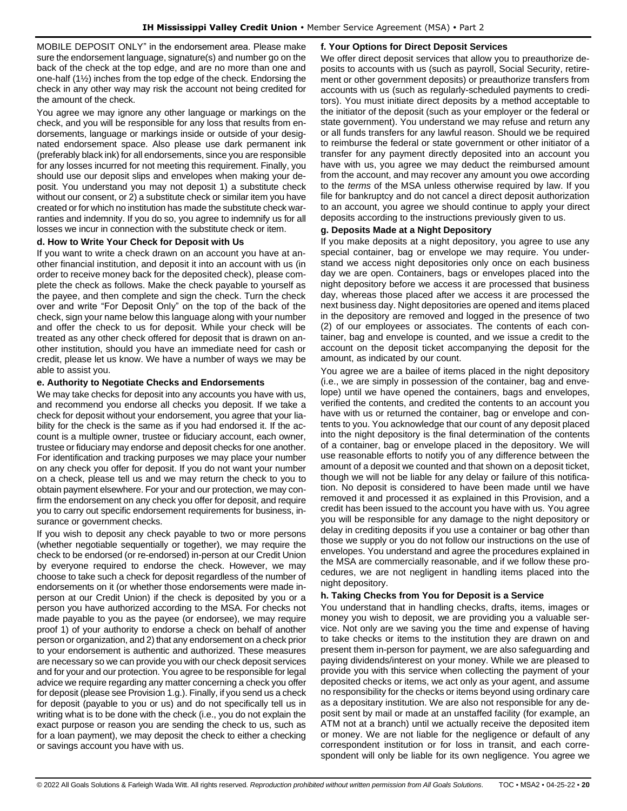MOBILE DEPOSIT ONLY" in the endorsement area. Please make sure the endorsement language, signature(s) and number go on the back of the check at the top edge, and are no more than one and one-half (1½) inches from the top edge of the check. Endorsing the check in any other way may risk the account not being credited for the amount of the check.

You agree we may ignore any other language or markings on the check, and you will be responsible for any loss that results from endorsements, language or markings inside or outside of your designated endorsement space. Also please use dark permanent ink (preferably black ink) for all endorsements, since you are responsible for any losses incurred for not meeting this requirement. Finally, you should use our deposit slips and envelopes when making your deposit. You understand you may not deposit 1) a substitute check without our consent, or 2) a substitute check or similar item you have created or for which no institution has made the substitute check warranties and indemnity. If you do so, you agree to indemnify us for all losses we incur in connection with the substitute check or item.

# **d. How to Write Your Check for Deposit with Us**

If you want to write a check drawn on an account you have at another financial institution, and deposit it into an account with us (in order to receive money back for the deposited check), please complete the check as follows. Make the check payable to yourself as the payee, and then complete and sign the check. Turn the check over and write "For Deposit Only" on the top of the back of the check, sign your name below this language along with your number and offer the check to us for deposit. While your check will be treated as any other check offered for deposit that is drawn on another institution, should you have an immediate need for cash or credit, please let us know. We have a number of ways we may be able to assist you.

### **e. Authority to Negotiate Checks and Endorsements**

We may take checks for deposit into any accounts you have with us, and recommend you endorse all checks you deposit. If we take a check for deposit without your endorsement, you agree that your liability for the check is the same as if you had endorsed it. If the account is a multiple owner, trustee or fiduciary account, each owner, trustee or fiduciary may endorse and deposit checks for one another. For identification and tracking purposes we may place your number on any check you offer for deposit. If you do not want your number on a check, please tell us and we may return the check to you to obtain payment elsewhere. For your and our protection, we may confirm the endorsement on any check you offer for deposit, and require you to carry out specific endorsement requirements for business, insurance or government checks.

If you wish to deposit any check payable to two or more persons (whether negotiable sequentially or together), we may require the check to be endorsed (or re-endorsed) in-person at our Credit Union by everyone required to endorse the check. However, we may choose to take such a check for deposit regardless of the number of endorsements on it (or whether those endorsements were made inperson at our Credit Union) if the check is deposited by you or a person you have authorized according to the MSA. For checks not made payable to you as the payee (or endorsee), we may require proof 1) of your authority to endorse a check on behalf of another person or organization, and 2) that any endorsement on a check prior to your endorsement is authentic and authorized. These measures are necessary so we can provide you with our check deposit services and for your and our protection. You agree to be responsible for legal advice we require regarding any matter concerning a check you offer for deposit (please see Provision 1.g.). Finally, if you send us a check for deposit (payable to you or us) and do not specifically tell us in writing what is to be done with the check (i.e., you do not explain the exact purpose or reason you are sending the check to us, such as for a loan payment), we may deposit the check to either a checking or savings account you have with us.

### **f. Your Options for Direct Deposit Services**

We offer direct deposit services that allow you to preauthorize deposits to accounts with us (such as payroll, Social Security, retirement or other government deposits) or preauthorize transfers from accounts with us (such as regularly-scheduled payments to creditors). You must initiate direct deposits by a method acceptable to the initiator of the deposit (such as your employer or the federal or state government). You understand we may refuse and return any or all funds transfers for any lawful reason. Should we be required to reimburse the federal or state government or other initiator of a transfer for any payment directly deposited into an account you have with us, you agree we may deduct the reimbursed amount from the account, and may recover any amount you owe according to the *terms* of the MSA unless otherwise required by law. If you file for bankruptcy and do not cancel a direct deposit authorization to an account, you agree we should continue to apply your direct deposits according to the instructions previously given to us.

### **g. Deposits Made at a Night Depository**

If you make deposits at a night depository, you agree to use any special container, bag or envelope we may require. You understand we access night depositories only once on each business day we are open. Containers, bags or envelopes placed into the night depository before we access it are processed that business day, whereas those placed after we access it are processed the next business day. Night depositories are opened and items placed in the depository are removed and logged in the presence of two (2) of our employees or associates. The contents of each container, bag and envelope is counted, and we issue a credit to the account on the deposit ticket accompanying the deposit for the amount, as indicated by our count.

You agree we are a bailee of items placed in the night depository (i.e., we are simply in possession of the container, bag and envelope) until we have opened the containers, bags and envelopes, verified the contents, and credited the contents to an account you have with us or returned the container, bag or envelope and contents to you. You acknowledge that our count of any deposit placed into the night depository is the final determination of the contents of a container, bag or envelope placed in the depository. We will use reasonable efforts to notify you of any difference between the amount of a deposit we counted and that shown on a deposit ticket, though we will not be liable for any delay or failure of this notification. No deposit is considered to have been made until we have removed it and processed it as explained in this Provision, and a credit has been issued to the account you have with us. You agree you will be responsible for any damage to the night depository or delay in crediting deposits if you use a container or bag other than those we supply or you do not follow our instructions on the use of envelopes. You understand and agree the procedures explained in the MSA are commercially reasonable, and if we follow these procedures, we are not negligent in handling items placed into the night depository.

# **h. Taking Checks from You for Deposit is a Service**

You understand that in handling checks, drafts, items, images or money you wish to deposit, we are providing you a valuable service. Not only are we saving you the time and expense of having to take checks or items to the institution they are drawn on and present them in-person for payment, we are also safeguarding and paying dividends/interest on your money. While we are pleased to provide you with this service when collecting the payment of your deposited checks or items, we act only as your agent, and assume no responsibility for the checks or items beyond using ordinary care as a depositary institution. We are also not responsible for any deposit sent by mail or made at an unstaffed facility (for example, an ATM not at a branch) until we actually receive the deposited item or money. We are not liable for the negligence or default of any correspondent institution or for loss in transit, and each correspondent will only be liable for its own negligence. You agree we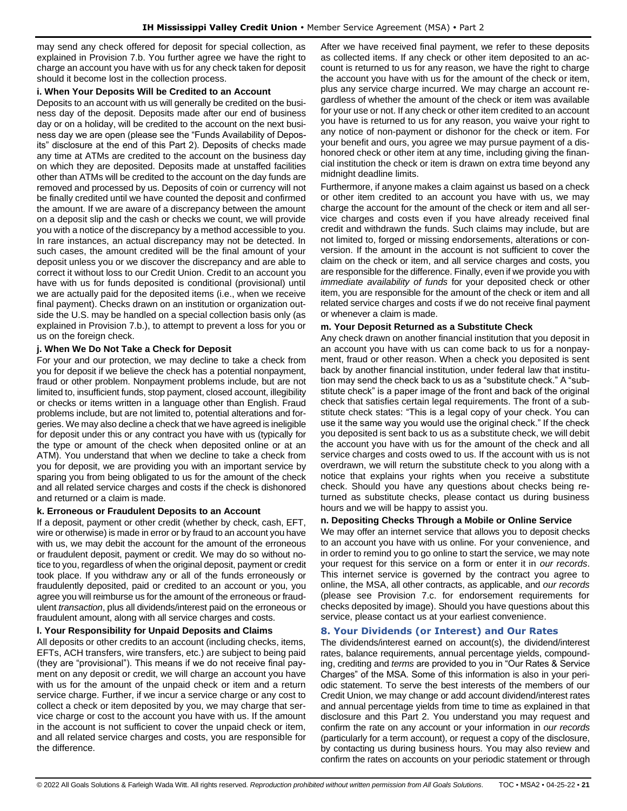may send any check offered for deposit for special collection, as explained in Provision 7.b. You further agree we have the right to charge an account you have with us for any check taken for deposit should it become lost in the collection process.

# **i. When Your Deposits Will be Credited to an Account**

Deposits to an account with us will generally be credited on the business day of the deposit. Deposits made after our end of business day or on a holiday, will be credited to the account on the next business day we are open (please see the "Funds Availability of Deposits" disclosure at the end of this Part 2). Deposits of checks made any time at ATMs are credited to the account on the business day on which they are deposited. Deposits made at unstaffed facilities other than ATMs will be credited to the account on the day funds are removed and processed by us. Deposits of coin or currency will not be finally credited until we have counted the deposit and confirmed the amount. If we are aware of a discrepancy between the amount on a deposit slip and the cash or checks we count, we will provide you with a notice of the discrepancy by a method accessible to you. In rare instances, an actual discrepancy may not be detected. In such cases, the amount credited will be the final amount of your deposit unless you or we discover the discrepancy and are able to correct it without loss to our Credit Union. Credit to an account you have with us for funds deposited is conditional (provisional) until we are actually paid for the deposited items (i.e., when we receive final payment). Checks drawn on an institution or organization outside the U.S. may be handled on a special collection basis only (as explained in Provision 7.b.), to attempt to prevent a loss for you or us on the foreign check.

# **j. When We Do Not Take a Check for Deposit**

For your and our protection, we may decline to take a check from you for deposit if we believe the check has a potential nonpayment, fraud or other problem. Nonpayment problems include, but are not limited to, insufficient funds, stop payment, closed account, illegibility or checks or items written in a language other than English. Fraud problems include, but are not limited to, potential alterations and forgeries. We may also decline a check that we have agreed is ineligible for deposit under this or any contract you have with us (typically for the type or amount of the check when deposited online or at an ATM). You understand that when we decline to take a check from you for deposit, we are providing you with an important service by sparing you from being obligated to us for the amount of the check and all related service charges and costs if the check is dishonored and returned or a claim is made.

# **k. Erroneous or Fraudulent Deposits to an Account**

If a deposit, payment or other credit (whether by check, cash, EFT, wire or otherwise) is made in error or by fraud to an account you have with us, we may debit the account for the amount of the erroneous or fraudulent deposit, payment or credit. We may do so without notice to you, regardless of when the original deposit, payment or credit took place. If you withdraw any or all of the funds erroneously or fraudulently deposited, paid or credited to an account or you, you agree you will reimburse us for the amount of the erroneous or fraudulent *transaction*, plus all dividends/interest paid on the erroneous or fraudulent amount, along with all service charges and costs.

# **l. Your Responsibility for Unpaid Deposits and Claims**

All deposits or other credits to an account (including checks, items, EFTs, ACH transfers, wire transfers, etc.) are subject to being paid (they are "provisional"). This means if we do not receive final payment on any deposit or credit, we will charge an account you have with us for the amount of the unpaid check or item and a return service charge. Further, if we incur a service charge or any cost to collect a check or item deposited by you, we may charge that service charge or cost to the account you have with us. If the amount in the account is not sufficient to cover the unpaid check or item, and all related service charges and costs, you are responsible for the difference.

After we have received final payment, we refer to these deposits as collected items. If any check or other item deposited to an account is returned to us for any reason, we have the right to charge the account you have with us for the amount of the check or item, plus any service charge incurred. We may charge an account regardless of whether the amount of the check or item was available for your use or not. If any check or other item credited to an account you have is returned to us for any reason, you waive your right to any notice of non-payment or dishonor for the check or item. For your benefit and ours, you agree we may pursue payment of a dishonored check or other item at any time, including giving the financial institution the check or item is drawn on extra time beyond any midnight deadline limits.

Furthermore, if anyone makes a claim against us based on a check or other item credited to an account you have with us, we may charge the account for the amount of the check or item and all service charges and costs even if you have already received final credit and withdrawn the funds. Such claims may include, but are not limited to, forged or missing endorsements, alterations or conversion. If the amount in the account is not sufficient to cover the claim on the check or item, and all service charges and costs, you are responsible for the difference. Finally, even if we provide you with *immediate availability of funds* for your deposited check or other item, you are responsible for the amount of the check or item and all related service charges and costs if we do not receive final payment or whenever a claim is made.

# **m. Your Deposit Returned as a Substitute Check**

Any check drawn on another financial institution that you deposit in an account you have with us can come back to us for a nonpayment, fraud or other reason. When a check you deposited is sent back by another financial institution, under federal law that institution may send the check back to us as a "substitute check." A "substitute check" is a paper image of the front and back of the original check that satisfies certain legal requirements. The front of a substitute check states: "This is a legal copy of your check. You can use it the same way you would use the original check." If the check you deposited is sent back to us as a substitute check, we will debit the account you have with us for the amount of the check and all service charges and costs owed to us. If the account with us is not overdrawn, we will return the substitute check to you along with a notice that explains your rights when you receive a substitute check. Should you have any questions about checks being returned as substitute checks, please contact us during business hours and we will be happy to assist you.

# **n. Depositing Checks Through a Mobile or Online Service**

We may offer an internet service that allows you to deposit checks to an account you have with us online. For your convenience, and in order to remind you to go online to start the service, we may note your request for this service on a form or enter it in *our records*. This internet service is governed by the contract you agree to online, the MSA, all other contracts, as applicable, and *our records* (please see Provision 7.c. for endorsement requirements for checks deposited by image). Should you have questions about this service, please contact us at your earliest convenience.

# <span id="page-20-0"></span>**8. Your Dividends (or Interest) and Our Rates**

The dividends/interest earned on account(s), the dividend/interest rates, balance requirements, annual percentage yields, compounding, crediting and *terms* are provided to you in "Our Rates & Service Charges" of the MSA. Some of this information is also in your periodic statement. To serve the best interests of the members of our Credit Union, we may change or add account dividend/interest rates and annual percentage yields from time to time as explained in that disclosure and this Part 2. You understand you may request and confirm the rate on any account or your information in *our records* (particularly for a term account), or request a copy of the disclosure, by contacting us during business hours. You may also review and confirm the rates on accounts on your periodic statement or through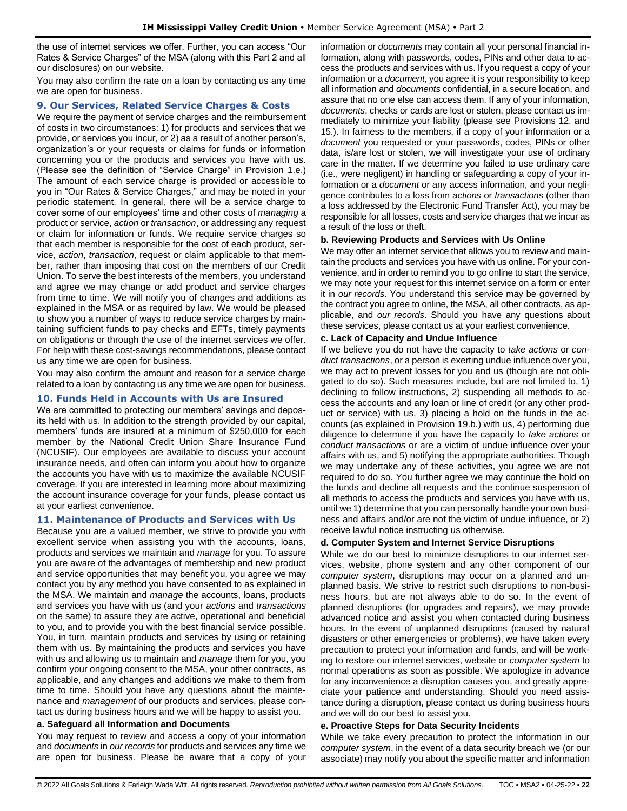the use of internet services we offer. Further, you can access "Our Rates & Service Charges" of the MSA (along with this Part 2 and all our disclosures) on our website.

You may also confirm the rate on a loan by contacting us any time we are open for business.

#### <span id="page-21-0"></span>**9. Our Services, Related Service Charges & Costs**

We require the payment of service charges and the reimbursement of costs in two circumstances: 1) for products and services that we provide, or services you incur, or 2) as a result of another person's, organization's or your requests or claims for funds or information concerning you or the products and services you have with us. (Please see the definition of "Service Charge" in Provision 1.e.) The amount of each service charge is provided or accessible to you in "Our Rates & Service Charges," and may be noted in your periodic statement. In general, there will be a service charge to cover some of our employees' time and other costs of *managing* a product or service, *action* or *transaction*, or addressing any request or claim for information or funds. We require service charges so that each member is responsible for the cost of each product, service, *action*, *transaction*, request or claim applicable to that member, rather than imposing that cost on the members of our Credit Union. To serve the best interests of the members, you understand and agree we may change or add product and service charges from time to time. We will notify you of changes and additions as explained in the MSA or as required by law. We would be pleased to show you a number of ways to reduce service charges by maintaining sufficient funds to pay checks and EFTs, timely payments on obligations or through the use of the internet services we offer. For help with these cost-savings recommendations, please contact us any time we are open for business.

You may also confirm the amount and reason for a service charge related to a loan by contacting us any time we are open for business.

### <span id="page-21-1"></span>**10. Funds Held in Accounts with Us are Insured**

We are committed to protecting our members' savings and deposits held with us. In addition to the strength provided by our capital, members' funds are insured at a minimum of \$250,000 for each member by the National Credit Union Share Insurance Fund (NCUSIF). Our employees are available to discuss your account insurance needs, and often can inform you about how to organize the accounts you have with us to maximize the available NCUSIF coverage. If you are interested in learning more about maximizing the account insurance coverage for your funds, please contact us at your earliest convenience.

#### <span id="page-21-2"></span>**11. Maintenance of Products and Services with Us**

Because you are a valued member, we strive to provide you with excellent service when assisting you with the accounts, loans, products and services we maintain and *manage* for you. To assure you are aware of the advantages of membership and new product and service opportunities that may benefit you, you agree we may contact you by any method you have consented to as explained in the MSA. We maintain and *manage* the accounts, loans, products and services you have with us (and your *actions* and *transactions* on the same) to assure they are active, operational and beneficial to you, and to provide you with the best financial service possible. You, in turn, maintain products and services by using or retaining them with us. By maintaining the products and services you have with us and allowing us to maintain and *manage* them for you, you confirm your ongoing consent to the MSA, your other contracts, as applicable, and any changes and additions we make to them from time to time. Should you have any questions about the maintenance and *management* of our products and services, please contact us during business hours and we will be happy to assist you.

#### **a. Safeguard all Information and Documents**

You may request to review and access a copy of your information and *documents* in *our records* for products and services any time we are open for business. Please be aware that a copy of your information or *documents* may contain all your personal financial information, along with passwords, codes, PINs and other data to access the products and services with us. If you request a copy of your information or a *document*, you agree it is your responsibility to keep all information and *documents* confidential, in a secure location, and assure that no one else can access them. If any of your information, *documents*, checks or cards are lost or stolen, please contact us immediately to minimize your liability (please see Provisions 12. and 15.). In fairness to the members, if a copy of your information or a *document* you requested or your passwords, codes, PINs or other data, is/are lost or stolen, we will investigate your use of ordinary care in the matter. If we determine you failed to use ordinary care (i.e., were negligent) in handling or safeguarding a copy of your information or a *document* or any access information, and your negligence contributes to a loss from *actions* or *transactions* (other than a loss addressed by the Electronic Fund Transfer Act), you may be responsible for all losses, costs and service charges that we incur as a result of the loss or theft.

#### **b. Reviewing Products and Services with Us Online**

We may offer an internet service that allows you to review and maintain the products and services you have with us online. For your convenience, and in order to remind you to go online to start the service, we may note your request for this internet service on a form or enter it in *our records*. You understand this service may be governed by the contract you agree to online, the MSA, all other contracts, as applicable, and *our records*. Should you have any questions about these services, please contact us at your earliest convenience.

#### **c. Lack of Capacity and Undue Influence**

If we believe you do not have the capacity to *take actions* or *conduct transactions*, or a person is exerting undue influence over you, we may act to prevent losses for you and us (though are not obligated to do so). Such measures include, but are not limited to, 1) declining to follow instructions, 2) suspending all methods to access the accounts and any loan or line of credit (or any other product or service) with us, 3) placing a hold on the funds in the accounts (as explained in Provision 19.b.) with us, 4) performing due diligence to determine if you have the capacity to *take actions* or *conduct transactions* or are a victim of undue influence over your affairs with us, and 5) notifying the appropriate authorities. Though we may undertake any of these activities, you agree we are not required to do so. You further agree we may continue the hold on the funds and decline all requests and the continue suspension of all methods to access the products and services you have with us, until we 1) determine that you can personally handle your own business and affairs and/or are not the victim of undue influence, or 2) receive lawful notice instructing us otherwise.

#### **d. Computer System and Internet Service Disruptions**

While we do our best to minimize disruptions to our internet services, website, phone system and any other component of our *computer system*, disruptions may occur on a planned and unplanned basis. We strive to restrict such disruptions to non-business hours, but are not always able to do so. In the event of planned disruptions (for upgrades and repairs), we may provide advanced notice and assist you when contacted during business hours. In the event of unplanned disruptions (caused by natural disasters or other emergencies or problems), we have taken every precaution to protect your information and funds, and will be working to restore our internet services, website or *computer system* to normal operations as soon as possible. We apologize in advance for any inconvenience a disruption causes you, and greatly appreciate your patience and understanding. Should you need assistance during a disruption, please contact us during business hours and we will do our best to assist you.

#### **e. Proactive Steps for Data Security Incidents**

While we take every precaution to protect the information in our *computer system*, in the event of a data security breach we (or our associate) may notify you about the specific matter and information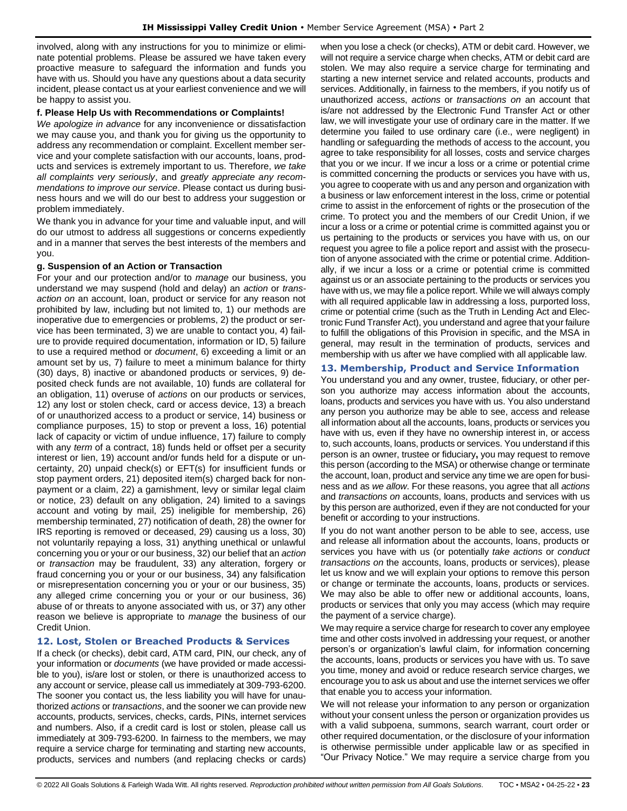involved, along with any instructions for you to minimize or eliminate potential problems. Please be assured we have taken every proactive measure to safeguard the information and funds you have with us. Should you have any questions about a data security incident, please contact us at your earliest convenience and we will be happy to assist you.

### **f. Please Help Us with Recommendations or Complaints!**

*We apologize in advance* for any inconvenience or dissatisfaction we may cause you, and thank you for giving us the opportunity to address any recommendation or complaint. Excellent member service and your complete satisfaction with our accounts, loans, products and services is extremely important to us. Therefore, *we take all complaints very seriously*, and *greatly appreciate any recommendations to improve our service*. Please contact us during business hours and we will do our best to address your suggestion or problem immediately.

We thank you in advance for your time and valuable input, and will do our utmost to address all suggestions or concerns expediently and in a manner that serves the best interests of the members and you.

#### **g. Suspension of an Action or Transaction**

For your and our protection and/or to *manage* our business, you understand we may suspend (hold and delay) an *action* or *transaction on* an account, loan, product or service for any reason not prohibited by law, including but not limited to, 1) our methods are inoperative due to emergencies or problems, 2) the product or service has been terminated, 3) we are unable to contact you, 4) failure to provide required documentation, information or ID, 5) failure to use a required method or *document*, 6) exceeding a limit or an amount set by us, 7) failure to meet a minimum balance for thirty (30) days, 8) inactive or abandoned products or services, 9) deposited check funds are not available, 10) funds are collateral for an obligation, 11) overuse of *actions* on our products or services, 12) any lost or stolen check, card or access device, 13) a breach of or unauthorized access to a product or service, 14) business or compliance purposes, 15) to stop or prevent a loss, 16) potential lack of capacity or victim of undue influence, 17) failure to comply with any *term* of a contract, 18) funds held or offset per a security interest or lien, 19) account and/or funds held for a dispute or uncertainty, 20) unpaid check(s) or EFT(s) for insufficient funds or stop payment orders, 21) deposited item(s) charged back for nonpayment or a claim, 22) a garnishment, levy or similar legal claim or notice, 23) default on any obligation, 24) limited to a savings account and voting by mail, 25) ineligible for membership, 26) membership terminated, 27) notification of death, 28) the owner for IRS reporting is removed or deceased, 29) causing us a loss, 30) not voluntarily repaying a loss, 31) anything unethical or unlawful concerning you or your or our business, 32) our belief that an *action* or *transaction* may be fraudulent, 33) any alteration, forgery or fraud concerning you or your or our business, 34) any falsification or misrepresentation concerning you or your or our business, 35) any alleged crime concerning you or your or our business, 36) abuse of or threats to anyone associated with us, or 37) any other reason we believe is appropriate to *manage* the business of our Credit Union.

# <span id="page-22-0"></span>**12. Lost, Stolen or Breached Products & Services**

If a check (or checks), debit card, ATM card, PIN, our check, any of your information or *documents* (we have provided or made accessible to you), is/are lost or stolen, or there is unauthorized access to any account or service, please call us immediately at 309-793-6200. The sooner you contact us, the less liability you will have for unauthorized *actions* or *transactions*, and the sooner we can provide new accounts, products, services, checks, cards, PINs, internet services and numbers. Also, if a credit card is lost or stolen, please call us immediately at 309-793-6200. In fairness to the members, we may require a service charge for terminating and starting new accounts, products, services and numbers (and replacing checks or cards) when you lose a check (or checks), ATM or debit card. However, we will not require a service charge when checks, ATM or debit card are stolen. We may also require a service charge for terminating and starting a new internet service and related accounts, products and services. Additionally, in fairness to the members, if you notify us of unauthorized access, *actions* or *transactions on* an account that is/are not addressed by the Electronic Fund Transfer Act or other law, we will investigate your use of ordinary care in the matter. If we determine you failed to use ordinary care (i.e., were negligent) in handling or safeguarding the methods of access to the account, you agree to take responsibility for all losses, costs and service charges that you or we incur. If we incur a loss or a crime or potential crime is committed concerning the products or services you have with us, you agree to cooperate with us and any person and organization with a business or law enforcement interest in the loss, crime or potential crime to assist in the enforcement of rights or the prosecution of the crime. To protect you and the members of our Credit Union, if we incur a loss or a crime or potential crime is committed against you or us pertaining to the products or services you have with us, on our request you agree to file a police report and assist with the prosecution of anyone associated with the crime or potential crime. Additionally, if we incur a loss or a crime or potential crime is committed against us or an associate pertaining to the products or services you have with us, we may file a police report. While we will always comply with all required applicable law in addressing a loss, purported loss, crime or potential crime (such as the Truth in Lending Act and Electronic Fund Transfer Act), you understand and agree that your failure to fulfill the obligations of this Provision in specific, and the MSA in general, may result in the termination of products, services and membership with us after we have complied with all applicable law.

### <span id="page-22-1"></span>**13. Membership, Product and Service Information**

You understand you and any owner, trustee, fiduciary, or other person you authorize may access information about the accounts, loans, products and services you have with us. You also understand any person you authorize may be able to see, access and release all information about all the accounts, loans, products or services you have with us, even if they have no ownership interest in, or access to, such accounts, loans, products or services. You understand if this person is an owner, trustee or fiduciary**,** you may request to remove this person (according to the MSA) or otherwise change or terminate the account, loan, product and service any time we are open for business and as *we allow*. For these reasons, you agree that all *actions*  and *transactions on* accounts, loans, products and services with us by this person are authorized, even if they are not conducted for your benefit or according to your instructions.

If you do not want another person to be able to see, access, use and release all information about the accounts, loans, products or services you have with us (or potentially *take actions* or *conduct transactions on* the accounts, loans, products or services), please let us know and we will explain your options to remove this person or change or terminate the accounts, loans, products or services. We may also be able to offer new or additional accounts, loans, products or services that only you may access (which may require the payment of a service charge).

We may require a service charge for research to cover any employee time and other costs involved in addressing your request, or another person's or organization's lawful claim, for information concerning the accounts, loans, products or services you have with us. To save you time, money and avoid or reduce research service charges, we encourage you to ask us about and use the internet services we offer that enable you to access your information.

We will not release your information to any person or organization without your consent unless the person or organization provides us with a valid subpoena, summons, search warrant, court order or other required documentation, or the disclosure of your information is otherwise permissible under applicable law or as specified in "Our Privacy Notice." We may require a service charge from you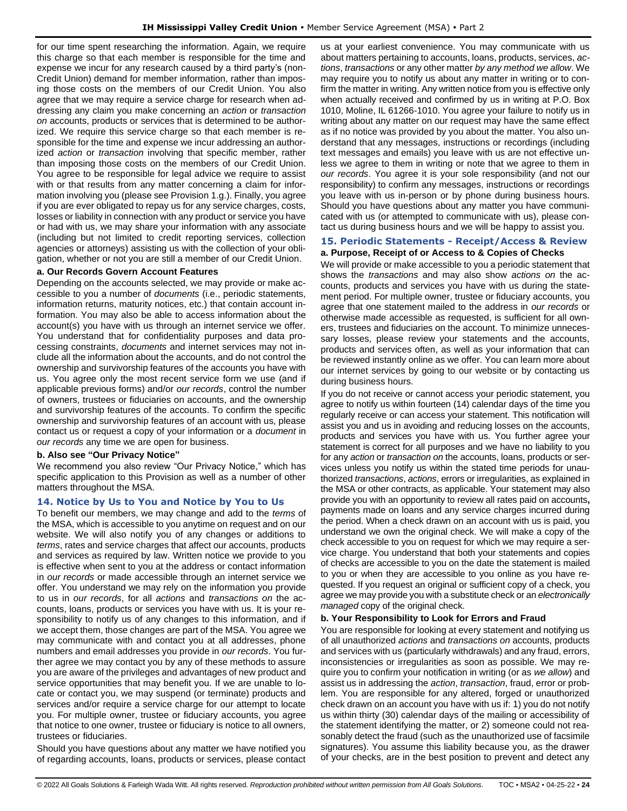for our time spent researching the information. Again, we require this charge so that each member is responsible for the time and expense we incur for any research caused by a third party's (non-Credit Union) demand for member information, rather than imposing those costs on the members of our Credit Union. You also agree that we may require a service charge for research when addressing any claim you make concerning an *action* or *transaction on* accounts, products or services that is determined to be authorized. We require this service charge so that each member is responsible for the time and expense we incur addressing an authorized *action* or *transaction* involving that specific member, rather than imposing those costs on the members of our Credit Union. You agree to be responsible for legal advice we require to assist with or that results from any matter concerning a claim for information involving you (please see Provision 1.g.). Finally, you agree if you are ever obligated to repay us for any service charges, costs, losses or liability in connection with any product or service you have or had with us, we may share your information with any associate (including but not limited to credit reporting services, collection agencies or attorneys) assisting us with the collection of your obligation, whether or not you are still a member of our Credit Union.

#### **a. Our Records Govern Account Features**

Depending on the accounts selected, we may provide or make accessible to you a number of *documents* (i.e., periodic statements, information returns, maturity notices, etc.) that contain account information. You may also be able to access information about the account(s) you have with us through an internet service we offer. You understand that for confidentiality purposes and data processing constraints, *documents* and internet services may not include all the information about the accounts, and do not control the ownership and survivorship features of the accounts you have with us. You agree only the most recent service form we use (and if applicable previous forms) and/or *our records*, control the number of owners, trustees or fiduciaries on accounts, and the ownership and survivorship features of the accounts. To confirm the specific ownership and survivorship features of an account with us, please contact us or request a copy of your information or a *document* in *our records* any time we are open for business.

### **b. Also see "Our Privacy Notice"**

We recommend you also review "Our Privacy Notice," which has specific application to this Provision as well as a number of other matters throughout the MSA.

#### <span id="page-23-0"></span>**14. Notice by Us to You and Notice by You to Us**

To benefit our members, we may change and add to the *terms* of the MSA, which is accessible to you anytime on request and on our website. We will also notify you of any changes or additions to *terms*, rates and service charges that affect our accounts, products and services as required by law. Written notice we provide to you is effective when sent to you at the address or contact information in *our records* or made accessible through an internet service we offer. You understand we may rely on the information you provide to us in *our records*, for all *actions* and *transactions on* the accounts, loans, products or services you have with us. It is your responsibility to notify us of any changes to this information, and if we accept them, those changes are part of the MSA. You agree we may communicate with and contact you at all addresses, phone numbers and email addresses you provide in *our records*. You further agree we may contact you by any of these methods to assure you are aware of the privileges and advantages of new product and service opportunities that may benefit you. If we are unable to locate or contact you, we may suspend (or terminate) products and services and/or require a service charge for our attempt to locate you. For multiple owner, trustee or fiduciary accounts, you agree that notice to one owner, trustee or fiduciary is notice to all owners, trustees or fiduciaries.

Should you have questions about any matter we have notified you of regarding accounts, loans, products or services, please contact us at your earliest convenience. You may communicate with us about matters pertaining to accounts, loans, products, services, *actions*, *transactions* or any other matter *by any method we allow*. We may require you to notify us about any matter in writing or to confirm the matter in writing. Any written notice from you is effective only when actually received and confirmed by us in writing at P.O. Box 1010, Moline, IL 61266-1010. You agree your failure to notify us in writing about any matter on our request may have the same effect as if no notice was provided by you about the matter. You also understand that any messages, instructions or recordings (including text messages and emails) you leave with us are not effective unless we agree to them in writing or note that we agree to them in *our records*. You agree it is your sole responsibility (and not our responsibility) to confirm any messages, instructions or recordings you leave with us in-person or by phone during business hours. Should you have questions about any matter you have communicated with us (or attempted to communicate with us), please contact us during business hours and we will be happy to assist you.

### <span id="page-23-1"></span>**15. Periodic Statements - Receipt/Access & Review a. Purpose, Receipt of or Access to & Copies of Checks**

We will provide or make accessible to you a periodic statement that shows the *transactions* and may also show *actions on* the accounts, products and services you have with us during the statement period. For multiple owner, trustee or fiduciary accounts, you agree that one statement mailed to the address in *our records* or otherwise made accessible as requested, is sufficient for all owners, trustees and fiduciaries on the account. To minimize unnecessary losses, please review your statements and the accounts, products and services often, as well as your information that can be reviewed instantly online as we offer. You can learn more about our internet services by going to our website or by contacting us during business hours.

If you do not receive or cannot access your periodic statement, you agree to notify us within fourteen (14) calendar days of the time you regularly receive or can access your statement. This notification will assist you and us in avoiding and reducing losses on the accounts, products and services you have with us. You further agree your statement is correct for all purposes and we have no liability to you for any *action* or *transaction on* the accounts, loans, products or services unless you notify us within the stated time periods for unauthorized *transactions*, *actions*, errors or irregularities, as explained in the MSA or other contracts, as applicable. Your statement may also provide you with an opportunity to review all rates paid on accounts**,** payments made on loans and any service charges incurred during the period. When a check drawn on an account with us is paid, you understand we own the original check. We will make a copy of the check accessible to you on request for which we may require a service charge. You understand that both your statements and copies of checks are accessible to you on the date the statement is mailed to you or when they are accessible to you online as you have requested. If you request an original or sufficient copy of a check, you agree we may provide you with a substitute check or an *electronically managed* copy of the original check.

#### **b. Your Responsibility to Look for Errors and Fraud**

You are responsible for looking at every statement and notifying us of all unauthorized *actions* and *transactions on* accounts, products and services with us (particularly withdrawals) and any fraud, errors, inconsistencies or irregularities as soon as possible. We may require you to confirm your notification in writing (or as *we allow*) and assist us in addressing the *action*, *transaction*, fraud, error or problem. You are responsible for any altered, forged or unauthorized check drawn on an account you have with us if: 1) you do not notify us within thirty (30) calendar days of the mailing or accessibility of the statement identifying the matter, or 2) someone could not reasonably detect the fraud (such as the unauthorized use of facsimile signatures). You assume this liability because you, as the drawer of your checks, are in the best position to prevent and detect any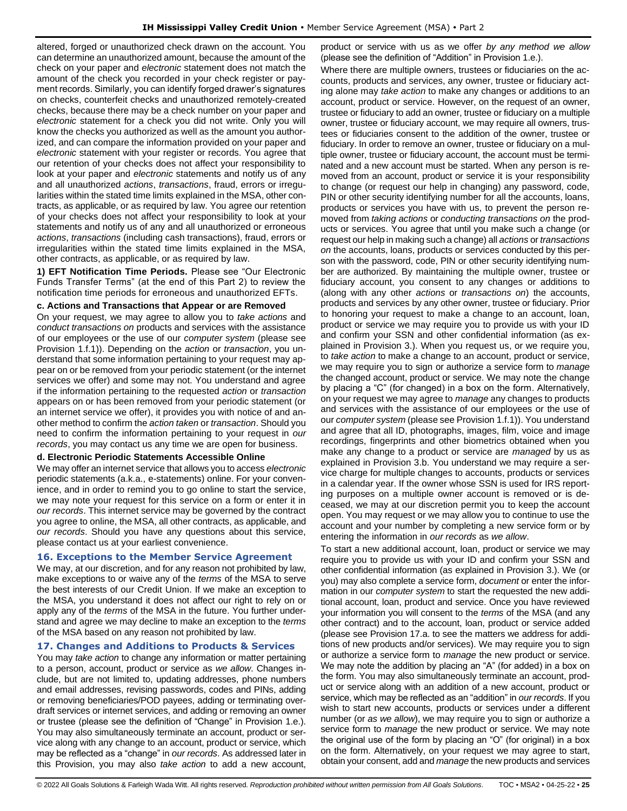altered, forged or unauthorized check drawn on the account. You can determine an unauthorized amount, because the amount of the check on your paper and *electronic* statement does not match the amount of the check you recorded in your check register or payment records. Similarly, you can identify forged drawer's signatures on checks, counterfeit checks and unauthorized remotely-created checks, because there may be a check number on your paper and *electronic* statement for a check you did not write. Only you will know the checks you authorized as well as the amount you authorized, and can compare the information provided on your paper and *electronic* statement with your register or records. You agree that our retention of your checks does not affect your responsibility to look at your paper and *electronic* statements and notify us of any and all unauthorized *actions*, *transactions*, fraud, errors or irregularities within the stated time limits explained in the MSA, other contracts, as applicable, or as required by law. You agree our retention of your checks does not affect your responsibility to look at your statements and notify us of any and all unauthorized or erroneous *actions*, *transactions* (including cash transactions), fraud, errors or irregularities within the stated time limits explained in the MSA, other contracts, as applicable, or as required by law.

**1) EFT Notification Time Periods.** Please see "Our Electronic Funds Transfer Terms" (at the end of this Part 2) to review the notification time periods for erroneous and unauthorized EFTs.

#### **c. Actions and Transactions that Appear or are Removed**

On your request, we may agree to allow you to *take actions* and *conduct transactions on* products and services with the assistance of our employees or the use of our *computer system* (please see Provision 1.f.1)). Depending on the *action* or *transaction*, you understand that some information pertaining to your request may appear on or be removed from your periodic statement (or the internet services we offer) and some may not. You understand and agree if the information pertaining to the requested *action* or *transaction* appears on or has been removed from your periodic statement (or an internet service we offer), it provides you with notice of and another method to confirm the *action taken* or *transaction*. Should you need to confirm the information pertaining to your request in *our records*, you may contact us any time we are open for business.

#### **d. Electronic Periodic Statements Accessible Online**

We may offer an internet service that allows you to access *electronic* periodic statements (a.k.a., e-statements) online. For your convenience, and in order to remind you to go online to start the service, we may note your request for this service on a form or enter it in *our records*. This internet service may be governed by the contract you agree to online, the MSA, all other contracts, as applicable, and *our records*. Should you have any questions about this service, please contact us at your earliest convenience.

#### <span id="page-24-0"></span>**16. Exceptions to the Member Service Agreement**

We may, at our discretion, and for any reason not prohibited by law, make exceptions to or waive any of the *terms* of the MSA to serve the best interests of our Credit Union. If we make an exception to the MSA, you understand it does not affect our right to rely on or apply any of the *terms* of the MSA in the future. You further understand and agree we may decline to make an exception to the *terms* of the MSA based on any reason not prohibited by law.

#### <span id="page-24-1"></span>**17. Changes and Additions to Products & Services**

You may *take action* to change any information or matter pertaining to a person, account, product or service as *we allow*. Changes include, but are not limited to, updating addresses, phone numbers and email addresses, revising passwords, codes and PINs, adding or removing beneficiaries/POD payees, adding or terminating overdraft services or internet services, and adding or removing an owner or trustee (please see the definition of "Change" in Provision 1.e.). You may also simultaneously terminate an account, product or service along with any change to an account, product or service, which may be reflected as a "change" in *our records*. As addressed later in this Provision, you may also *take action* to add a new account,

product or service with us as we offer *by any method we allow* (please see the definition of "Addition" in Provision 1.e.).

Where there are multiple owners, trustees or fiduciaries on the accounts, products and services, any owner, trustee or fiduciary acting alone may *take action* to make any changes or additions to an account, product or service. However, on the request of an owner, trustee or fiduciary to add an owner, trustee or fiduciary on a multiple owner, trustee or fiduciary account, we may require all owners, trustees or fiduciaries consent to the addition of the owner, trustee or fiduciary. In order to remove an owner, trustee or fiduciary on a multiple owner, trustee or fiduciary account, the account must be terminated and a new account must be started. When any person is removed from an account, product or service it is your responsibility to change (or request our help in changing) any password, code, PIN or other security identifying number for all the accounts, loans, products or services you have with us, to prevent the person removed from *taking actions* or *conducting transactions on* the products or services. You agree that until you make such a change (or request our help in making such a change) all *actions* or *transactions on* the accounts, loans, products or services conducted by this person with the password, code, PIN or other security identifying number are authorized. By maintaining the multiple owner, trustee or fiduciary account, you consent to any changes or additions to (along with any other *actions* or *transactions on*) the accounts, products and services by any other owner, trustee or fiduciary. Prior to honoring your request to make a change to an account, loan, product or service we may require you to provide us with your ID and confirm your SSN and other confidential information (as explained in Provision 3.). When you request us, or we require you, to *take action* to make a change to an account, product or service, we may require you to sign or authorize a service form to *manage* the changed account, product or service. We may note the change by placing a "C" (for changed) in a box on the form. Alternatively, on your request we may agree to *manage* any changes to products and services with the assistance of our employees or the use of our *computer system* (please see Provision 1.f.1)). You understand and agree that all ID, photographs, images, film, voice and image recordings, fingerprints and other biometrics obtained when you make any change to a product or service are *managed* by us as explained in Provision 3.b. You understand we may require a service charge for multiple changes to accounts, products or services in a calendar year. If the owner whose SSN is used for IRS reporting purposes on a multiple owner account is removed or is deceased, we may at our discretion permit you to keep the account open. You may request or we may allow you to continue to use the account and your number by completing a new service form or by entering the information in *our records* as *we allow*.

To start a new additional account, loan, product or service we may require you to provide us with your ID and confirm your SSN and other confidential information (as explained in Provision 3.). We (or you) may also complete a service form, *document* or enter the information in our *computer system* to start the requested the new additional account, loan, product and service. Once you have reviewed your information you will consent to the *terms* of the MSA (and any other contract) and to the account, loan, product or service added (please see Provision 17.a. to see the matters we address for additions of new products and/or services). We may require you to sign or authorize a service form to *manage* the new product or service. We may note the addition by placing an "A" (for added) in a box on the form. You may also simultaneously terminate an account, product or service along with an addition of a new account, product or service, which may be reflected as an "addition" in *our records*. If you wish to start new accounts, products or services under a different number (or *as we allow*), we may require you to sign or authorize a service form to *manage* the new product or service. We may note the original use of the form by placing an "O" (for original) in a box on the form. Alternatively, on your request we may agree to start, obtain your consent, add and *manage* the new products and services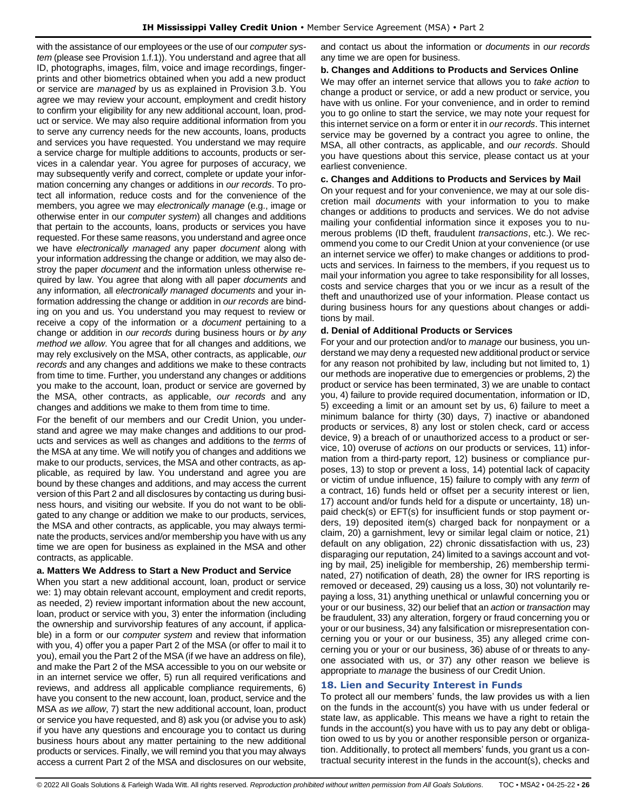with the assistance of our employees or the use of our *computer system* (please see Provision 1.f.1)). You understand and agree that all ID, photographs, images, film, voice and image recordings, fingerprints and other biometrics obtained when you add a new product or service are *managed* by us as explained in Provision 3.b. You agree we may review your account, employment and credit history to confirm your eligibility for any new additional account, loan, product or service. We may also require additional information from you to serve any currency needs for the new accounts, loans, products and services you have requested. You understand we may require a service charge for multiple additions to accounts, products or services in a calendar year. You agree for purposes of accuracy, we may subsequently verify and correct, complete or update your information concerning any changes or additions in *our records*. To protect all information, reduce costs and for the convenience of the members, you agree we may *electronically manage* (e.g., image or otherwise enter in our *computer system*) all changes and additions that pertain to the accounts, loans, products or services you have requested. For these same reasons, you understand and agree once we have *electronically managed* any paper *document* along with your information addressing the change or addition*,* we may also destroy the paper *document* and the information unless otherwise required by law. You agree that along with all paper *documents* and any information*,* all *electronically managed documents* and your information addressing the change or addition in *our records* are binding on you and us. You understand you may request to review or receive a copy of the information or a *document* pertaining to a change or addition in *our records* during business hours or *by any method we allow*. You agree that for all changes and additions, we may rely exclusively on the MSA, other contracts, as applicable, *our records* and any changes and additions we make to these contracts from time to time. Further, you understand any changes or additions you make to the account, loan, product or service are governed by the MSA, other contracts, as applicable, *our records* and any changes and additions we make to them from time to time.

For the benefit of our members and our Credit Union, you understand and agree we may make changes and additions to our products and services as well as changes and additions to the *terms* of the MSA at any time. We will notify you of changes and additions we make to our products, services, the MSA and other contracts, as applicable, as required by law. You understand and agree you are bound by these changes and additions, and may access the current version of this Part 2 and all disclosures by contacting us during business hours, and visiting our website. If you do not want to be obligated to any change or addition we make to our products, services, the MSA and other contracts, as applicable, you may always terminate the products, services and/or membership you have with us any time we are open for business as explained in the MSA and other contracts, as applicable.

# **a. Matters We Address to Start a New Product and Service**

When you start a new additional account, loan, product or service we: 1) may obtain relevant account, employment and credit reports, as needed, 2) review important information about the new account, loan, product or service with you, 3) enter the information (including the ownership and survivorship features of any account, if applicable) in a form or our *computer system* and review that information with you, 4) offer you a paper Part 2 of the MSA (or offer to mail it to you), email you the Part 2 of the MSA (if we have an address on file), and make the Part 2 of the MSA accessible to you on our website or in an internet service we offer, 5) run all required verifications and reviews, and address all applicable compliance requirements, 6) have you consent to the new account, loan, product, service and the MSA *as we allow*, 7) start the new additional account, loan, product or service you have requested, and 8) ask you (or advise you to ask) if you have any questions and encourage you to contact us during business hours about any matter pertaining to the new additional products or services. Finally, we will remind you that you may always access a current Part 2 of the MSA and disclosures on our website,

and contact us about the information or *documents* in *our records* any time we are open for business.

### **b. Changes and Additions to Products and Services Online**

We may offer an internet service that allows you to *take action* to change a product or service, or add a new product or service, you have with us online. For your convenience, and in order to remind you to go online to start the service, we may note your request for this internet service on a form or enter it in *our records*. This internet service may be governed by a contract you agree to online, the MSA, all other contracts, as applicable, and *our records*. Should you have questions about this service, please contact us at your earliest convenience.

### **c. Changes and Additions to Products and Services by Mail**

On your request and for your convenience, we may at our sole discretion mail *documents* with your information to you to make changes or additions to products and services. We do not advise mailing your confidential information since it exposes you to numerous problems (ID theft, fraudulent *transactions*, etc.). We recommend you come to our Credit Union at your convenience (or use an internet service we offer) to make changes or additions to products and services. In fairness to the members, if you request us to mail your information you agree to take responsibility for all losses, costs and service charges that you or we incur as a result of the theft and unauthorized use of your information. Please contact us during business hours for any questions about changes or additions by mail.

### **d. Denial of Additional Products or Services**

For your and our protection and/or to *manage* our business, you understand we may deny a requested new additional product or service for any reason not prohibited by law, including but not limited to, 1) our methods are inoperative due to emergencies or problems, 2) the product or service has been terminated, 3) we are unable to contact you, 4) failure to provide required documentation, information or ID, 5) exceeding a limit or an amount set by us, 6) failure to meet a minimum balance for thirty (30) days, 7) inactive or abandoned products or services, 8) any lost or stolen check, card or access device, 9) a breach of or unauthorized access to a product or service, 10) overuse of *actions* on our products or services, 11) information from a third-party report, 12) business or compliance purposes, 13) to stop or prevent a loss, 14) potential lack of capacity or victim of undue influence, 15) failure to comply with any *term* of a contract, 16) funds held or offset per a security interest or lien, 17) account and/or funds held for a dispute or uncertainty, 18) unpaid check(s) or EFT(s) for insufficient funds or stop payment orders, 19) deposited item(s) charged back for nonpayment or a claim, 20) a garnishment, levy or similar legal claim or notice, 21) default on any obligation, 22) chronic dissatisfaction with us, 23) disparaging our reputation, 24) limited to a savings account and voting by mail, 25) ineligible for membership, 26) membership terminated, 27) notification of death, 28) the owner for IRS reporting is removed or deceased, 29) causing us a loss, 30) not voluntarily repaying a loss, 31) anything unethical or unlawful concerning you or your or our business, 32) our belief that an *action* or *transaction* may be fraudulent, 33) any alteration, forgery or fraud concerning you or your or our business, 34) any falsification or misrepresentation concerning you or your or our business, 35) any alleged crime concerning you or your or our business, 36) abuse of or threats to anyone associated with us, or 37) any other reason we believe is appropriate to *manage* the business of our Credit Union.

# <span id="page-25-0"></span>**18. Lien and Security Interest in Funds**

To protect all our members' funds, the law provides us with a lien on the funds in the account(s) you have with us under federal or state law, as applicable. This means we have a right to retain the funds in the account(s) you have with us to pay any debt or obligation owed to us by you or another responsible person or organization. Additionally, to protect all members' funds, you grant us a contractual security interest in the funds in the account(s), checks and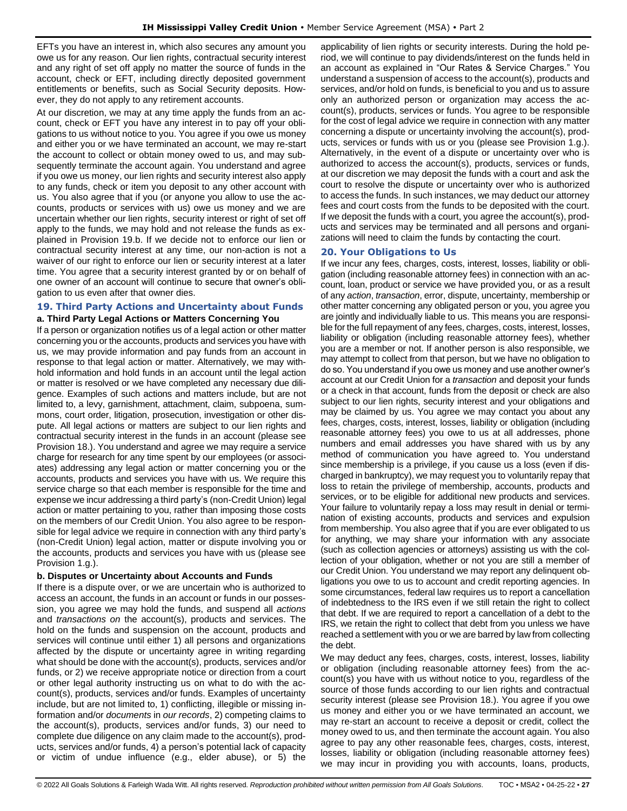EFTs you have an interest in, which also secures any amount you owe us for any reason. Our lien rights, contractual security interest and any right of set off apply no matter the source of funds in the account, check or EFT, including directly deposited government entitlements or benefits, such as Social Security deposits. However, they do not apply to any retirement accounts.

At our discretion, we may at any time apply the funds from an account, check or EFT you have any interest in to pay off your obligations to us without notice to you. You agree if you owe us money and either you or we have terminated an account, we may re-start the account to collect or obtain money owed to us, and may subsequently terminate the account again. You understand and agree if you owe us money, our lien rights and security interest also apply to any funds, check or item you deposit to any other account with us. You also agree that if you (or anyone you allow to use the accounts, products or services with us) owe us money and we are uncertain whether our lien rights, security interest or right of set off apply to the funds, we may hold and not release the funds as explained in Provision 19.b. If we decide not to enforce our lien or contractual security interest at any time, our non-action is not a waiver of our right to enforce our lien or security interest at a later time. You agree that a security interest granted by or on behalf of one owner of an account will continue to secure that owner's obligation to us even after that owner dies.

### <span id="page-26-0"></span>**19. Third Party Actions and Uncertainty about Funds a. Third Party Legal Actions or Matters Concerning You**

If a person or organization notifies us of a legal action or other matter concerning you or the accounts, products and services you have with us, we may provide information and pay funds from an account in response to that legal action or matter. Alternatively, we may withhold information and hold funds in an account until the legal action or matter is resolved or we have completed any necessary due diligence. Examples of such actions and matters include, but are not limited to, a levy, garnishment, attachment, claim, subpoena, summons, court order, litigation, prosecution, investigation or other dispute. All legal actions or matters are subject to our lien rights and contractual security interest in the funds in an account (please see Provision 18.). You understand and agree we may require a service charge for research for any time spent by our employees (or associates) addressing any legal action or matter concerning you or the accounts, products and services you have with us. We require this service charge so that each member is responsible for the time and expense we incur addressing a third party's (non-Credit Union) legal action or matter pertaining to you, rather than imposing those costs on the members of our Credit Union. You also agree to be responsible for legal advice we require in connection with any third party's (non-Credit Union) legal action, matter or dispute involving you or the accounts, products and services you have with us (please see Provision 1.g.).

# **b. Disputes or Uncertainty about Accounts and Funds**

If there is a dispute over, or we are uncertain who is authorized to access an account, the funds in an account or funds in our possession, you agree we may hold the funds, and suspend all *actions* and *transactions on* the account(s), products and services. The hold on the funds and suspension on the account, products and services will continue until either 1) all persons and organizations affected by the dispute or uncertainty agree in writing regarding what should be done with the account(s), products, services and/or funds, or 2) we receive appropriate notice or direction from a court or other legal authority instructing us on what to do with the account(s), products, services and/or funds. Examples of uncertainty include, but are not limited to, 1) conflicting, illegible or missing information and/or *documents* in *our records*, 2) competing claims to the account(s), products, services and/or funds, 3) our need to complete due diligence on any claim made to the account(s), products, services and/or funds, 4) a person's potential lack of capacity or victim of undue influence (e.g., elder abuse), or 5) the

applicability of lien rights or security interests. During the hold period, we will continue to pay dividends/interest on the funds held in an account as explained in "Our Rates & Service Charges." You understand a suspension of access to the account(s), products and services, and/or hold on funds, is beneficial to you and us to assure only an authorized person or organization may access the account(s), products, services or funds. You agree to be responsible for the cost of legal advice we require in connection with any matter concerning a dispute or uncertainty involving the account(s), products, services or funds with us or you (please see Provision 1.g.). Alternatively, in the event of a dispute or uncertainty over who is authorized to access the account(s), products, services or funds, at our discretion we may deposit the funds with a court and ask the court to resolve the dispute or uncertainty over who is authorized to access the funds. In such instances, we may deduct our attorney fees and court costs from the funds to be deposited with the court. If we deposit the funds with a court, you agree the account(s), products and services may be terminated and all persons and organizations will need to claim the funds by contacting the court.

# <span id="page-26-1"></span>**20. Your Obligations to Us**

If we incur any fees, charges, costs, interest, losses, liability or obligation (including reasonable attorney fees) in connection with an account, loan, product or service we have provided you, or as a result of any *action*, *transaction*, error, dispute, uncertainty, membership or other matter concerning any obligated person or you, you agree you are jointly and individually liable to us. This means you are responsible for the full repayment of any fees, charges, costs, interest, losses, liability or obligation (including reasonable attorney fees), whether you are a member or not. If another person is also responsible, we may attempt to collect from that person, but we have no obligation to do so. You understand if you owe us money and use another owner's account at our Credit Union for a *transaction* and deposit your funds or a check in that account, funds from the deposit or check are also subject to our lien rights, security interest and your obligations and may be claimed by us. You agree we may contact you about any fees, charges, costs, interest, losses, liability or obligation (including reasonable attorney fees) you owe to us at all addresses, phone numbers and email addresses you have shared with us by any method of communication you have agreed to. You understand since membership is a privilege, if you cause us a loss (even if discharged in bankruptcy), we may request you to voluntarily repay that loss to retain the privilege of membership, accounts, products and services, or to be eligible for additional new products and services. Your failure to voluntarily repay a loss may result in denial or termination of existing accounts, products and services and expulsion from membership. You also agree that if you are ever obligated to us for anything, we may share your information with any associate (such as collection agencies or attorneys) assisting us with the collection of your obligation, whether or not you are still a member of our Credit Union. You understand we may report any delinquent obligations you owe to us to account and credit reporting agencies. In some circumstances, federal law requires us to report a cancellation of indebtedness to the IRS even if we still retain the right to collect that debt. If we are required to report a cancellation of a debt to the IRS, we retain the right to collect that debt from you unless we have reached a settlement with you or we are barred by law from collecting the debt.

We may deduct any fees, charges, costs, interest, losses, liability or obligation (including reasonable attorney fees) from the account(s) you have with us without notice to you, regardless of the source of those funds according to our lien rights and contractual security interest (please see Provision 18.). You agree if you owe us money and either you or we have terminated an account, we may re-start an account to receive a deposit or credit, collect the money owed to us, and then terminate the account again. You also agree to pay any other reasonable fees, charges, costs, interest, losses, liability or obligation (including reasonable attorney fees) we may incur in providing you with accounts, loans, products,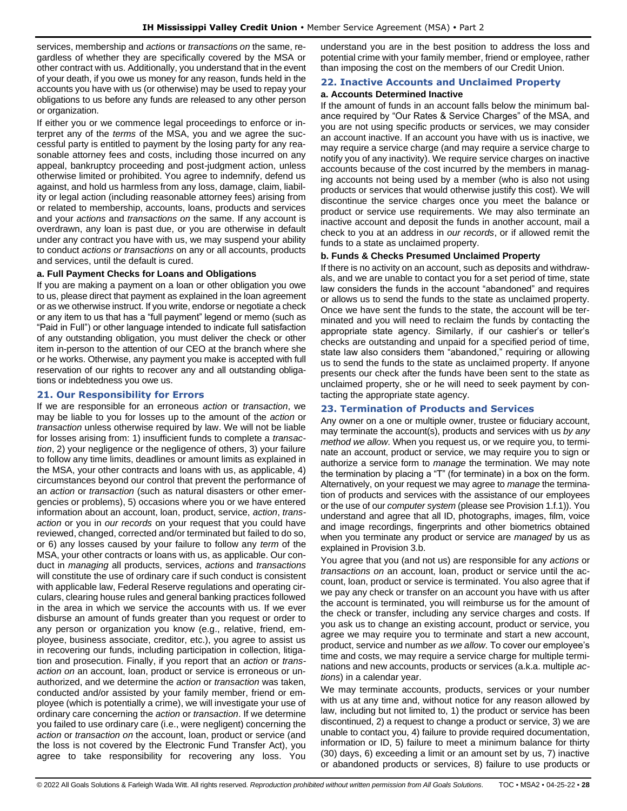services, membership and *action*s or *transaction*s *on* the same, regardless of whether they are specifically covered by the MSA or other contract with us. Additionally, you understand that in the event of your death, if you owe us money for any reason, funds held in the accounts you have with us (or otherwise) may be used to repay your obligations to us before any funds are released to any other person or organization.

If either you or we commence legal proceedings to enforce or interpret any of the *terms* of the MSA, you and we agree the successful party is entitled to payment by the losing party for any reasonable attorney fees and costs, including those incurred on any appeal, bankruptcy proceeding and post-judgment action, unless otherwise limited or prohibited. You agree to indemnify, defend us against, and hold us harmless from any loss, damage, claim, liability or legal action (including reasonable attorney fees) arising from or related to membership, accounts, loans, products and services and your *actions* and *transactions on* the same. If any account is overdrawn, any loan is past due, or you are otherwise in default under any contract you have with us, we may suspend your ability to conduct *actions or transactions* on any or all accounts, products and services, until the default is cured.

# **a. Full Payment Checks for Loans and Obligations**

If you are making a payment on a loan or other obligation you owe to us, please direct that payment as explained in the loan agreement or as we otherwise instruct. If you write, endorse or negotiate a check or any item to us that has a "full payment" legend or memo (such as "Paid in Full") or other language intended to indicate full satisfaction of any outstanding obligation, you must deliver the check or other item in-person to the attention of our CEO at the branch where she or he works. Otherwise, any payment you make is accepted with full reservation of our rights to recover any and all outstanding obligations or indebtedness you owe us.

# <span id="page-27-0"></span>**21. Our Responsibility for Errors**

If we are responsible for an erroneous *action* or *transaction*, we may be liable to you for losses up to the amount of the *action* or *transaction* unless otherwise required by law. We will not be liable for losses arising from: 1) insufficient funds to complete a *transaction*, 2) your negligence or the negligence of others, 3) your failure to follow any time limits, deadlines or amount limits as explained in the MSA, your other contracts and loans with us, as applicable, 4) circumstances beyond our control that prevent the performance of an *action* or *transaction* (such as natural disasters or other emergencies or problems), 5) occasions where you or we have entered information about an account, loan, product, service, *action*, *transaction* or you in *our records* on your request that you could have reviewed, changed, corrected and/or terminated but failed to do so, or 6) any losses caused by your failure to follow any *term* of the MSA, your other contracts or loans with us, as applicable. Our conduct in *managing* all products, services, *actions* and *transactions* will constitute the use of ordinary care if such conduct is consistent with applicable law, Federal Reserve regulations and operating circulars, clearing house rules and general banking practices followed in the area in which we service the accounts with us. If we ever disburse an amount of funds greater than you request or order to any person or organization you know (e.g., relative, friend, employee, business associate, creditor, etc.), you agree to assist us in recovering our funds, including participation in collection, litigation and prosecution. Finally, if you report that an *action* or *transaction on* an account, loan, product or service is erroneous or unauthorized, and we determine the *action* or *transaction* was taken, conducted and/or assisted by your family member, friend or employee (which is potentially a crime), we will investigate your use of ordinary care concerning the *action* or *transaction*. If we determine you failed to use ordinary care (i.e., were negligent) concerning the *action* or *transaction on* the account, loan, product or service (and the loss is not covered by the Electronic Fund Transfer Act), you agree to take responsibility for recovering any loss. You

understand you are in the best position to address the loss and potential crime with your family member, friend or employee, rather than imposing the cost on the members of our Credit Union.

# <span id="page-27-1"></span>**22. Inactive Accounts and Unclaimed Property**

# **a. Accounts Determined Inactive**

If the amount of funds in an account falls below the minimum balance required by "Our Rates & Service Charges" of the MSA, and you are not using specific products or services, we may consider an account inactive. If an account you have with us is inactive, we may require a service charge (and may require a service charge to notify you of any inactivity). We require service charges on inactive accounts because of the cost incurred by the members in managing accounts not being used by a member (who is also not using products or services that would otherwise justify this cost). We will discontinue the service charges once you meet the balance or product or service use requirements. We may also terminate an inactive account and deposit the funds in another account, mail a check to you at an address in *our records*, or if allowed remit the funds to a state as unclaimed property.

# **b. Funds & Checks Presumed Unclaimed Property**

If there is no activity on an account, such as deposits and withdrawals, and we are unable to contact you for a set period of time, state law considers the funds in the account "abandoned" and requires or allows us to send the funds to the state as unclaimed property. Once we have sent the funds to the state, the account will be terminated and you will need to reclaim the funds by contacting the appropriate state agency. Similarly, if our cashier's or teller's checks are outstanding and unpaid for a specified period of time, state law also considers them "abandoned," requiring or allowing us to send the funds to the state as unclaimed property. If anyone presents our check after the funds have been sent to the state as unclaimed property, she or he will need to seek payment by contacting the appropriate state agency.

# <span id="page-27-2"></span>**23. Termination of Products and Services**

Any owner on a one or multiple owner, trustee or fiduciary account, may terminate the account(s), products and services with us *by any method we allow*. When you request us, or we require you, to terminate an account, product or service, we may require you to sign or authorize a service form to *manage* the termination. We may note the termination by placing a "T" (for terminate) in a box on the form. Alternatively, on your request we may agree to *manage* the termination of products and services with the assistance of our employees or the use of our *computer system* (please see Provision 1.f.1)). You understand and agree that all ID, photographs, images, film, voice and image recordings, fingerprints and other biometrics obtained when you terminate any product or service are *managed* by us as explained in Provision 3.b.

You agree that you (and not us) are responsible for any *actions* or *transactions on* an account, loan, product or service until the account, loan, product or service is terminated. You also agree that if we pay any check or transfer on an account you have with us after the account is terminated, you will reimburse us for the amount of the check or transfer, including any service charges and costs. If you ask us to change an existing account, product or service, you agree we may require you to terminate and start a new account, product, service and number *as we allow*. To cover our employee's time and costs, we may require a service charge for multiple terminations and new accounts, products or services (a.k.a. multiple *actions*) in a calendar year.

We may terminate accounts, products, services or your number with us at any time and, without notice for any reason allowed by law, including but not limited to, 1) the product or service has been discontinued, 2) a request to change a product or service, 3) we are unable to contact you, 4) failure to provide required documentation, information or ID, 5) failure to meet a minimum balance for thirty (30) days, 6) exceeding a limit or an amount set by us, 7) inactive or abandoned products or services, 8) failure to use products or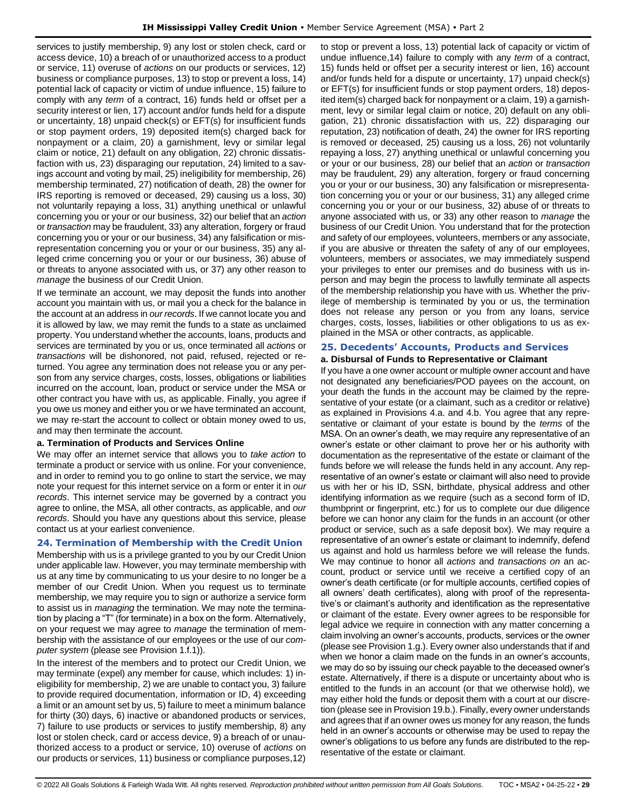services to justify membership, 9) any lost or stolen check, card or access device, 10) a breach of or unauthorized access to a product or service, 11) overuse of *actions* on our products or services, 12) business or compliance purposes, 13) to stop or prevent a loss, 14) potential lack of capacity or victim of undue influence, 15) failure to comply with any *term* of a contract, 16) funds held or offset per a security interest or lien, 17) account and/or funds held for a dispute or uncertainty, 18) unpaid check(s) or EFT(s) for insufficient funds or stop payment orders, 19) deposited item(s) charged back for nonpayment or a claim, 20) a garnishment, levy or similar legal claim or notice, 21) default on any obligation, 22) chronic dissatisfaction with us, 23) disparaging our reputation, 24) limited to a savings account and voting by mail, 25) ineligibility for membership, 26) membership terminated, 27) notification of death, 28) the owner for IRS reporting is removed or deceased, 29) causing us a loss, 30) not voluntarily repaying a loss, 31) anything unethical or unlawful concerning you or your or our business, 32) our belief that an *action* or *transaction* may be fraudulent, 33) any alteration, forgery or fraud concerning you or your or our business, 34) any falsification or misrepresentation concerning you or your or our business, 35) any alleged crime concerning you or your or our business, 36) abuse of or threats to anyone associated with us, or 37) any other reason to *manage* the business of our Credit Union.

If we terminate an account, we may deposit the funds into another account you maintain with us, or mail you a check for the balance in the account at an address in *our records*. If we cannot locate you and it is allowed by law, we may remit the funds to a state as unclaimed property. You understand whether the accounts, loans, products and services are terminated by you or us, once terminated all *actions* or *transactions* will be dishonored, not paid, refused, rejected or returned. You agree any termination does not release you or any person from any service charges, costs, losses, obligations or liabilities incurred on the account, loan, product or service under the MSA or other contract you have with us, as applicable. Finally, you agree if you owe us money and either you or we have terminated an account, we may re-start the account to collect or obtain money owed to us, and may then terminate the account.

# **a. Termination of Products and Services Online**

We may offer an internet service that allows you to *take action* to terminate a product or service with us online. For your convenience, and in order to remind you to go online to start the service, we may note your request for this internet service on a form or enter it in *our records*. This internet service may be governed by a contract you agree to online, the MSA, all other contracts, as applicable, and *our records*. Should you have any questions about this service, please contact us at your earliest convenience.

# <span id="page-28-0"></span>**24. Termination of Membership with the Credit Union**

Membership with us is a privilege granted to you by our Credit Union under applicable law. However, you may terminate membership with us at any time by communicating to us your desire to no longer be a member of our Credit Union. When you request us to terminate membership, we may require you to sign or authorize a service form to assist us in *managing* the termination. We may note the termination by placing a "T" (for terminate) in a box on the form. Alternatively, on your request we may agree to *manage* the termination of membership with the assistance of our employees or the use of our *computer system* (please see Provision 1.f.1)).

In the interest of the members and to protect our Credit Union, we may terminate (expel) any member for cause, which includes: 1) ineligibility for membership, 2) we are unable to contact you, 3) failure to provide required documentation, information or ID, 4) exceeding a limit or an amount set by us, 5) failure to meet a minimum balance for thirty (30) days, 6) inactive or abandoned products or services, 7) failure to use products or services to justify membership, 8) any lost or stolen check, card or access device, 9) a breach of or unauthorized access to a product or service, 10) overuse of *actions* on our products or services, 11) business or compliance purposes,12) to stop or prevent a loss, 13) potential lack of capacity or victim of undue influence,14) failure to comply with any *term* of a contract, 15) funds held or offset per a security interest or lien, 16) account and/or funds held for a dispute or uncertainty, 17) unpaid check(s) or EFT(s) for insufficient funds or stop payment orders, 18) deposited item(s) charged back for nonpayment or a claim, 19) a garnishment, levy or similar legal claim or notice, 20) default on any obligation, 21) chronic dissatisfaction with us, 22) disparaging our reputation, 23) notification of death, 24) the owner for IRS reporting is removed or deceased, 25) causing us a loss, 26) not voluntarily repaying a loss, 27) anything unethical or unlawful concerning you or your or our business, 28) our belief that an *action* or *transaction* may be fraudulent, 29) any alteration, forgery or fraud concerning you or your or our business, 30) any falsification or misrepresentation concerning you or your or our business, 31) any alleged crime concerning you or your or our business, 32) abuse of or threats to anyone associated with us, or 33) any other reason to *manage* the business of our Credit Union. You understand that for the protection and safety of our employees, volunteers, members or any associate, if you are abusive or threaten the safety of any of our employees, volunteers, members or associates, we may immediately suspend your privileges to enter our premises and do business with us inperson and may begin the process to lawfully terminate all aspects of the membership relationship you have with us. Whether the privilege of membership is terminated by you or us, the termination does not release any person or you from any loans, service charges, costs, losses, liabilities or other obligations to us as explained in the MSA or other contracts, as applicable.

# <span id="page-28-1"></span>**25. Decedents' Accounts, Products and Services a. Disbursal of Funds to Representative or Claimant**

If you have a one owner account or multiple owner account and have not designated any beneficiaries/POD payees on the account, on your death the funds in the account may be claimed by the representative of your estate (or a claimant, such as a creditor or relative) as explained in Provisions 4.a. and 4.b. You agree that any representative or claimant of your estate is bound by the *terms* of the MSA. On an owner's death, we may require any representative of an owner's estate or other claimant to prove her or his authority with documentation as the representative of the estate or claimant of the funds before we will release the funds held in any account. Any representative of an owner's estate or claimant will also need to provide us with her or his ID, SSN, birthdate, physical address and other identifying information as we require (such as a second form of ID, thumbprint or fingerprint, etc.) for us to complete our due diligence before we can honor any claim for the funds in an account (or other product or service, such as a safe deposit box). We may require a representative of an owner's estate or claimant to indemnify, defend us against and hold us harmless before we will release the funds. We may continue to honor all *actions* and *transactions on* an account, product or service until we receive a certified copy of an owner's death certificate (or for multiple accounts, certified copies of all owners' death certificates), along with proof of the representative's or claimant's authority and identification as the representative or claimant of the estate. Every owner agrees to be responsible for legal advice we require in connection with any matter concerning a claim involving an owner's accounts, products, services or the owner (please see Provision 1.g.). Every owner also understands that if and when we honor a claim made on the funds in an owner's accounts, we may do so by issuing our check payable to the deceased owner's estate. Alternatively, if there is a dispute or uncertainty about who is entitled to the funds in an account (or that we otherwise hold), we may either hold the funds or deposit them with a court at our discretion (please see in Provision 19.b.). Finally, every owner understands and agrees that if an owner owes us money for any reason, the funds held in an owner's accounts or otherwise may be used to repay the owner's obligations to us before any funds are distributed to the representative of the estate or claimant.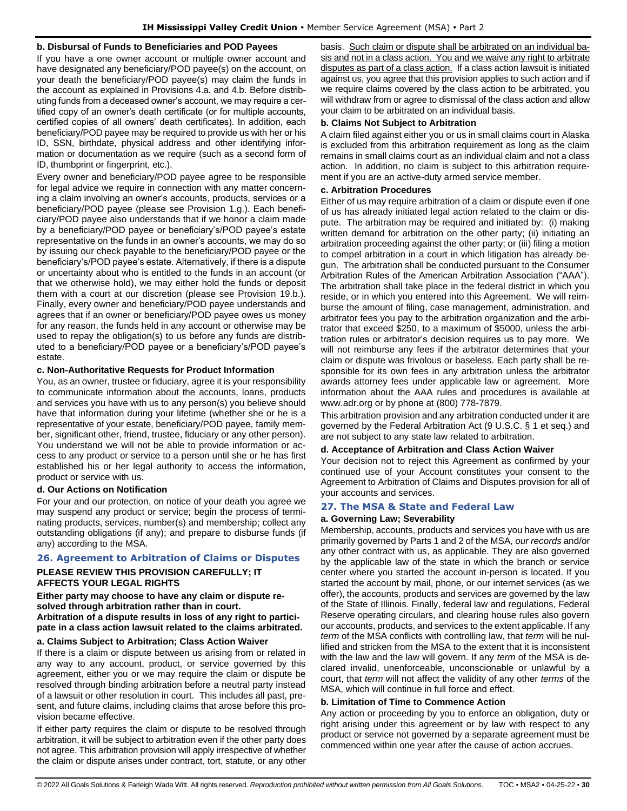### **b. Disbursal of Funds to Beneficiaries and POD Payees**

If you have a one owner account or multiple owner account and have designated any beneficiary/POD payee(s) on the account, on your death the beneficiary/POD payee(s) may claim the funds in the account as explained in Provisions 4.a. and 4.b. Before distributing funds from a deceased owner's account, we may require a certified copy of an owner's death certificate (or for multiple accounts, certified copies of all owners' death certificates). In addition, each beneficiary/POD payee may be required to provide us with her or his ID, SSN, birthdate, physical address and other identifying information or documentation as we require (such as a second form of ID, thumbprint or fingerprint, etc.).

Every owner and beneficiary/POD payee agree to be responsible for legal advice we require in connection with any matter concerning a claim involving an owner's accounts, products, services or a beneficiary/POD payee (please see Provision 1.g.). Each beneficiary/POD payee also understands that if we honor a claim made by a beneficiary/POD payee or beneficiary's/POD payee's estate representative on the funds in an owner's accounts, we may do so by issuing our check payable to the beneficiary/POD payee or the beneficiary's/POD payee's estate. Alternatively, if there is a dispute or uncertainty about who is entitled to the funds in an account (or that we otherwise hold), we may either hold the funds or deposit them with a court at our discretion (please see Provision 19.b.). Finally, every owner and beneficiary/POD payee understands and agrees that if an owner or beneficiary/POD payee owes us money for any reason, the funds held in any account or otherwise may be used to repay the obligation(s) to us before any funds are distributed to a beneficiary/POD payee or a beneficiary's/POD payee's estate.

### **c. Non-Authoritative Requests for Product Information**

You, as an owner, trustee or fiduciary, agree it is your responsibility to communicate information about the accounts, loans, products and services you have with us to any person(s) you believe should have that information during your lifetime (whether she or he is a representative of your estate, beneficiary/POD payee, family member, significant other, friend, trustee, fiduciary or any other person). You understand we will not be able to provide information or access to any product or service to a person until she or he has first established his or her legal authority to access the information, product or service with us.

#### **d. Our Actions on Notification**

For your and our protection, on notice of your death you agree we may suspend any product or service; begin the process of terminating products, services, number(s) and membership; collect any outstanding obligations (if any); and prepare to disburse funds (if any) according to the MSA.

# <span id="page-29-0"></span>**26. Agreement to Arbitration of Claims or Disputes**

# **PLEASE REVIEW THIS PROVISION CAREFULLY; IT AFFECTS YOUR LEGAL RIGHTS**

**Either party may choose to have any claim or dispute resolved through arbitration rather than in court. Arbitration of a dispute results in loss of any right to participate in a class action lawsuit related to the claims arbitrated.** 

### **a. Claims Subject to Arbitration; Class Action Waiver**

If there is a claim or dispute between us arising from or related in any way to any account, product, or service governed by this agreement, either you or we may require the claim or dispute be resolved through binding arbitration before a neutral party instead of a lawsuit or other resolution in court. This includes all past, present, and future claims, including claims that arose before this provision became effective.

If either party requires the claim or dispute to be resolved through arbitration, it will be subject to arbitration even if the other party does not agree. This arbitration provision will apply irrespective of whether the claim or dispute arises under contract, tort, statute, or any other basis. Such claim or dispute shall be arbitrated on an individual basis and not in a class action. You and we waive any right to arbitrate disputes as part of a class action. If a class action lawsuit is initiated against us, you agree that this provision applies to such action and if we require claims covered by the class action to be arbitrated, you will withdraw from or agree to dismissal of the class action and allow your claim to be arbitrated on an individual basis.

### **b. Claims Not Subject to Arbitration**

A claim filed against either you or us in small claims court in Alaska is excluded from this arbitration requirement as long as the claim remains in small claims court as an individual claim and not a class action. In addition, no claim is subject to this arbitration requirement if you are an active-duty armed service member.

### **c. Arbitration Procedures**

Either of us may require arbitration of a claim or dispute even if one of us has already initiated legal action related to the claim or dispute. The arbitration may be required and initiated by: (i) making written demand for arbitration on the other party; (ii) initiating an arbitration proceeding against the other party; or (iii) filing a motion to compel arbitration in a court in which litigation has already begun. The arbitration shall be conducted pursuant to the Consumer Arbitration Rules of the American Arbitration Association ("AAA"). The arbitration shall take place in the federal district in which you reside, or in which you entered into this Agreement. We will reimburse the amount of filing, case management, administration, and arbitrator fees you pay to the arbitration organization and the arbitrator that exceed \$250, to a maximum of \$5000, unless the arbitration rules or arbitrator's decision requires us to pay more. We will not reimburse any fees if the arbitrator determines that your claim or dispute was frivolous or baseless. Each party shall be responsible for its own fees in any arbitration unless the arbitrator awards attorney fees under applicable law or agreement. More information about the AAA rules and procedures is available at www.adr.org or by phone at (800) 778-7879.

This arbitration provision and any arbitration conducted under it are governed by the Federal Arbitration Act (9 U.S.C. § 1 et seq.) and are not subject to any state law related to arbitration.

#### **d. Acceptance of Arbitration and Class Action Waiver**

Your decision not to reject this Agreement as confirmed by your continued use of your Account constitutes your consent to the Agreement to Arbitration of Claims and Disputes provision for all of your accounts and services.

#### <span id="page-29-1"></span>**27. The MSA & State and Federal Law**

#### **a. Governing Law; Severability**

Membership, accounts, products and services you have with us are primarily governed by Parts 1 and 2 of the MSA, *our records* and/or any other contract with us, as applicable. They are also governed by the applicable law of the state in which the branch or service center where you started the account in-person is located. If you started the account by mail, phone, or our internet services (as we offer), the accounts, products and services are governed by the law of the State of Illinois. Finally, federal law and regulations, Federal Reserve operating circulars, and clearing house rules also govern our accounts, products, and services to the extent applicable. If any *term* of the MSA conflicts with controlling law, that *term* will be nullified and stricken from the MSA to the extent that it is inconsistent with the law and the law will govern. If any *term* of the MSA is declared invalid, unenforceable, unconscionable or unlawful by a court, that *term* will not affect the validity of any other *terms* of the MSA, which will continue in full force and effect.

# **b. Limitation of Time to Commence Action**

Any action or proceeding by you to enforce an obligation, duty or right arising under this agreement or by law with respect to any product or service not governed by a separate agreement must be commenced within one year after the cause of action accrues.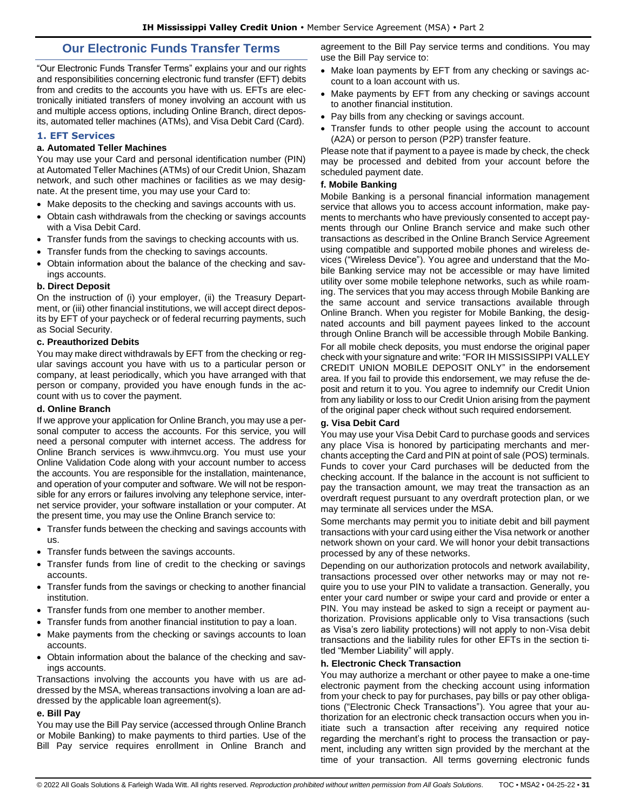# **Our Electronic Funds Transfer Terms**

<span id="page-30-0"></span>"Our Electronic Funds Transfer Terms" explains your and our rights and responsibilities concerning electronic fund transfer (EFT) debits from and credits to the accounts you have with us. EFTs are electronically initiated transfers of money involving an account with us and multiple access options, including Online Branch, direct deposits, automated teller machines (ATMs), and Visa Debit Card (Card).

### <span id="page-30-1"></span>**1. EFT Services**

#### **a. Automated Teller Machines**

You may use your Card and personal identification number (PIN) at Automated Teller Machines (ATMs) of our Credit Union, Shazam network, and such other machines or facilities as we may designate. At the present time, you may use your Card to:

- Make deposits to the checking and savings accounts with us.
- Obtain cash withdrawals from the checking or savings accounts with a Visa Debit Card.
- Transfer funds from the savings to checking accounts with us.
- Transfer funds from the checking to savings accounts.
- Obtain information about the balance of the checking and savings accounts.

### **b. Direct Deposit**

On the instruction of (i) your employer, (ii) the Treasury Department, or (iii) other financial institutions, we will accept direct deposits by EFT of your paycheck or of federal recurring payments, such as Social Security.

## **c. Preauthorized Debits**

You may make direct withdrawals by EFT from the checking or regular savings account you have with us to a particular person or company, at least periodically, which you have arranged with that person or company, provided you have enough funds in the account with us to cover the payment.

#### **d. Online Branch**

If we approve your application for Online Branch, you may use a personal computer to access the accounts. For this service, you will need a personal computer with internet access. The address for Online Branch services is www.ihmvcu.org. You must use your Online Validation Code along with your account number to access the accounts. You are responsible for the installation, maintenance, and operation of your computer and software. We will not be responsible for any errors or failures involving any telephone service, internet service provider, your software installation or your computer. At the present time, you may use the Online Branch service to:

- Transfer funds between the checking and savings accounts with us.
- Transfer funds between the savings accounts.
- Transfer funds from line of credit to the checking or savings accounts.
- Transfer funds from the savings or checking to another financial institution.
- Transfer funds from one member to another member.
- Transfer funds from another financial institution to pay a loan.
- Make payments from the checking or savings accounts to loan accounts.
- Obtain information about the balance of the checking and savings accounts.

Transactions involving the accounts you have with us are addressed by the MSA, whereas transactions involving a loan are addressed by the applicable loan agreement(s).

#### **e. Bill Pay**

You may use the Bill Pay service (accessed through Online Branch or Mobile Banking) to make payments to third parties. Use of the Bill Pay service requires enrollment in Online Branch and agreement to the Bill Pay service terms and conditions. You may use the Bill Pay service to:

- Make loan payments by EFT from any checking or savings account to a loan account with us.
- Make payments by EFT from any checking or savings account to another financial institution.
- Pay bills from any checking or savings account.
- Transfer funds to other people using the account to account (A2A) or person to person (P2P) transfer feature.

Please note that if payment to a payee is made by check, the check may be processed and debited from your account before the scheduled payment date.

### **f. Mobile Banking**

Mobile Banking is a personal financial information management service that allows you to access account information, make payments to merchants who have previously consented to accept payments through our Online Branch service and make such other transactions as described in the Online Branch Service Agreement using compatible and supported mobile phones and wireless devices ("Wireless Device"). You agree and understand that the Mobile Banking service may not be accessible or may have limited utility over some mobile telephone networks, such as while roaming. The services that you may access through Mobile Banking are the same account and service transactions available through Online Branch. When you register for Mobile Banking, the designated accounts and bill payment payees linked to the account through Online Branch will be accessible through Mobile Banking.

For all mobile check deposits, you must endorse the original paper check with your signature and write: "FOR IH MISSISSIPPI VALLEY CREDIT UNION MOBILE DEPOSIT ONLY" in the endorsement area. If you fail to provide this endorsement, we may refuse the deposit and return it to you. You agree to indemnify our Credit Union from any liability or loss to our Credit Union arising from the payment of the original paper check without such required endorsement.

# **g. Visa Debit Card**

You may use your Visa Debit Card to purchase goods and services any place Visa is honored by participating merchants and merchants accepting the Card and PIN at point of sale (POS) terminals. Funds to cover your Card purchases will be deducted from the checking account. If the balance in the account is not sufficient to pay the transaction amount, we may treat the transaction as an overdraft request pursuant to any overdraft protection plan, or we may terminate all services under the MSA.

Some merchants may permit you to initiate debit and bill payment transactions with your card using either the Visa network or another network shown on your card. We will honor your debit transactions processed by any of these networks.

Depending on our authorization protocols and network availability, transactions processed over other networks may or may not require you to use your PIN to validate a transaction. Generally, you enter your card number or swipe your card and provide or enter a PIN. You may instead be asked to sign a receipt or payment authorization. Provisions applicable only to Visa transactions (such as Visa's zero liability protections) will not apply to non-Visa debit transactions and the liability rules for other EFTs in the section titled "Member Liability" will apply.

#### **h. Electronic Check Transaction**

You may authorize a merchant or other payee to make a one-time electronic payment from the checking account using information from your check to pay for purchases, pay bills or pay other obligations ("Electronic Check Transactions"). You agree that your authorization for an electronic check transaction occurs when you initiate such a transaction after receiving any required notice regarding the merchant's right to process the transaction or payment, including any written sign provided by the merchant at the time of your transaction. All terms governing electronic funds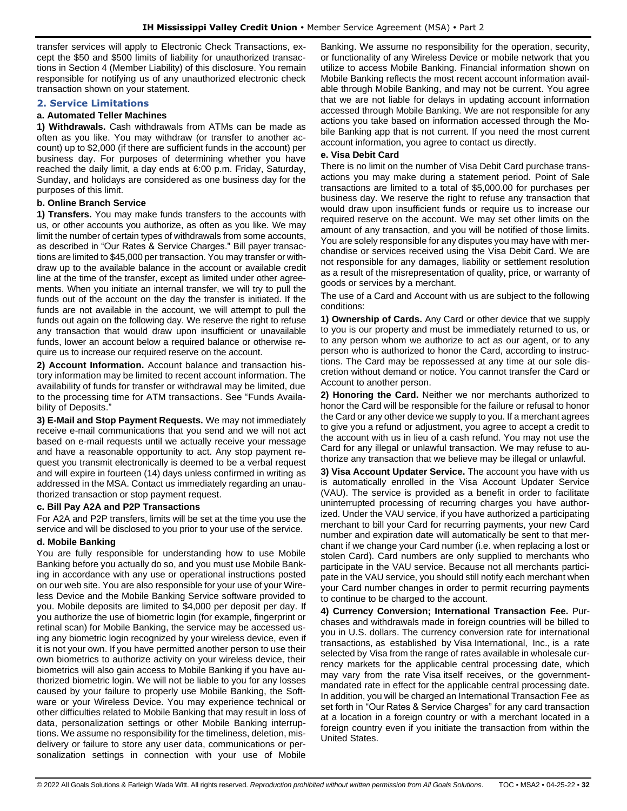transfer services will apply to Electronic Check Transactions, except the \$50 and \$500 limits of liability for unauthorized transactions in Section 4 (Member Liability) of this disclosure. You remain responsible for notifying us of any unauthorized electronic check transaction shown on your statement.

# <span id="page-31-0"></span>**2. Service Limitations**

### **a. Automated Teller Machines**

**1) Withdrawals.** Cash withdrawals from ATMs can be made as often as you like. You may withdraw (or transfer to another account) up to \$2,000 (if there are sufficient funds in the account) per business day. For purposes of determining whether you have reached the daily limit, a day ends at 6:00 p.m. Friday, Saturday, Sunday, and holidays are considered as one business day for the purposes of this limit.

# **b. Online Branch Service**

**1) Transfers.** You may make funds transfers to the accounts with us, or other accounts you authorize, as often as you like. We may limit the number of certain types of withdrawals from some accounts, as described in "Our Rates & Service Charges." Bill payer transactions are limited to \$45,000 per transaction. You may transfer or withdraw up to the available balance in the account or available credit line at the time of the transfer, except as limited under other agreements. When you initiate an internal transfer, we will try to pull the funds out of the account on the day the transfer is initiated. If the funds are not available in the account, we will attempt to pull the funds out again on the following day. We reserve the right to refuse any transaction that would draw upon insufficient or unavailable funds, lower an account below a required balance or otherwise require us to increase our required reserve on the account.

**2) Account Information.** Account balance and transaction history information may be limited to recent account information. The availability of funds for transfer or withdrawal may be limited, due to the processing time for ATM transactions. See "Funds Availability of Deposits."

**3) E-Mail and Stop Payment Requests.** We may not immediately receive e-mail communications that you send and we will not act based on e-mail requests until we actually receive your message and have a reasonable opportunity to act. Any stop payment request you transmit electronically is deemed to be a verbal request and will expire in fourteen (14) days unless confirmed in writing as addressed in the MSA. Contact us immediately regarding an unauthorized transaction or stop payment request.

#### **c. Bill Pay A2A and P2P Transactions**

For A2A and P2P transfers, limits will be set at the time you use the service and will be disclosed to you prior to your use of the service.

# **d. Mobile Banking**

You are fully responsible for understanding how to use Mobile Banking before you actually do so, and you must use Mobile Banking in accordance with any use or operational instructions posted on our web site. You are also responsible for your use of your Wireless Device and the Mobile Banking Service software provided to you. Mobile deposits are limited to \$4,000 per deposit per day. If you authorize the use of biometric login (for example, fingerprint or retinal scan) for Mobile Banking, the service may be accessed using any biometric login recognized by your wireless device, even if it is not your own. If you have permitted another person to use their own biometrics to authorize activity on your wireless device, their biometrics will also gain access to Mobile Banking if you have authorized biometric login. We will not be liable to you for any losses caused by your failure to properly use Mobile Banking, the Software or your Wireless Device. You may experience technical or other difficulties related to Mobile Banking that may result in loss of data, personalization settings or other Mobile Banking interruptions. We assume no responsibility for the timeliness, deletion, misdelivery or failure to store any user data, communications or personalization settings in connection with your use of Mobile

Banking. We assume no responsibility for the operation, security, or functionality of any Wireless Device or mobile network that you utilize to access Mobile Banking. Financial information shown on Mobile Banking reflects the most recent account information available through Mobile Banking, and may not be current. You agree that we are not liable for delays in updating account information accessed through Mobile Banking. We are not responsible for any actions you take based on information accessed through the Mobile Banking app that is not current. If you need the most current account information, you agree to contact us directly.

### **e. Visa Debit Card**

There is no limit on the number of Visa Debit Card purchase transactions you may make during a statement period. Point of Sale transactions are limited to a total of \$5,000.00 for purchases per business day. We reserve the right to refuse any transaction that would draw upon insufficient funds or require us to increase our required reserve on the account. We may set other limits on the amount of any transaction, and you will be notified of those limits. You are solely responsible for any disputes you may have with merchandise or services received using the Visa Debit Card. We are not responsible for any damages, liability or settlement resolution as a result of the misrepresentation of quality, price, or warranty of goods or services by a merchant.

The use of a Card and Account with us are subject to the following conditions:

**1) Ownership of Cards.** Any Card or other device that we supply to you is our property and must be immediately returned to us, or to any person whom we authorize to act as our agent, or to any person who is authorized to honor the Card, according to instructions. The Card may be repossessed at any time at our sole discretion without demand or notice. You cannot transfer the Card or Account to another person.

**2) Honoring the Card.** Neither we nor merchants authorized to honor the Card will be responsible for the failure or refusal to honor the Card or any other device we supply to you. If a merchant agrees to give you a refund or adjustment, you agree to accept a credit to the account with us in lieu of a cash refund. You may not use the Card for any illegal or unlawful transaction. We may refuse to authorize any transaction that we believe may be illegal or unlawful.

**3) Visa Account Updater Service.** The account you have with us is automatically enrolled in the Visa Account Updater Service (VAU). The service is provided as a benefit in order to facilitate uninterrupted processing of recurring charges you have authorized. Under the VAU service, if you have authorized a participating merchant to bill your Card for recurring payments, your new Card number and expiration date will automatically be sent to that merchant if we change your Card number (i.e. when replacing a lost or stolen Card). Card numbers are only supplied to merchants who participate in the VAU service. Because not all merchants participate in the VAU service, you should still notify each merchant when your Card number changes in order to permit recurring payments to continue to be charged to the account.

**4) Currency Conversion; International Transaction Fee.** Purchases and withdrawals made in foreign countries will be billed to you in U.S. dollars. The currency conversion rate for international transactions, as established by Visa International, Inc., is a rate selected by Visa from the range of rates available in wholesale currency markets for the applicable central processing date, which may vary from the rate Visa itself receives, or the governmentmandated rate in effect for the applicable central processing date. In addition, you will be charged an International Transaction Fee as set forth in "Our Rates & Service Charges" for any card transaction at a location in a foreign country or with a merchant located in a foreign country even if you initiate the transaction from within the United States.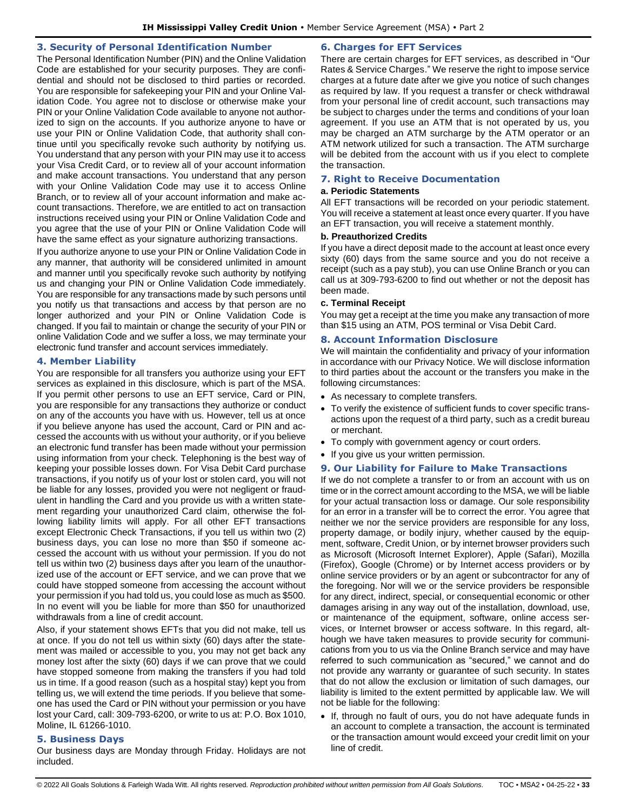# <span id="page-32-0"></span>**3. Security of Personal Identification Number**

The Personal Identification Number (PIN) and the Online Validation Code are established for your security purposes. They are confidential and should not be disclosed to third parties or recorded. You are responsible for safekeeping your PIN and your Online Validation Code. You agree not to disclose or otherwise make your PIN or your Online Validation Code available to anyone not authorized to sign on the accounts. If you authorize anyone to have or use your PIN or Online Validation Code, that authority shall continue until you specifically revoke such authority by notifying us. You understand that any person with your PIN may use it to access your Visa Credit Card, or to review all of your account information and make account transactions. You understand that any person with your Online Validation Code may use it to access Online Branch, or to review all of your account information and make account transactions. Therefore, we are entitled to act on transaction instructions received using your PIN or Online Validation Code and you agree that the use of your PIN or Online Validation Code will have the same effect as your signature authorizing transactions.

If you authorize anyone to use your PIN or Online Validation Code in any manner, that authority will be considered unlimited in amount and manner until you specifically revoke such authority by notifying us and changing your PIN or Online Validation Code immediately. You are responsible for any transactions made by such persons until you notify us that transactions and access by that person are no longer authorized and your PIN or Online Validation Code is changed. If you fail to maintain or change the security of your PIN or online Validation Code and we suffer a loss, we may terminate your electronic fund transfer and account services immediately.

### <span id="page-32-1"></span>**4. Member Liability**

You are responsible for all transfers you authorize using your EFT services as explained in this disclosure, which is part of the MSA. If you permit other persons to use an EFT service, Card or PIN, you are responsible for any transactions they authorize or conduct on any of the accounts you have with us. However, tell us at once if you believe anyone has used the account, Card or PIN and accessed the accounts with us without your authority, or if you believe an electronic fund transfer has been made without your permission using information from your check. Telephoning is the best way of keeping your possible losses down. For Visa Debit Card purchase transactions, if you notify us of your lost or stolen card, you will not be liable for any losses, provided you were not negligent or fraudulent in handling the Card and you provide us with a written statement regarding your unauthorized Card claim, otherwise the following liability limits will apply. For all other EFT transactions except Electronic Check Transactions, if you tell us within two (2) business days, you can lose no more than \$50 if someone accessed the account with us without your permission. If you do not tell us within two (2) business days after you learn of the unauthorized use of the account or EFT service, and we can prove that we could have stopped someone from accessing the account without your permission if you had told us, you could lose as much as \$500. In no event will you be liable for more than \$50 for unauthorized withdrawals from a line of credit account.

Also, if your statement shows EFTs that you did not make, tell us at once. If you do not tell us within sixty (60) days after the statement was mailed or accessible to you, you may not get back any money lost after the sixty (60) days if we can prove that we could have stopped someone from making the transfers if you had told us in time. If a good reason (such as a hospital stay) kept you from telling us, we will extend the time periods. If you believe that someone has used the Card or PIN without your permission or you have lost your Card, call: 309-793-6200, or write to us at: P.O. Box 1010, Moline, IL 61266-1010.

# <span id="page-32-2"></span>**5. Business Days**

Our business days are Monday through Friday. Holidays are not included.

# <span id="page-32-3"></span>**6. Charges for EFT Services**

There are certain charges for EFT services, as described in "Our Rates & Service Charges." We reserve the right to impose service charges at a future date after we give you notice of such changes as required by law. If you request a transfer or check withdrawal from your personal line of credit account, such transactions may be subject to charges under the terms and conditions of your loan agreement. If you use an ATM that is not operated by us, you may be charged an ATM surcharge by the ATM operator or an ATM network utilized for such a transaction. The ATM surcharge will be debited from the account with us if you elect to complete the transaction.

# <span id="page-32-4"></span>**7. Right to Receive Documentation**

#### **a. Periodic Statements**

All EFT transactions will be recorded on your periodic statement. You will receive a statement at least once every quarter. If you have an EFT transaction, you will receive a statement monthly.

# **b. Preauthorized Credits**

If you have a direct deposit made to the account at least once every sixty (60) days from the same source and you do not receive a receipt (such as a pay stub), you can use Online Branch or you can call us at 309-793-6200 to find out whether or not the deposit has been made.

#### **c. Terminal Receipt**

You may get a receipt at the time you make any transaction of more than \$15 using an ATM, POS terminal or Visa Debit Card.

# <span id="page-32-5"></span>**8. Account Information Disclosure**

We will maintain the confidentiality and privacy of your information in accordance with our Privacy Notice. We will disclose information to third parties about the account or the transfers you make in the following circumstances:

- As necessary to complete transfers.
- To verify the existence of sufficient funds to cover specific transactions upon the request of a third party, such as a credit bureau or merchant.
- To comply with government agency or court orders.
- If you give us your written permission.

#### <span id="page-32-6"></span>**9. Our Liability for Failure to Make Transactions**

If we do not complete a transfer to or from an account with us on time or in the correct amount according to the MSA, we will be liable for your actual transaction loss or damage. Our sole responsibility for an error in a transfer will be to correct the error. You agree that neither we nor the service providers are responsible for any loss, property damage, or bodily injury, whether caused by the equipment, software, Credit Union, or by internet browser providers such as Microsoft (Microsoft Internet Explorer), Apple (Safari), Mozilla (Firefox), Google (Chrome) or by Internet access providers or by online service providers or by an agent or subcontractor for any of the foregoing. Nor will we or the service providers be responsible for any direct, indirect, special, or consequential economic or other damages arising in any way out of the installation, download, use, or maintenance of the equipment, software, online access services, or Internet browser or access software. In this regard, although we have taken measures to provide security for communications from you to us via the Online Branch service and may have referred to such communication as "secured," we cannot and do not provide any warranty or guarantee of such security. In states that do not allow the exclusion or limitation of such damages, our liability is limited to the extent permitted by applicable law. We will not be liable for the following:

• If, through no fault of ours, you do not have adequate funds in an account to complete a transaction, the account is terminated or the transaction amount would exceed your credit limit on your line of credit.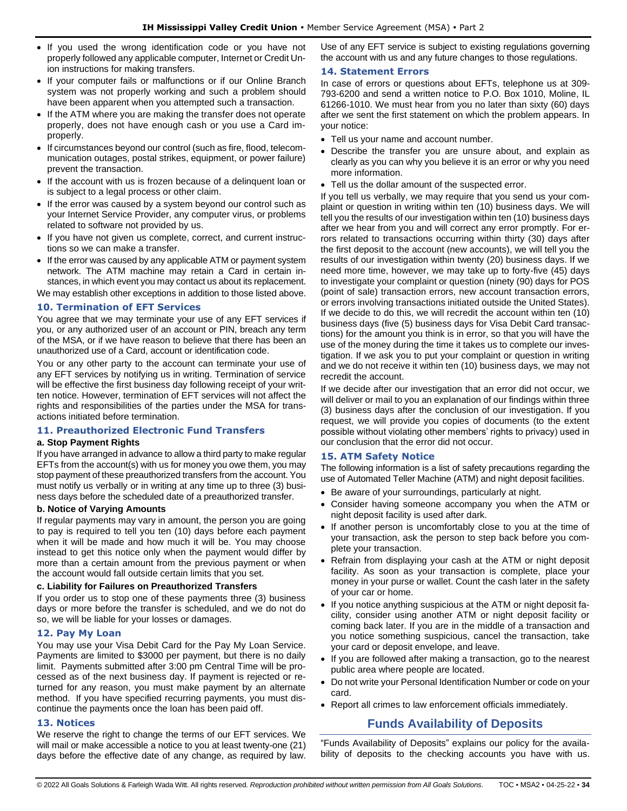- If you used the wrong identification code or you have not properly followed any applicable computer, Internet or Credit Union instructions for making transfers.
- If your computer fails or malfunctions or if our Online Branch system was not properly working and such a problem should have been apparent when you attempted such a transaction.
- If the ATM where you are making the transfer does not operate properly, does not have enough cash or you use a Card improperly.
- If circumstances beyond our control (such as fire, flood, telecommunication outages, postal strikes, equipment, or power failure) prevent the transaction.
- If the account with us is frozen because of a delinquent loan or is subject to a legal process or other claim.
- If the error was caused by a system beyond our control such as your Internet Service Provider, any computer virus, or problems related to software not provided by us.
- If you have not given us complete, correct, and current instructions so we can make a transfer.
- If the error was caused by any applicable ATM or payment system network. The ATM machine may retain a Card in certain instances, in which event you may contact us about its replacement.

We may establish other exceptions in addition to those listed above.

# <span id="page-33-0"></span>**10. Termination of EFT Services**

You agree that we may terminate your use of any EFT services if you, or any authorized user of an account or PIN, breach any term of the MSA, or if we have reason to believe that there has been an unauthorized use of a Card, account or identification code.

You or any other party to the account can terminate your use of any EFT services by notifying us in writing. Termination of service will be effective the first business day following receipt of your written notice. However, termination of EFT services will not affect the rights and responsibilities of the parties under the MSA for transactions initiated before termination.

# <span id="page-33-1"></span>**11. Preauthorized Electronic Fund Transfers**

# **a. Stop Payment Rights**

If you have arranged in advance to allow a third party to make regular EFTs from the account(s) with us for money you owe them, you may stop payment of these preauthorized transfers from the account. You must notify us verbally or in writing at any time up to three (3) business days before the scheduled date of a preauthorized transfer.

#### **b. Notice of Varying Amounts**

If regular payments may vary in amount, the person you are going to pay is required to tell you ten (10) days before each payment when it will be made and how much it will be. You may choose instead to get this notice only when the payment would differ by more than a certain amount from the previous payment or when the account would fall outside certain limits that you set.

#### **c. Liability for Failures on Preauthorized Transfers**

If you order us to stop one of these payments three (3) business days or more before the transfer is scheduled, and we do not do so, we will be liable for your losses or damages.

# <span id="page-33-2"></span>**12. Pay My Loan**

You may use your Visa Debit Card for the Pay My Loan Service. Payments are limited to \$3000 per payment, but there is no daily limit. Payments submitted after 3:00 pm Central Time will be processed as of the next business day. If payment is rejected or returned for any reason, you must make payment by an alternate method. If you have specified recurring payments, you must discontinue the payments once the loan has been paid off.

#### <span id="page-33-3"></span>**13. Notices**

We reserve the right to change the terms of our EFT services. We will mail or make accessible a notice to you at least twenty-one (21) days before the effective date of any change, as required by law.

Use of any EFT service is subject to existing regulations governing the account with us and any future changes to those regulations.

# <span id="page-33-4"></span>**14. Statement Errors**

In case of errors or questions about EFTs, telephone us at 309- 793-6200 and send a written notice to P.O. Box 1010, Moline, IL 61266-1010. We must hear from you no later than sixty (60) days after we sent the first statement on which the problem appears. In your notice:

- Tell us your name and account number.
- Describe the transfer you are unsure about, and explain as clearly as you can why you believe it is an error or why you need more information.
- Tell us the dollar amount of the suspected error.

If you tell us verbally, we may require that you send us your complaint or question in writing within ten (10) business days. We will tell you the results of our investigation within ten (10) business days after we hear from you and will correct any error promptly. For errors related to transactions occurring within thirty (30) days after the first deposit to the account (new accounts), we will tell you the results of our investigation within twenty (20) business days. If we need more time, however, we may take up to forty-five (45) days to investigate your complaint or question (ninety (90) days for POS (point of sale) transaction errors, new account transaction errors, or errors involving transactions initiated outside the United States). If we decide to do this, we will recredit the account within ten (10) business days (five (5) business days for Visa Debit Card transactions) for the amount you think is in error, so that you will have the use of the money during the time it takes us to complete our investigation. If we ask you to put your complaint or question in writing and we do not receive it within ten (10) business days, we may not recredit the account.

If we decide after our investigation that an error did not occur, we will deliver or mail to you an explanation of our findings within three (3) business days after the conclusion of our investigation. If you request, we will provide you copies of documents (to the extent possible without violating other members' rights to privacy) used in our conclusion that the error did not occur.

# <span id="page-33-5"></span>**15. ATM Safety Notice**

The following information is a list of safety precautions regarding the use of Automated Teller Machine (ATM) and night deposit facilities.

- Be aware of your surroundings, particularly at night.
- Consider having someone accompany you when the ATM or night deposit facility is used after dark.
- If another person is uncomfortably close to you at the time of your transaction, ask the person to step back before you complete your transaction.
- Refrain from displaying your cash at the ATM or night deposit facility. As soon as your transaction is complete, place your money in your purse or wallet. Count the cash later in the safety of your car or home.
- If you notice anything suspicious at the ATM or night deposit facility, consider using another ATM or night deposit facility or coming back later. If you are in the middle of a transaction and you notice something suspicious, cancel the transaction, take your card or deposit envelope, and leave.
- If you are followed after making a transaction, go to the nearest public area where people are located.
- Do not write your Personal Identification Number or code on your card.
- <span id="page-33-6"></span>• Report all crimes to law enforcement officials immediately.

# **Funds Availability of Deposits**

"Funds Availability of Deposits" explains our policy for the availability of deposits to the checking accounts you have with us.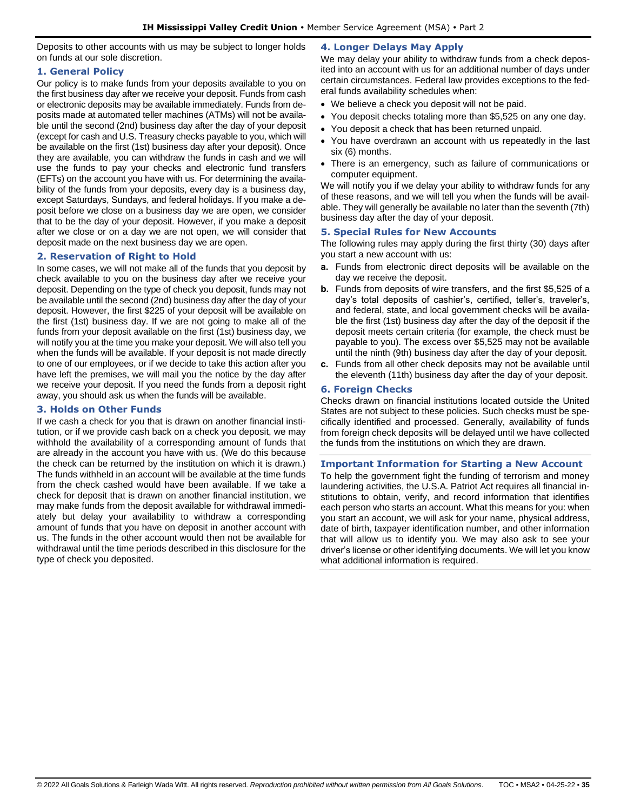Deposits to other accounts with us may be subject to longer holds on funds at our sole discretion.

# <span id="page-34-0"></span>**1. General Policy**

Our policy is to make funds from your deposits available to you on the first business day after we receive your deposit. Funds from cash or electronic deposits may be available immediately. Funds from deposits made at automated teller machines (ATMs) will not be available until the second (2nd) business day after the day of your deposit (except for cash and U.S. Treasury checks payable to you, which will be available on the first (1st) business day after your deposit). Once they are available, you can withdraw the funds in cash and we will use the funds to pay your checks and electronic fund transfers (EFTs) on the account you have with us. For determining the availability of the funds from your deposits, every day is a business day, except Saturdays, Sundays, and federal holidays. If you make a deposit before we close on a business day we are open, we consider that to be the day of your deposit. However, if you make a deposit after we close or on a day we are not open, we will consider that deposit made on the next business day we are open.

# <span id="page-34-1"></span>**2. Reservation of Right to Hold**

In some cases, we will not make all of the funds that you deposit by check available to you on the business day after we receive your deposit. Depending on the type of check you deposit, funds may not be available until the second (2nd) business day after the day of your deposit. However, the first \$225 of your deposit will be available on the first (1st) business day. If we are not going to make all of the funds from your deposit available on the first (1st) business day, we will notify you at the time you make your deposit. We will also tell you when the funds will be available. If your deposit is not made directly to one of our employees, or if we decide to take this action after you have left the premises, we will mail you the notice by the day after we receive your deposit. If you need the funds from a deposit right away, you should ask us when the funds will be available.

# <span id="page-34-2"></span>**3. Holds on Other Funds**

<span id="page-34-3"></span>If we cash a check for you that is drawn on another financial institution, or if we provide cash back on a check you deposit, we may withhold the availability of a corresponding amount of funds that are already in the account you have with us. (We do this because the check can be returned by the institution on which it is drawn.) The funds withheld in an account will be available at the time funds from the check cashed would have been available. If we take a check for deposit that is drawn on another financial institution, we may make funds from the deposit available for withdrawal immediately but delay your availability to withdraw a corresponding amount of funds that you have on deposit in another account with us. The funds in the other account would then not be available for withdrawal until the time periods described in this disclosure for the type of check you deposited.

# **4. Longer Delays May Apply**

We may delay your ability to withdraw funds from a check deposited into an account with us for an additional number of days under certain circumstances. Federal law provides exceptions to the federal funds availability schedules when:

- We believe a check you deposit will not be paid.
- You deposit checks totaling more than \$5,525 on any one day.
- You deposit a check that has been returned unpaid.
- You have overdrawn an account with us repeatedly in the last six (6) months.
- There is an emergency, such as failure of communications or computer equipment.

We will notify you if we delay your ability to withdraw funds for any of these reasons, and we will tell you when the funds will be available. They will generally be available no later than the seventh (7th) business day after the day of your deposit.

# <span id="page-34-4"></span>**5. Special Rules for New Accounts**

The following rules may apply during the first thirty (30) days after you start a new account with us:

- **a.** Funds from electronic direct deposits will be available on the day we receive the deposit.
- **b.** Funds from deposits of wire transfers, and the first \$5,525 of a day's total deposits of cashier's, certified, teller's, traveler's, and federal, state, and local government checks will be available the first (1st) business day after the day of the deposit if the deposit meets certain criteria (for example, the check must be payable to you). The excess over \$5,525 may not be available until the ninth (9th) business day after the day of your deposit.
- **c.** Funds from all other check deposits may not be available until the eleventh (11th) business day after the day of your deposit.

# <span id="page-34-5"></span>**6. Foreign Checks**

Checks drawn on financial institutions located outside the United States are not subject to these policies. Such checks must be specifically identified and processed. Generally, availability of funds from foreign check deposits will be delayed until we have collected the funds from the institutions on which they are drawn.

# <span id="page-34-6"></span>**Important Information for Starting a New Account**

To help the government fight the funding of terrorism and money laundering activities, the U.S.A. Patriot Act requires all financial institutions to obtain, verify, and record information that identifies each person who starts an account. What this means for you: when you start an account, we will ask for your name, physical address, date of birth, taxpayer identification number, and other information that will allow us to identify you. We may also ask to see your driver's license or other identifying documents. We will let you know what additional information is required.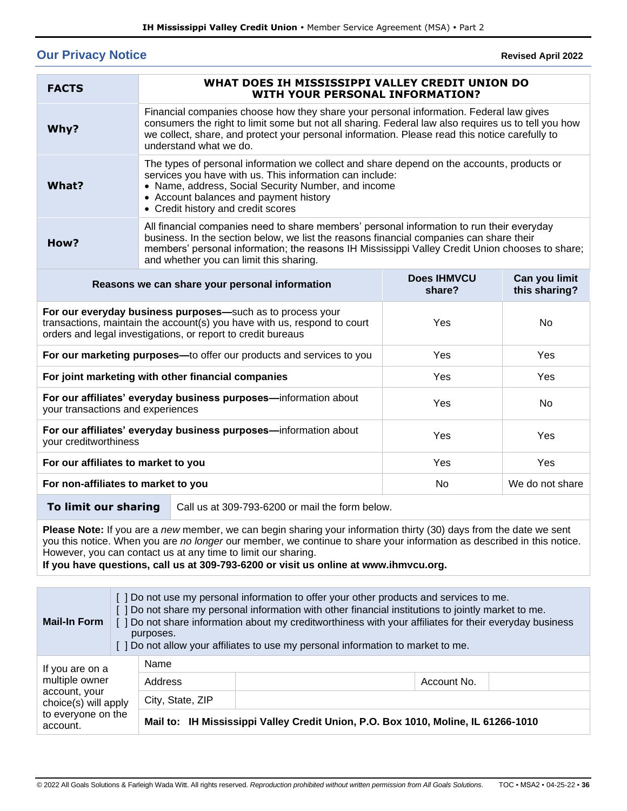# <span id="page-35-0"></span>**Our Privacy Notice**

**Revised April 2022**

| <b>FACTS</b>                                                                                                                                                                                                               | WHAT DOES IH MISSISSIPPI VALLEY CREDIT UNION DO<br><b>WITH YOUR PERSONAL INFORMATION?</b>                                                                                                                                                                                                                                          |                 |                                |
|----------------------------------------------------------------------------------------------------------------------------------------------------------------------------------------------------------------------------|------------------------------------------------------------------------------------------------------------------------------------------------------------------------------------------------------------------------------------------------------------------------------------------------------------------------------------|-----------------|--------------------------------|
| Why?                                                                                                                                                                                                                       | Financial companies choose how they share your personal information. Federal law gives<br>consumers the right to limit some but not all sharing. Federal law also requires us to tell you how<br>we collect, share, and protect your personal information. Please read this notice carefully to<br>understand what we do.          |                 |                                |
| What?                                                                                                                                                                                                                      | The types of personal information we collect and share depend on the accounts, products or<br>services you have with us. This information can include:<br>• Name, address, Social Security Number, and income<br>• Account balances and payment history<br>• Credit history and credit scores                                      |                 |                                |
| How?                                                                                                                                                                                                                       | All financial companies need to share members' personal information to run their everyday<br>business. In the section below, we list the reasons financial companies can share their<br>members' personal information; the reasons IH Mississippi Valley Credit Union chooses to share;<br>and whether you can limit this sharing. |                 |                                |
| <b>Does IHMVCU</b><br>Reasons we can share your personal information<br>share?                                                                                                                                             |                                                                                                                                                                                                                                                                                                                                    |                 | Can you limit<br>this sharing? |
| For our everyday business purposes-such as to process your<br>transactions, maintain the account(s) you have with us, respond to court<br>Yes<br><b>No</b><br>orders and legal investigations, or report to credit bureaus |                                                                                                                                                                                                                                                                                                                                    |                 |                                |
| For our marketing purposes-to offer our products and services to you                                                                                                                                                       |                                                                                                                                                                                                                                                                                                                                    | Yes             | Yes                            |
| For joint marketing with other financial companies                                                                                                                                                                         |                                                                                                                                                                                                                                                                                                                                    | Yes             | Yes                            |
| For our affiliates' everyday business purposes-information about<br>your transactions and experiences                                                                                                                      |                                                                                                                                                                                                                                                                                                                                    | Yes             | <b>No</b>                      |
| For our affiliates' everyday business purposes-information about<br>your creditworthiness                                                                                                                                  |                                                                                                                                                                                                                                                                                                                                    | Yes             | Yes                            |
| For our affiliates to market to you                                                                                                                                                                                        |                                                                                                                                                                                                                                                                                                                                    | Yes             | Yes                            |
| For non-affiliates to market to you<br><b>No</b>                                                                                                                                                                           |                                                                                                                                                                                                                                                                                                                                    | We do not share |                                |
| To limit our sharing<br>Call us at 309-793-6200 or mail the form below.                                                                                                                                                    |                                                                                                                                                                                                                                                                                                                                    |                 |                                |

**Please Note:** If you are a *new* member, we can begin sharing your information thirty (30) days from the date we sent you this notice. When you are *no longer* our member, we continue to share your information as described in this notice. However, you can contact us at any time to limit our sharing.

**If you have questions, call us at 309-793-6200 or visit us online at www.ihmvcu.org.**

| <b>Mail-In Form</b>                                                                                          | [ ] Do not use my personal information to offer your other products and services to me.<br>[ ] Do not share my personal information with other financial institutions to jointly market to me.<br>[ ] Do not share information about my creditworthiness with your affiliates for their everyday business<br>purposes.<br>] Do not allow your affiliates to use my personal information to market to me. |                                                                                   |             |
|--------------------------------------------------------------------------------------------------------------|----------------------------------------------------------------------------------------------------------------------------------------------------------------------------------------------------------------------------------------------------------------------------------------------------------------------------------------------------------------------------------------------------------|-----------------------------------------------------------------------------------|-------------|
| If you are on a<br>multiple owner<br>account, your<br>choice(s) will apply<br>to everyone on the<br>account. | Name                                                                                                                                                                                                                                                                                                                                                                                                     |                                                                                   |             |
|                                                                                                              | Address                                                                                                                                                                                                                                                                                                                                                                                                  |                                                                                   | Account No. |
|                                                                                                              | City, State, ZIP                                                                                                                                                                                                                                                                                                                                                                                         |                                                                                   |             |
|                                                                                                              |                                                                                                                                                                                                                                                                                                                                                                                                          | Mail to: IH Mississippi Valley Credit Union, P.O. Box 1010, Moline, IL 61266-1010 |             |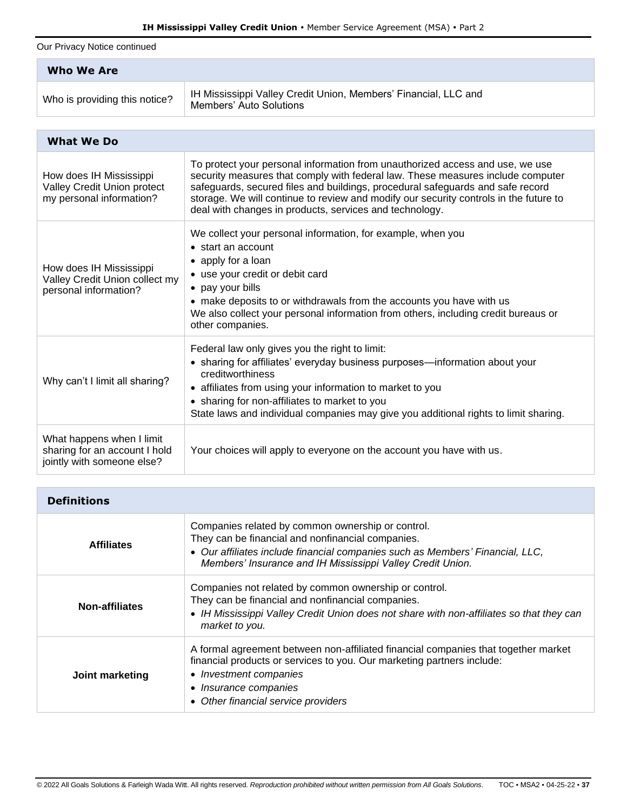Our Privacy Notice continued

| Who We Are                    |                                                                                            |  |
|-------------------------------|--------------------------------------------------------------------------------------------|--|
| Who is providing this notice? | IH Mississippi Valley Credit Union, Members' Financial, LLC and<br>Members' Auto Solutions |  |

| <b>What We Do</b>                                                                        |                                                                                                                                                                                                                                                                                                                                                                                                        |  |
|------------------------------------------------------------------------------------------|--------------------------------------------------------------------------------------------------------------------------------------------------------------------------------------------------------------------------------------------------------------------------------------------------------------------------------------------------------------------------------------------------------|--|
| How does IH Mississippi<br>Valley Credit Union protect<br>my personal information?       | To protect your personal information from unauthorized access and use, we use<br>security measures that comply with federal law. These measures include computer<br>safeguards, secured files and buildings, procedural safeguards and safe record<br>storage. We will continue to review and modify our security controls in the future to<br>deal with changes in products, services and technology. |  |
| How does IH Mississippi<br>Valley Credit Union collect my<br>personal information?       | We collect your personal information, for example, when you<br>• start an account<br>• apply for a loan<br>• use your credit or debit card<br>• pay your bills<br>• make deposits to or withdrawals from the accounts you have with us<br>We also collect your personal information from others, including credit bureaus or<br>other companies.                                                       |  |
| Why can't I limit all sharing?                                                           | Federal law only gives you the right to limit:<br>• sharing for affiliates' everyday business purposes-information about your<br>creditworthiness<br>• affiliates from using your information to market to you<br>• sharing for non-affiliates to market to you<br>State laws and individual companies may give you additional rights to limit sharing.                                                |  |
| What happens when I limit<br>sharing for an account I hold<br>jointly with someone else? | Your choices will apply to everyone on the account you have with us.                                                                                                                                                                                                                                                                                                                                   |  |

| <b>Definitions</b> |                                                                                                                                                                                                                                                        |  |
|--------------------|--------------------------------------------------------------------------------------------------------------------------------------------------------------------------------------------------------------------------------------------------------|--|
| <b>Affiliates</b>  | Companies related by common ownership or control.<br>They can be financial and nonfinancial companies.<br>• Our affiliates include financial companies such as Members' Financial, LLC,<br>Members' Insurance and IH Mississippi Valley Credit Union.  |  |
| Non-affiliates     | Companies not related by common ownership or control.<br>They can be financial and nonfinancial companies.<br>• IH Mississippi Valley Credit Union does not share with non-affiliates so that they can<br>market to you.                               |  |
| Joint marketing    | A formal agreement between non-affiliated financial companies that together market<br>financial products or services to you. Our marketing partners include:<br>• Investment companies<br>• Insurance companies<br>• Other financial service providers |  |